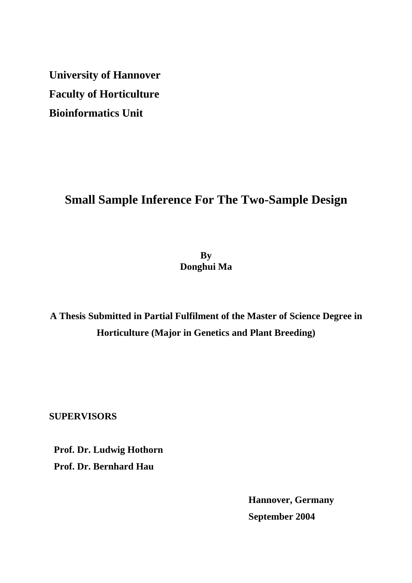**University of Hannover Faculty of Horticulture Bioinformatics Unit**

# **Small Sample Inference For The Two-Sample Design**

**By Donghui Ma**

**A Thesis Submitted in Partial Fulfilment of the Master of Science Degree in Horticulture (Major in Genetics and Plant Breeding)**

**SUPERVISORS** 

 **Prof. Dr. Ludwig Hothorn Prof. Dr. Bernhard Hau** 

> **Hannover, Germany September 2004**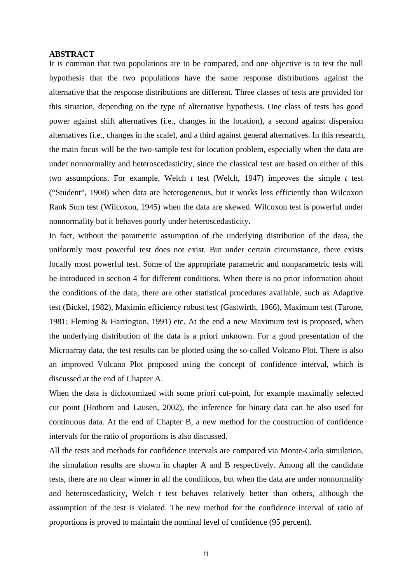## **ABSTRACT**

It is common that two populations are to be compared, and one objective is to test the null hypothesis that the two populations have the same response distributions against the alternative that the response distributions are different. Three classes of tests are provided for this situation, depending on the type of alternative hypothesis. One class of tests has good power against shift alternatives (i.e., changes in the location), a second against dispersion alternatives (i.e., changes in the scale), and a third against general alternatives. In this research, the main focus will be the two-sample test for location problem, especially when the data are under nonnormality and heteroscedasticity, since the classical test are based on either of this two assumptions. For example, Welch *t* test (Welch, 1947) improves the simple *t* test ("Student", 1908) when data are heterogeneous, but it works less efficiently than Wilcoxon Rank Sum test (Wilcoxon, 1945) when the data are skewed. Wilcoxon test is powerful under nonnormality but it behaves poorly under heteroscedasticity.

In fact, without the parametric assumption of the underlying distribution of the data, the uniformly most powerful test does not exist. But under certain circumstance, there exists locally most powerful test. Some of the appropriate parametric and nonparametric tests will be introduced in section 4 for different conditions. When there is no prior information about the conditions of the data, there are other statistical procedures available, such as Adaptive test (Bickel, 1982), Maximin efficiency robust test (Gastwirth, 1966), Maximum test (Tarone, 1981; Fleming & Harrington, 1991) etc. At the end a new Maximum test is proposed, when the underlying distribution of the data is a priori unknown. For a good presentation of the Microarray data, the test results can be plotted using the so-called Volcano Plot. There is also an improved Volcano Plot proposed using the concept of confidence interval, which is discussed at the end of Chapter A.

When the data is dichotomized with some priori cut-point, for example maximally selected cut point (Hothorn and Lausen, 2002), the inference for binary data can be also used for continuous data. At the end of Chapter B, a new method for the construction of confidence intervals for the ratio of proportions is also discussed.

All the tests and methods for confidence intervals are compared via Monte-Carlo simulation, the simulation results are shown in chapter A and B respectively. Among all the candidate tests, there are no clear winner in all the conditions, but when the data are under nonnormality and heteroscedasticity, Welch *t* test behaves relatively better than others, although the assumption of the test is violated. The new method for the confidence interval of ratio of proportions is proved to maintain the nominal level of confidence (95 percent).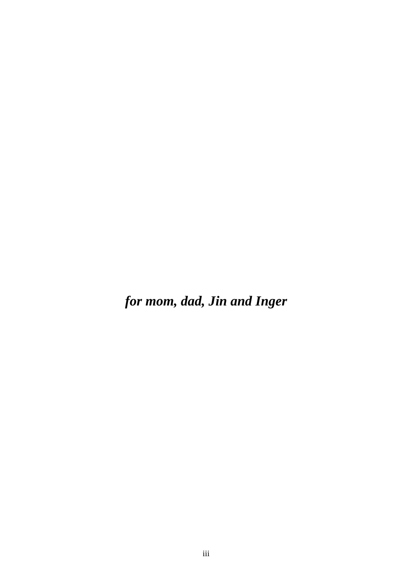*for mom, dad, Jin and Inger*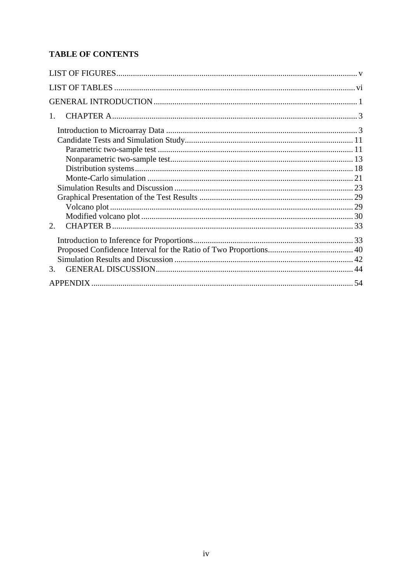## **TABLE OF CONTENTS**

| $1_{-}$ |  |
|---------|--|
|         |  |
|         |  |
|         |  |
|         |  |
|         |  |
|         |  |
|         |  |
|         |  |
|         |  |
|         |  |
| 2       |  |
|         |  |
|         |  |
|         |  |
| 3.      |  |
|         |  |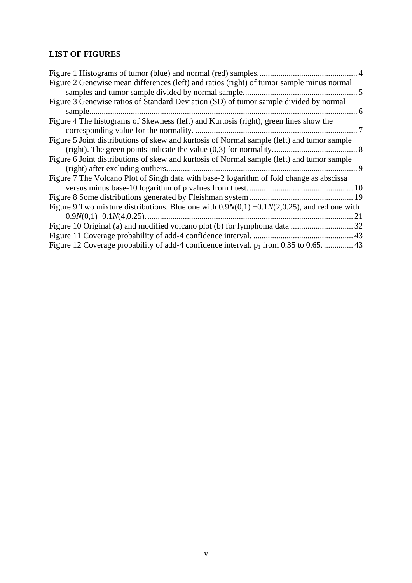## **LIST OF FIGURES**

| Figure 2 Genewise mean differences (left) and ratios (right) of tumor sample minus normal       |    |
|-------------------------------------------------------------------------------------------------|----|
|                                                                                                 |    |
| Figure 3 Genewise ratios of Standard Deviation (SD) of tumor sample divided by normal           |    |
| . 6                                                                                             |    |
| Figure 4 The histograms of Skewness (left) and Kurtosis (right), green lines show the           |    |
|                                                                                                 |    |
| Figure 5 Joint distributions of skew and kurtosis of Normal sample (left) and tumor sample      |    |
|                                                                                                 |    |
| Figure 6 Joint distributions of skew and kurtosis of Normal sample (left) and tumor sample      |    |
|                                                                                                 |    |
| Figure 7 The Volcano Plot of Singh data with base-2 logarithm of fold change as abscissa        |    |
|                                                                                                 |    |
|                                                                                                 |    |
| Figure 9 Two mixture distributions. Blue one with $0.9N(0,1) + 0.1N(2,0.25)$ , and red one with |    |
|                                                                                                 | 21 |
|                                                                                                 |    |
|                                                                                                 |    |
| Figure 12 Coverage probability of add-4 confidence interval. $p_1$ from 0.35 to 0.65.  43       |    |
|                                                                                                 |    |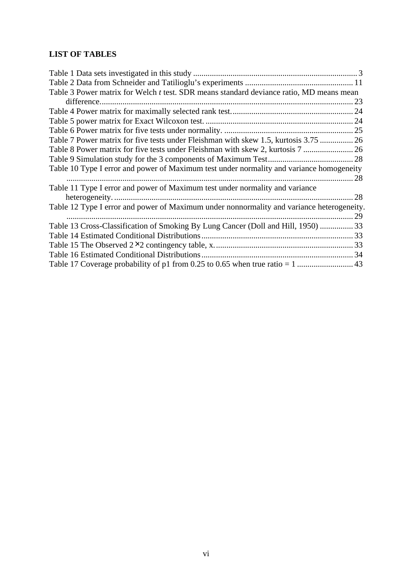## **LIST OF TABLES**

| Table 3 Power matrix for Welch t test. SDR means standard deviance ratio, MD means mean   |      |
|-------------------------------------------------------------------------------------------|------|
| difference.                                                                               | 23   |
|                                                                                           |      |
|                                                                                           |      |
|                                                                                           |      |
| Table 7 Power matrix for five tests under Fleishman with skew 1.5, kurtosis 3.75  26      |      |
| Table 8 Power matrix for five tests under Fleishman with skew 2, kurtosis 7  26           |      |
|                                                                                           |      |
| Table 10 Type I error and power of Maximum test under normality and variance homogeneity  |      |
|                                                                                           | . 28 |
| Table 11 Type I error and power of Maximum test under normality and variance              |      |
|                                                                                           |      |
| Table 12 Type I error and power of Maximum under nonnormality and variance heterogeneity. |      |
|                                                                                           |      |
| Table 13 Cross-Classification of Smoking By Lung Cancer (Doll and Hill, 1950)  33         |      |
|                                                                                           |      |
|                                                                                           |      |
|                                                                                           |      |
|                                                                                           |      |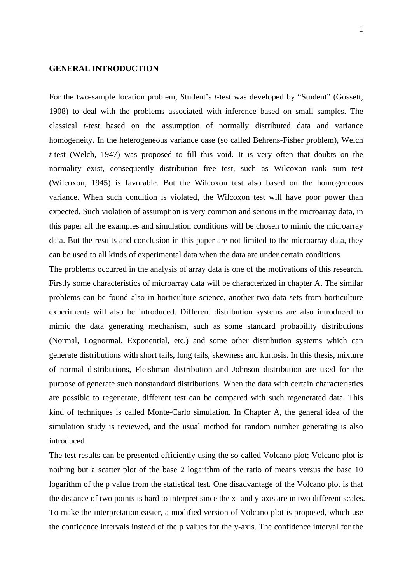### **GENERAL INTRODUCTION**

For the two-sample location problem, Student's *t*-test was developed by "Student" (Gossett, 1908) to deal with the problems associated with inference based on small samples. The classical *t*-test based on the assumption of normally distributed data and variance homogeneity. In the heterogeneous variance case (so called Behrens-Fisher problem), Welch *t*-test (Welch, 1947) was proposed to fill this void. It is very often that doubts on the normality exist, consequently distribution free test, such as Wilcoxon rank sum test (Wilcoxon, 1945) is favorable. But the Wilcoxon test also based on the homogeneous variance. When such condition is violated, the Wilcoxon test will have poor power than expected. Such violation of assumption is very common and serious in the microarray data, in this paper all the examples and simulation conditions will be chosen to mimic the microarray data. But the results and conclusion in this paper are not limited to the microarray data, they can be used to all kinds of experimental data when the data are under certain conditions.

The problems occurred in the analysis of array data is one of the motivations of this research. Firstly some characteristics of microarray data will be characterized in chapter A. The similar problems can be found also in horticulture science, another two data sets from horticulture experiments will also be introduced. Different distribution systems are also introduced to mimic the data generating mechanism, such as some standard probability distributions (Normal, Lognormal, Exponential, etc.) and some other distribution systems which can generate distributions with short tails, long tails, skewness and kurtosis. In this thesis, mixture of normal distributions, Fleishman distribution and Johnson distribution are used for the purpose of generate such nonstandard distributions. When the data with certain characteristics are possible to regenerate, different test can be compared with such regenerated data. This kind of techniques is called Monte-Carlo simulation. In Chapter A, the general idea of the simulation study is reviewed, and the usual method for random number generating is also introduced.

The test results can be presented efficiently using the so-called Volcano plot; Volcano plot is nothing but a scatter plot of the base 2 logarithm of the ratio of means versus the base 10 logarithm of the p value from the statistical test. One disadvantage of the Volcano plot is that the distance of two points is hard to interpret since the x- and y-axis are in two different scales. To make the interpretation easier, a modified version of Volcano plot is proposed, which use the confidence intervals instead of the p values for the y-axis. The confidence interval for the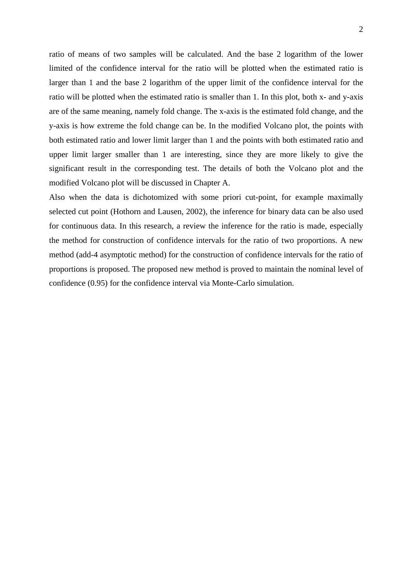ratio of means of two samples will be calculated. And the base 2 logarithm of the lower limited of the confidence interval for the ratio will be plotted when the estimated ratio is larger than 1 and the base 2 logarithm of the upper limit of the confidence interval for the ratio will be plotted when the estimated ratio is smaller than 1. In this plot, both x- and y-axis are of the same meaning, namely fold change. The x-axis is the estimated fold change, and the y-axis is how extreme the fold change can be. In the modified Volcano plot, the points with both estimated ratio and lower limit larger than 1 and the points with both estimated ratio and upper limit larger smaller than 1 are interesting, since they are more likely to give the significant result in the corresponding test. The details of both the Volcano plot and the modified Volcano plot will be discussed in Chapter A.

Also when the data is dichotomized with some priori cut-point, for example maximally selected cut point (Hothorn and Lausen, 2002), the inference for binary data can be also used for continuous data. In this research, a review the inference for the ratio is made, especially the method for construction of confidence intervals for the ratio of two proportions. A new method (add-4 asymptotic method) for the construction of confidence intervals for the ratio of proportions is proposed. The proposed new method is proved to maintain the nominal level of confidence (0.95) for the confidence interval via Monte-Carlo simulation.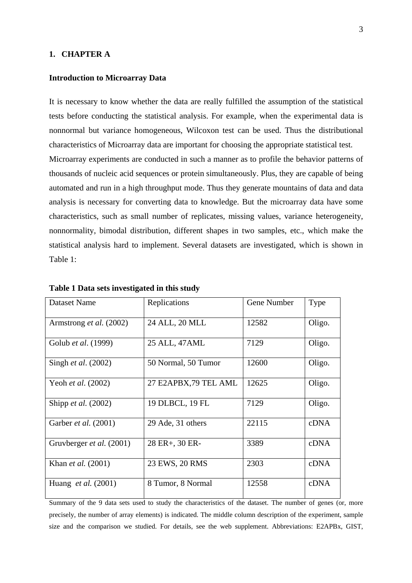## **1. CHAPTER A**

#### **Introduction to Microarray Data**

It is necessary to know whether the data are really fulfilled the assumption of the statistical tests before conducting the statistical analysis. For example, when the experimental data is nonnormal but variance homogeneous, Wilcoxon test can be used. Thus the distributional characteristics of Microarray data are important for choosing the appropriate statistical test. Microarray experiments are conducted in such a manner as to profile the behavior patterns of thousands of nucleic acid sequences or protein simultaneously. Plus, they are capable of being automated and run in a high throughput mode. Thus they generate mountains of data and data analysis is necessary for converting data to knowledge. But the microarray data have some characteristics, such as small number of replicates, missing values, variance heterogeneity, nonnormality, bimodal distribution, different shapes in two samples, etc., which make the statistical analysis hard to implement. Several datasets are investigated, which is shown in Table 1:

| Dataset Name                   | Replications          | Gene Number | Type   |
|--------------------------------|-----------------------|-------------|--------|
| Armstrong <i>et al.</i> (2002) | 24 ALL, 20 MLL        | 12582       | Oligo. |
| Golub et al. (1999)            | 25 ALL, 47 AML        | 7129        | Oligo. |
| Singh <i>et al.</i> (2002)     | 50 Normal, 50 Tumor   | 12600       | Oligo. |
| Yeoh et al. (2002)             | 27 E2APBX, 79 TEL AML | 12625       | Oligo. |
| Shipp <i>et al.</i> (2002)     | 19 DLBCL, 19 FL       | 7129        | Oligo. |
| Garber <i>et al.</i> (2001)    | 29 Ade, 31 others     | 22115       | cDNA   |
| Gruvberger et al. (2001)       | 28 ER+, 30 ER-        | 3389        | cDNA   |
| Khan <i>et al.</i> (2001)      | 23 EWS, 20 RMS        | 2303        | cDNA   |
| Huang <i>et al.</i> $(2001)$   | 8 Tumor, 8 Normal     | 12558       | cDNA   |

**Table 1 Data sets investigated in this study** 

Summary of the 9 data sets used to study the characteristics of the dataset. The number of genes (or, more precisely, the number of array elements) is indicated. The middle column description of the experiment, sample size and the comparison we studied. For details, see the web supplement. Abbreviations: E2APBx, GIST,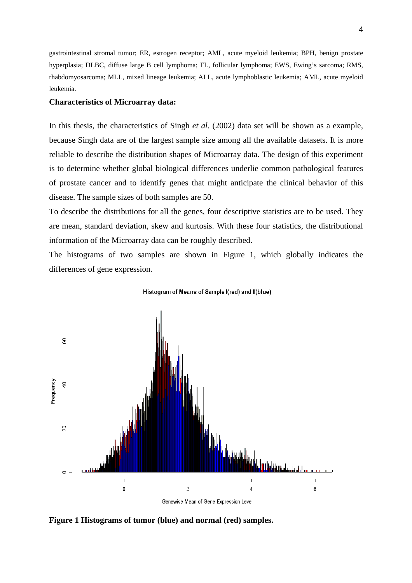gastrointestinal stromal tumor; ER, estrogen receptor; AML, acute myeloid leukemia; BPH, benign prostate hyperplasia; DLBC, diffuse large B cell lymphoma; FL, follicular lymphoma; EWS, Ewing's sarcoma; RMS, rhabdomyosarcoma; MLL, mixed lineage leukemia; ALL, acute lymphoblastic leukemia; AML, acute myeloid leukemia.

### **Characteristics of Microarray data:**

In this thesis, the characteristics of Singh *et al*. (2002) data set will be shown as a example, because Singh data are of the largest sample size among all the available datasets. It is more reliable to describe the distribution shapes of Microarray data. The design of this experiment is to determine whether global biological differences underlie common pathological features of prostate cancer and to identify genes that might anticipate the clinical behavior of this disease. The sample sizes of both samples are 50.

To describe the distributions for all the genes, four descriptive statistics are to be used. They are mean, standard deviation, skew and kurtosis. With these four statistics, the distributional information of the Microarray data can be roughly described.

The histograms of two samples are shown in Figure 1, which globally indicates the differences of gene expression.





**Figure 1 Histograms of tumor (blue) and normal (red) samples.**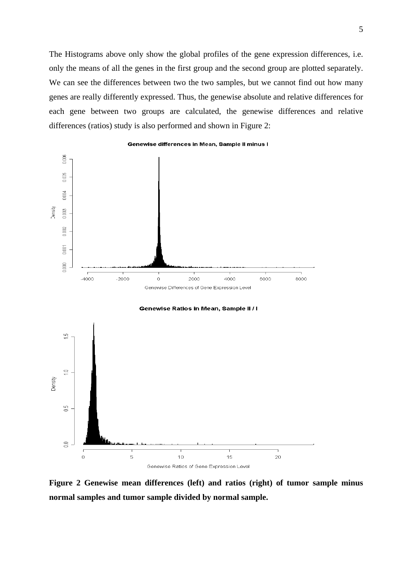The Histograms above only show the global profiles of the gene expression differences, i.e. only the means of all the genes in the first group and the second group are plotted separately. We can see the differences between two the two samples, but we cannot find out how many genes are really differently expressed. Thus, the genewise absolute and relative differences for each gene between two groups are calculated, the genewise differences and relative differences (ratios) study is also performed and shown in Figure 2:



Genewise Ratios in Mean, Sample II / I



**Figure 2 Genewise mean differences (left) and ratios (right) of tumor sample minus normal samples and tumor sample divided by normal sample.**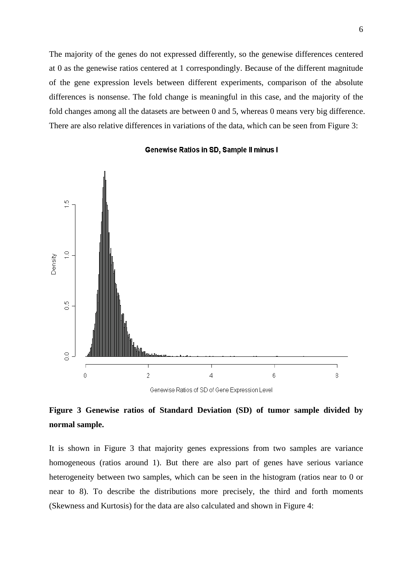The majority of the genes do not expressed differently, so the genewise differences centered at 0 as the genewise ratios centered at 1 correspondingly. Because of the different magnitude of the gene expression levels between different experiments, comparison of the absolute differences is nonsense. The fold change is meaningful in this case, and the majority of the fold changes among all the datasets are between 0 and 5, whereas 0 means very big difference. There are also relative differences in variations of the data, which can be seen from Figure 3:



#### Genewise Ratios in SD, Sample II minus I

## **Figure 3 Genewise ratios of Standard Deviation (SD) of tumor sample divided by normal sample.**

It is shown in Figure 3 that majority genes expressions from two samples are variance homogeneous (ratios around 1). But there are also part of genes have serious variance heterogeneity between two samples, which can be seen in the histogram (ratios near to 0 or near to 8). To describe the distributions more precisely, the third and forth moments (Skewness and Kurtosis) for the data are also calculated and shown in Figure 4: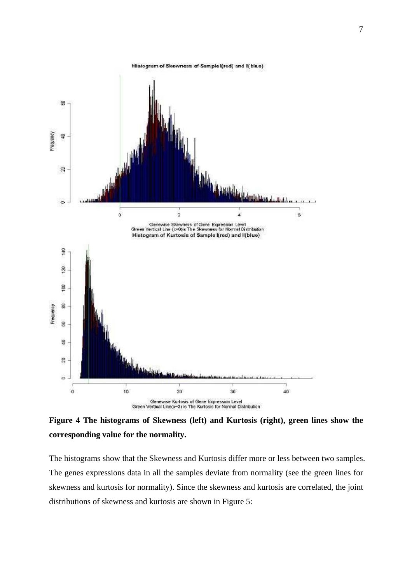

**Figure 4 The histograms of Skewness (left) and Kurtosis (right), green lines show the corresponding value for the normality.** 

The histograms show that the Skewness and Kurtosis differ more or less between two samples. The genes expressions data in all the samples deviate from normality (see the green lines for skewness and kurtosis for normality). Since the skewness and kurtosis are correlated, the joint distributions of skewness and kurtosis are shown in Figure 5: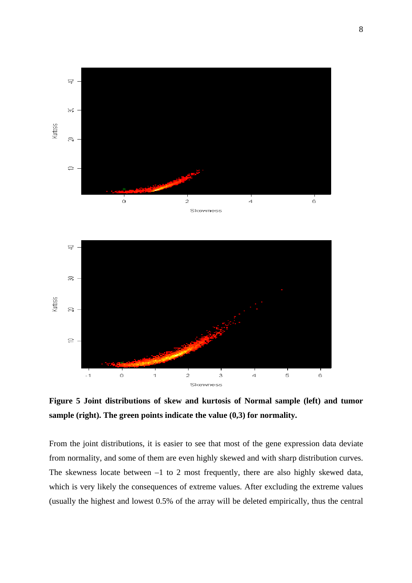

**Figure 5 Joint distributions of skew and kurtosis of Normal sample (left) and tumor sample (right). The green points indicate the value (0,3) for normality.** 

From the joint distributions, it is easier to see that most of the gene expression data deviate from normality, and some of them are even highly skewed and with sharp distribution curves. The skewness locate between –1 to 2 most frequently, there are also highly skewed data, which is very likely the consequences of extreme values. After excluding the extreme values (usually the highest and lowest 0.5% of the array will be deleted empirically, thus the central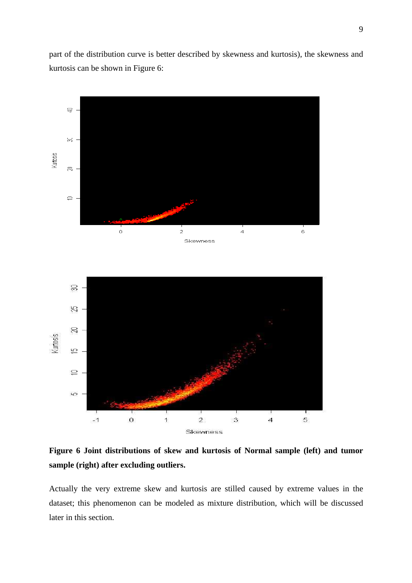part of the distribution curve is better described by skewness and kurtosis), the skewness and kurtosis can be shown in Figure 6:



**Figure 6 Joint distributions of skew and kurtosis of Normal sample (left) and tumor sample (right) after excluding outliers.** 

Actually the very extreme skew and kurtosis are stilled caused by extreme values in the dataset; this phenomenon can be modeled as mixture distribution, which will be discussed later in this section.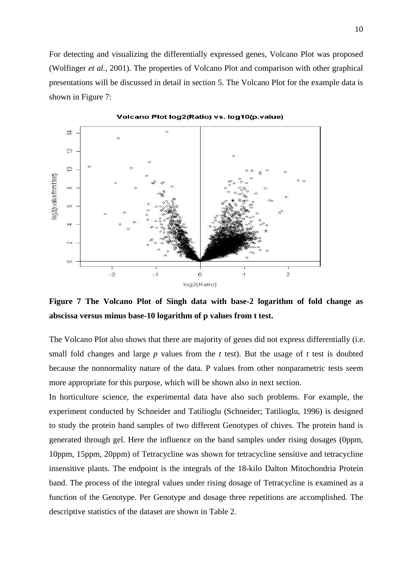For detecting and visualizing the differentially expressed genes, Volcano Plot was proposed (Wolfinger *et al.,* 2001). The properties of Volcano Plot and comparison with other graphical presentations will be discussed in detail in section 5. The Volcano Plot for the example data is shown in Figure 7:



Volcano Plot log2(Ratio) vs. log10(p.value)

**Figure 7 The Volcano Plot of Singh data with base-2 logarithm of fold change as abscissa versus minus base-10 logarithm of p values from t test.** 

The Volcano Plot also shows that there are majority of genes did not express differentially (i.e. small fold changes and large *p* values from the *t* test). But the usage of *t* test is doubted because the nonnormality nature of the data. P values from other nonparametric tests seem more appropriate for this purpose, which will be shown also in next section.

In horticulture science, the experimental data have also such problems. For example, the experiment conducted by Schneider and Tatilioglu (Schneider; Tatilioglu, 1996) is designed to study the protein band samples of two different Genotypes of chives. The protein band is generated through gel. Here the influence on the band samples under rising dosages (0ppm, 10ppm, 15ppm, 20ppm) of Tetracycline was shown for tetracycline sensitive and tetracycline insensitive plants. The endpoint is the integrals of the 18-kilo Dalton Mitochondria Protein band. The process of the integral values under rising dosage of Tetracycline is examined as a function of the Genotype. Per Genotype and dosage three repetitions are accomplished. The descriptive statistics of the dataset are shown in Table 2.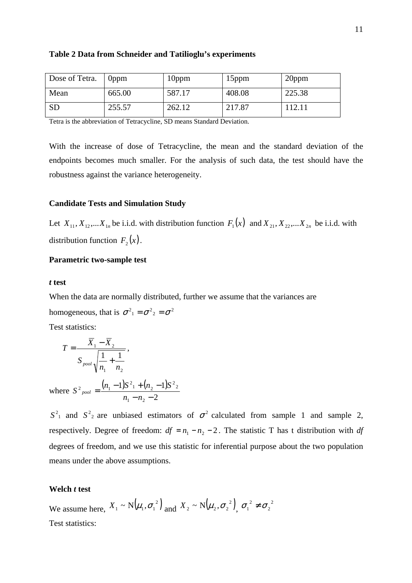| Dose of Tetra. | 0ppm   | 10 <sub>ppm</sub> | 15 <sub>ppm</sub> | 20ppm  |
|----------------|--------|-------------------|-------------------|--------|
| Mean           | 665.00 | 587.17            | 408.08            | 225.38 |
| <b>SD</b>      | 255.57 | 262.12            | 217.87            | 112.11 |

#### **Table 2 Data from Schneider and Tatilioglu's experiments**

Tetra is the abbreviation of Tetracycline, SD means Standard Deviation.

With the increase of dose of Tetracycline, the mean and the standard deviation of the endpoints becomes much smaller. For the analysis of such data, the test should have the robustness against the variance heterogeneity.

### **Candidate Tests and Simulation Study**

Let  $X_{11}, X_{12}, \ldots X_{1n}$  be i.i.d. with distribution function  $F_1(x)$  and  $X_{21}, X_{22}, \ldots X_{2n}$  be i.i.d. with distribution function  $F_2(x)$ .

#### **Parametric two-sample test**

#### *t* **test**

When the data are normally distributed, further we assume that the variances are homogeneous, that is  $\sigma^2 = 2\sigma^2 = \sigma^2$ 

 $\frac{2}{2}$ 

Test statistics:

$$
T = \frac{X_1 - X_2}{S_{pool} \sqrt{\frac{1}{n_1} + \frac{1}{n_2}}},
$$
  
where  $S^2_{pool} = \frac{(n_1 - 1)S^2 + (n_2 - 1)S}{S^2}$ 

2  $1 \quad \textbf{12}$  $- n<sub>2</sub>$  $n_1 - n$  $S<sup>2</sup>$  and  $S<sup>2</sup>$  are unbiased estimators of  $\sigma<sup>2</sup>$  calculated from sample 1 and sample 2, respectively. Degree of freedom:  $df = n_1 - n_2 - 2$ . The statistic T has t distribution with *df* 

degrees of freedom, and we use this statistic for inferential purpose about the two population means under the above assumptions.

#### **Welch** *t* **test**

We assume here,  $X_1 \sim N(\mu_1, \sigma_1^2)$  and  $X_2 \sim N(\mu_2, \sigma_2^2)$ ,  $\sigma_1^2 \neq \sigma_2^2$ 2  $\sigma_1^2 \neq \sigma$ Test statistics: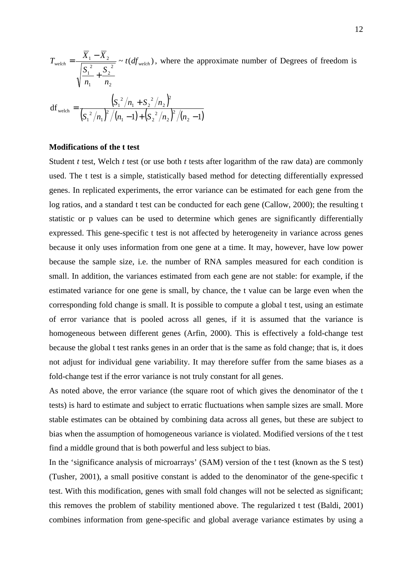$\frac{1}{2}$  ~ t(df<sub>welch</sub>) 2 2 1 2 1  $\frac{d}{dx}$   $=\frac{d}{dx} \frac{d}{dx} \frac{d}{dx}$   $\sim t (df_{\text{welch}})$ *n S n S*  $T_{\text{weleh}} = \frac{X_1 - X}{\sqrt{X_1 - X}}$ +  $=\frac{X_1 - X_2}{\sqrt{1 - \frac{X_1 - X_2}{\sqrt{1 - \frac{X_1 + X_2}{\sqrt{1 - \frac{X_1 + X_2}}}}}}$  ~  $t(df_{\text{welch}})$ , where the approximate number of Degrees of freedom is

df<sub>weleh</sub> = 
$$
\frac{\left(S_1^2/n_1 + S_2^2/n_2\right)^2}{\left(S_1^2/n_1\right)^2/(n_1-1) + \left(S_2^2/n_2\right)^2/(n_2-1)}
$$

### **Modifications of the t test**

Student *t* test, Welch *t* test (or use both *t* tests after logarithm of the raw data) are commonly used. The t test is a simple, statistically based method for detecting differentially expressed genes. In replicated experiments, the error variance can be estimated for each gene from the log ratios, and a standard t test can be conducted for each gene (Callow, 2000); the resulting t statistic or p values can be used to determine which genes are significantly differentially expressed. This gene-specific t test is not affected by heterogeneity in variance across genes because it only uses information from one gene at a time. It may, however, have low power because the sample size, i.e. the number of RNA samples measured for each condition is small. In addition, the variances estimated from each gene are not stable: for example, if the estimated variance for one gene is small, by chance, the t value can be large even when the corresponding fold change is small. It is possible to compute a global t test, using an estimate of error variance that is pooled across all genes, if it is assumed that the variance is homogeneous between different genes (Arfin, 2000). This is effectively a fold-change test because the global t test ranks genes in an order that is the same as fold change; that is, it does not adjust for individual gene variability. It may therefore suffer from the same biases as a fold-change test if the error variance is not truly constant for all genes.

As noted above, the error variance (the square root of which gives the denominator of the t tests) is hard to estimate and subject to erratic fluctuations when sample sizes are small. More stable estimates can be obtained by combining data across all genes, but these are subject to bias when the assumption of homogeneous variance is violated. Modified versions of the t test find a middle ground that is both powerful and less subject to bias.

In the 'significance analysis of microarrays' (SAM) version of the t test (known as the S test) (Tusher, 2001), a small positive constant is added to the denominator of the gene-specific t test. With this modification, genes with small fold changes will not be selected as significant; this removes the problem of stability mentioned above. The regularized t test (Baldi, 2001) combines information from gene-specific and global average variance estimates by using a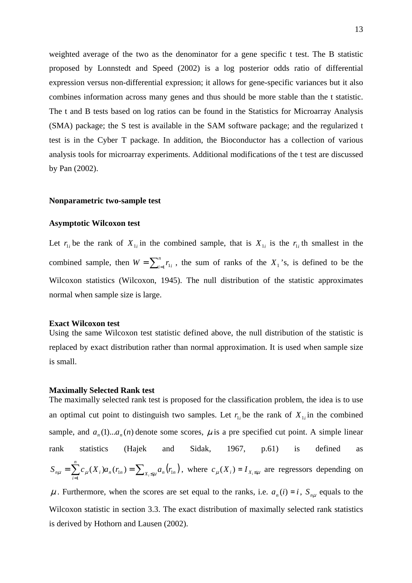weighted average of the two as the denominator for a gene specific t test. The B statistic proposed by Lonnstedt and Speed (2002) is a log posterior odds ratio of differential expression versus non-differential expression; it allows for gene-specific variances but it also combines information across many genes and thus should be more stable than the t statistic. The t and B tests based on log ratios can be found in the Statistics for Microarray Analysis (SMA) package; the S test is available in the SAM software package; and the regularized t test is in the Cyber T package. In addition, the Bioconductor has a collection of various analysis tools for microarray experiments. Additional modifications of the t test are discussed by Pan (2002).

#### **Nonparametric two-sample test**

#### **Asymptotic Wilcoxon test**

Let  $r_{1i}$  be the rank of  $X_{1i}$  in the combined sample, that is  $X_{1i}$  is the  $r_{1i}$  th smallest in the combined sample, then  $W = \sum_{i=1}^{n}$  $W = \sum_{i=1}^{n} r_{1i}$ , the sum of ranks of the  $X_1$ 's, is defined to be the Wilcoxon statistics (Wilcoxon, 1945). The null distribution of the statistic approximates normal when sample size is large.

#### **Exact Wilcoxon test**

Using the same Wilcoxon test statistic defined above, the null distribution of the statistic is replaced by exact distribution rather than normal approximation. It is used when sample size is small.

#### **Maximally Selected Rank test**

The maximally selected rank test is proposed for the classification problem, the idea is to use an optimal cut point to distinguish two samples. Let  $r_{i}$  be the rank of  $X_{i}$  in the combined sample, and  $a_n(1)...a_n(n)$  denote some scores,  $\mu$  is a pre specified cut point. A simple linear rank statistics (Hajek and Sidak, 1967, p.61) is defined as  $\sum_{i=1}^{n} c_{\mu}(X_i) a_n(r_{1n}) = \sum_{X_i \leq \mu} a_n(r_{1n})$ *i*  $S_{n\mu} = \sum_{i=1}^{n} c_{\mu}(X_i) a_n(r_{1n}) = \sum_{X_i \leq \mu} a_n(r_1)$  $\sum_{i=1}^{n} c_{\mu}(X_i) a_n(r_{1n}) = \sum_{X_i \le \mu} a_n(r_{1n})$ , where  $c_{\mu}(X_i) = I_{X_i \le \mu}$  are regressors depending on

 $\mu$ . Furthermore, when the scores are set equal to the ranks, i.e.  $a_n(i) = i$ ,  $S_{n\mu}$  equals to the Wilcoxon statistic in section 3.3. The exact distribution of maximally selected rank statistics is derived by Hothorn and Lausen (2002).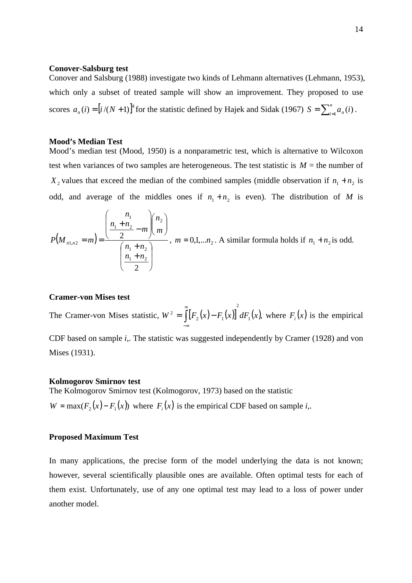#### **Conover-Salsburg test**

Conover and Salsburg (1988) investigate two kinds of Lehmann alternatives (Lehmann, 1953), which only a subset of treated sample will show an improvement. They proposed to use scores  $a_n(i) = [i/(N+1)]^4$  for the statistic defined by Hajek and Sidak (1967)  $S = \sum_{i=1}^n a_n(i)$ .

#### **Mood's Median Test**

Mood's median test (Mood, 1950) is a nonparametric test, which is alternative to Wilcoxon test when variances of two samples are heterogeneous. The test statistic is  $M =$  the number of  $X_2$  values that exceed the median of the combined samples (middle observation if  $n_1 + n_2$  is odd, and average of the middles ones if  $n_1 + n_2$  is even). The distribution of *M* is

$$
P(M_{n1,n2} = m) = \frac{\left(\frac{n_1}{2} + \frac{n_2}{2} - m\right)\left(\frac{n_2}{m}\right)}{\left(\frac{n_1 + n_2}{2}\right)}, \ m = 0,1,...n_2.
$$
 A similar formula holds if  $n_1 + n_2$  is odd.

#### **Cramer-von Mises test**

The Cramer-von Mises statistic,  $W^2 = \left[ \left[ F_2(x) - F_1(x) \right] dF_1(x) \right]$ 2  $W^{2} = \int_{0}^{\infty} [F_{2}(x) - F_{1}(x)]^{2} dF_{1}(x)$ −∞  $=$   $\left[ F_2(x) - F_1(x) \right] dF_1(x)$ , where  $F_i(x)$  is the empirical CDF based on sample *i,*. The statistic was suggested independently by Cramer (1928) and von Mises (1931).

#### **Kolmogorov Smirnov test**

The Kolmogorov Smirnov test (Kolmogorov, 1973) based on the statistic  $W = \max(F_2(x) - F_1(x))$  where  $F_i(x)$  is the empirical CDF based on sample *i*,.

#### **Proposed Maximum Test**

In many applications, the precise form of the model underlying the data is not known; however, several scientifically plausible ones are available. Often optimal tests for each of them exist. Unfortunately, use of any one optimal test may lead to a loss of power under another model.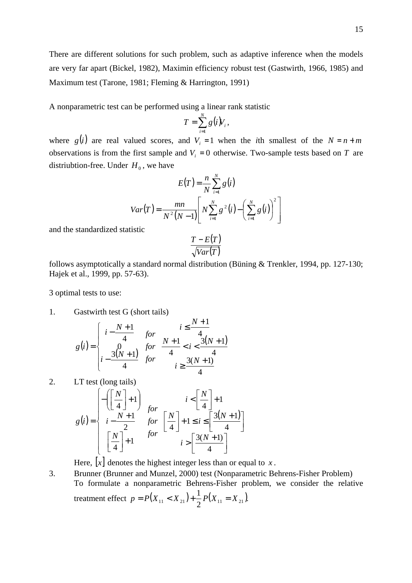There are different solutions for such problem, such as adaptive inference when the models are very far apart (Bickel, 1982), Maximin efficiency robust test (Gastwirth, 1966, 1985) and Maximum test (Tarone, 1981; Fleming & Harrington, 1991)

A nonparametric test can be performed using a linear rank statistic

$$
T=\sum_{i=1}^N g(i)V_i,
$$

where  $g(i)$  are real valued scores, and  $V_i = 1$  when the *i*th smallest of the  $N = n + m$ observations is from the first sample and  $V_i = 0$  otherwise. Two-sample tests based on *T* are distriubtion-free. Under  $H_0$ , we have

$$
E(T) = \frac{n}{N} \sum_{i=1}^{N} g(i)
$$

$$
Var(T) = \frac{mn}{N^{2}(N-1)} \left[ N \sum_{i=1}^{N} g^{2}(i) - \left( \sum_{i=1}^{N} g(i) \right)^{2} \right]
$$

and the standardized statistic

$$
\frac{T - E(T)}{\sqrt{Var(T)}}
$$

follows asymptotically a standard normal distribution (Büning & Trenkler, 1994, pp. 127-130; Hajek et al., 1999, pp. 57-63).

3 optimal tests to use:

1. Gastwirth test G (short tails)

$$
g(i) = \begin{cases} i - \frac{N+1}{4} & \text{for} & i \le \frac{N+1}{4} \\ 0 & \text{for} & \frac{N+1}{4} < i < \frac{3(N+1)}{4} \\ i - \frac{3(N+1)}{4} & \text{for} & i \ge \frac{3(N+1)}{4} \end{cases}
$$

2. LT test (long tails)

$$
g(i) = \begin{cases} -\left(\left[\frac{N}{4}\right] + 1\right) & i < \left[\frac{N}{4}\right] + 1\\ i - \frac{N+1}{2} & for \left[\frac{N}{4}\right] + 1 \le i \le \left[\frac{3(N+1)}{4}\right] \\ \left[\frac{N}{4}\right] + 1 & for i > \left[\frac{3(N+1)}{4}\right] \end{cases}
$$

Here,  $[x]$  denotes the highest integer less than or equal to *x*.

3. Brunner (Brunner and Munzel, 2000) test (Nonparametric Behrens-Fisher Problem) To formulate a nonparametric Behrens-Fisher problem, we consider the relative treatment effect  $p = P(X_{11} < X_{21}) + \frac{1}{2} P(X_{11} = X_{21}).$ 2  $p = P(X_{11} < X_{21}) + \frac{1}{2}P(X_{11} = X_{21})$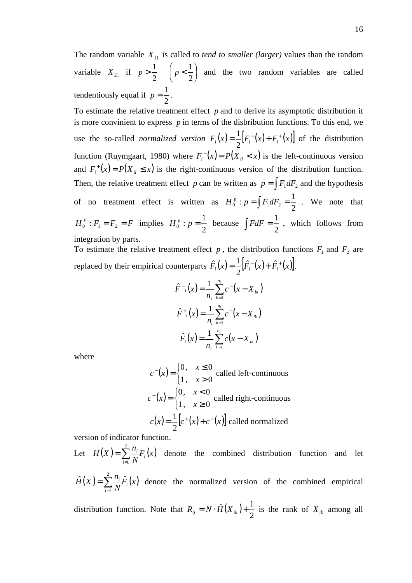The random variable  $X_{11}$  is called to *tend to smaller (larger)* values than the random variable  $X_{21}$  if  $p > \frac{1}{2}$   $\left(p < \frac{1}{2}\right)$  $\left(p<\frac{1}{2}\right)$ l ſ  $> \frac{1}{2}$  | p < 2 1 2  $p > \frac{1}{q}$   $\left(p < \frac{1}{q}\right)$  and the two random variables are called tendentiously equal if 2  $p = \frac{1}{2}$ .

To estimate the relative treatment effect *p* and to derive its asymptotic distribution it is more convinient to express  $p$  in terms of the disbribution functions. To this end, we use the so-called *normalized version*  $F_i(x) = \frac{1}{2} [F_i^-(x) + F_i^+(x)]$ 2  $\frac{1}{2} [F_i^-(x) + F_i^+(x)]$  of the distribution function (Ruymgaart, 1980) where  $F_i(x) = P(X_i < x)$  is the left-continuous version and  $F_i^+(x) = P(X_i \le x)$  is the right-continuous version of the distribution function. Then, the relative treatment effect *p* can be written as  $p = \int F_1 dF_2$  and the hypothesis of no treatment effect is written as 2  $H_0^p$ :  $p = \int F_1 dF_2 = \frac{1}{2}$ . We note that  $H_0^F$  :  $F_1 = F_2 = F$  $_0^F: F_1 = F_2 = F$  implies  $H_0^p: p = \frac{1}{2}$  $H_0^p : p = \frac{1}{2}$  because 2  $\int FdF = \frac{1}{2}$ , which follows from integration by parts.

To estimate the relative treatment effect  $p$ , the distribution functions  $F_1$  and  $F_2$  are replaced by their empirical counterparts  $\hat{F}_i(x) = \frac{1}{2} [\hat{F}_i^-(x) + \hat{F}_i^+(x)].$ 2  $\hat{F}_i(x) = \frac{1}{2} [\hat{F}_i(x) + \hat{F}_i^+(x)].$ 

$$
\hat{F}^{-1}(x) = \frac{1}{n_i} \sum_{k=1}^{n_i} c^{-1}(x - X_{ik})
$$
\n
$$
\hat{F}^{+1}(x) = \frac{1}{n_i} \sum_{k=1}^{n_i} c^{+1}(x - X_{ik})
$$
\n
$$
\hat{F}^{-1}(x) = \frac{1}{n_i} \sum_{k=1}^{n_i} c(x - X_{ik})
$$

where

$$
c^{-}(x) = \begin{cases} 0, & x \le 0 \\ 1, & x > 0 \end{cases}
$$
called left-continuous  

$$
c^{+}(x) = \begin{cases} 0, & x < 0 \\ 1, & x \ge 0 \end{cases}
$$
called right-continuous  

$$
c(x) = \frac{1}{2} [c^{+}(x) + c^{-}(x)]
$$
 called normalized

version of indicator function.

Let  $H(X) = \sum_{i} \frac{n_i}{N} F_i(x)$ *N*  $H(X) = \sum_{i=1}^{n} \frac{n_i}{N} F_i$ *i*  $\sum_{i=1}^n \frac{n_i}{n_i}$ = = 2 1 denote the combined distribution function and let

 $(X) = \sum_{i=1}^{n} \frac{n_i}{r_i} \hat{F}_i(x)$ *N*  $\hat{H}(X) = \sum_{i=1}^{n} \frac{n_i}{N} \hat{F}_i$ *i*  $\hat{H}(X) = \sum_{i=1}^{n} \frac{n_i}{F} \hat{F}$ 1  $\tilde{\sum}$ =  $=\sum_{i=1}^{n}F_i(x)$  denote the normalized version of the combined empirical

distribution function. Note that  $R_{ij} = N \cdot \hat{H}(X_{ik})$ 2  $R_{ij} = N \cdot \hat{H}(X_{ik}) + \frac{1}{2}$  is the rank of  $X_{ik}$  among all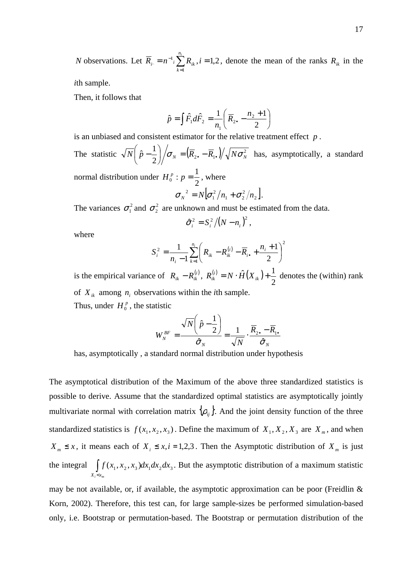*N* observations. Let  $R_i = n^{-1} \sum R_{ik}$ ,  $i = 1,2$ 1  $=n^{-1}$  i  $\sum_{i=1}^{n} R_{ik}$  ,  $i=$ =  $\overline{R}_{_{i\cdot }}=n^{-1}$  ;  $\sum R_{_{ik}}$  ,  $i$ *ni k*  $n_i = n^{-1} \sum R_{ik}$ ,  $i = 1, 2$ , denote the mean of the ranks  $R_{ik}$  in the

*i*th sample.

Then, it follows that

$$
\hat{p} = \int \hat{F}_1 d\hat{F}_2 = \frac{1}{n_1} \left( \overline{R}_{2\bullet} - \frac{n_2 + 1}{2} \right)
$$

is an unbiased and consistent estimator for the relative treatment effect *p* .

The statistic  $\sqrt{N} \left( \hat{p} - \frac{1}{2} \right) \middle/ \sigma_N = \left( \overline{R}_{2\bullet} - \overline{R}_{1\bullet} \right) \middle/ \sqrt{N \sigma_N^2}$  $\overline{N}\left( \left. \hat{p}-\frac{1}{2}\right) \right/ \sigma_{_{N}}=\left( \overline{R}_{2\bullet}-\overline{R}_{1\bullet}\right) \right/ \sqrt{N\sigma_{_{N}}^{2}}$  $\left(\hat{p}-\frac{1}{2}\right)$ l ſ  $-\frac{1}{2}$   $\left/ \sigma_N = \left(R_{2\bullet} - R_{1\bullet}\right) / \sqrt{N \sigma_N^2}$  has, asymptotically, a standard

normal distribution under 2  $H_0^p : p = \frac{1}{2}$ , where 2 2

$$
\sigma_N^2 = N \big[ \sigma_1^2 / n_1 + \sigma_2^2 / n_2 \big].
$$

The variances  $\sigma_1^2$  and  $\sigma_2^2$  are unknown and must be estimated from the data.

$$
\hat{\sigma}_i^2 = S_i^2 / (N - n_i)^2,
$$

where

$$
S_i^2 = \frac{1}{n_i - 1} \sum_{k=1}^{n_i} \left( R_{ik} - R_{ik}^{(i)} - \overline{R}_{i\bullet} + \frac{n_i + 1}{2} \right)^2
$$

is the empirical variance of  $R_{ik} - R_{ik}^{(i)}$ ,  $R_{ik}^{(i)} = N \cdot \hat{H}(X_{ik})$ 2  $R_{ik}^{(i)} = N \cdot \hat{H}(X_{ik}) + \frac{1}{2}$  denotes the (within) rank of  $X_{ik}$  among  $n_i$  observations within the *i*th sample.

Thus, under  $H_0^p$ , the statistic

$$
W_N^{BF} = \frac{\sqrt{N} \left(\hat{p} - \frac{1}{2}\right)}{\hat{\sigma}_N} = \frac{1}{\sqrt{N}} \cdot \frac{\overline{R}_{2\bullet} - \overline{R}_{1\bullet}}{\hat{\sigma}_N}
$$

has, asymptotically , a standard normal distribution under hypothesis

The asymptotical distribution of the Maximum of the above three standardized statistics is possible to derive. Assume that the standardized optimal statistics are asymptotically jointly multivariate normal with correlation matrix  $\{\rho_{ij}\}\$ . And the joint density function of the three standardized statistics is  $f(x_1, x_2, x_3)$ . Define the maximum of  $X_1, X_2, X_3$  are  $X_m$ , and when  $X_m \leq x$ , it means each of  $X_i \leq x, i = 1,2,3$ . Then the Asymptotic distribution of  $X_m$  is just the integral  $\int f(x_1, x_2, x_3) dx_1 dx_2 dx_3$ *Xi xm* ∫  $\prec$ . But the asymptotic distribution of a maximum statistic

may be not available, or, if available, the asymptotic approximation can be poor (Freidlin  $\&$ Korn, 2002). Therefore, this test can, for large sample-sizes be performed simulation-based only, i.e. Bootstrap or permutation-based. The Bootstrap or permutation distribution of the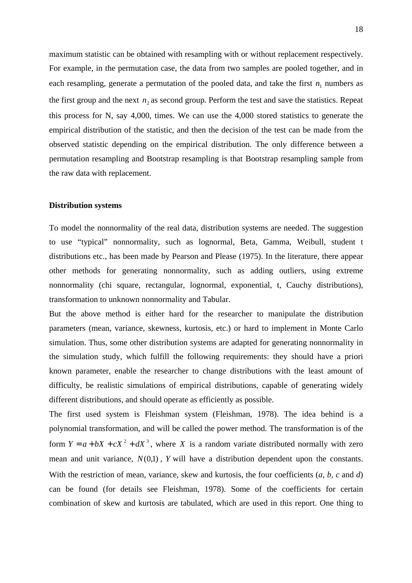maximum statistic can be obtained with resampling with or without replacement respectively. For example, in the permutation case, the data from two samples are pooled together, and in each resampling, generate a permutation of the pooled data, and take the first  $n_1$  numbers as the first group and the next  $n_2$  as second group. Perform the test and save the statistics. Repeat this process for N, say 4,000, times. We can use the 4,000 stored statistics to generate the empirical distribution of the statistic, and then the decision of the test can be made from the observed statistic depending on the empirical distribution. The only difference between a permutation resampling and Bootstrap resampling is that Bootstrap resampling sample from the raw data with replacement.

#### **Distribution systems**

To model the nonnormality of the real data, distribution systems are needed. The suggestion to use "typical" nonnormality, such as lognormal, Beta, Gamma, Weibull, student t distributions etc., has been made by Pearson and Please (1975). In the literature, there appear other methods for generating nonnormality, such as adding outliers, using extreme nonnormality (chi square, rectangular, lognormal, exponential, t, Cauchy distributions), transformation to unknown nonnormality and Tabular.

But the above method is either hard for the researcher to manipulate the distribution parameters (mean, variance, skewness, kurtosis, etc.) or hard to implement in Monte Carlo simulation. Thus, some other distribution systems are adapted for generating nonnormality in the simulation study, which fulfill the following requirements: they should have a priori known parameter, enable the researcher to change distributions with the least amount of difficulty, be realistic simulations of empirical distributions, capable of generating widely different distributions, and should operate as efficiently as possible.

The first used system is Fleishman system (Fleishman, 1978). The idea behind is a polynomial transformation, and will be called the power method. The transformation is of the form  $Y = a + bX + cX^2 + dX^3$ , where *X* is a random variate distributed normally with zero mean and unit variance,  $N(0,1)$ ,  $Y$  will have a distribution dependent upon the constants. With the restriction of mean, variance, skew and kurtosis, the four coefficients (*a, b, c* and *d*) can be found (for details see Fleishman, 1978). Some of the coefficients for certain combination of skew and kurtosis are tabulated, which are used in this report. One thing to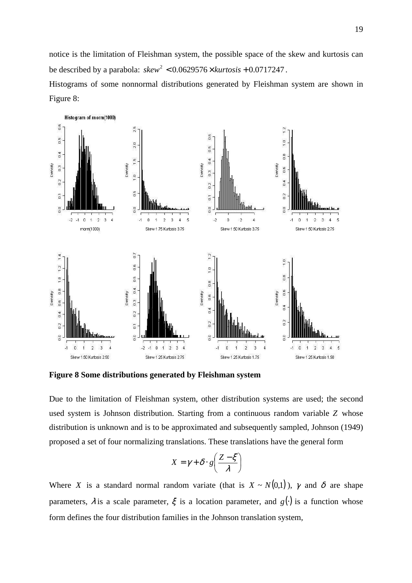notice is the limitation of Fleishman system, the possible space of the skew and kurtosis can be described by a parabola:  $skew^2 < 0.0629576 \times kurtosis + 0.0717247$ .

Histograms of some nonnormal distributions generated by Fleishman system are shown in Figure 8:



**Figure 8 Some distributions generated by Fleishman system** 

Due to the limitation of Fleishman system, other distribution systems are used; the second used system is Johnson distribution. Starting from a continuous random variable *Z* whose distribution is unknown and is to be approximated and subsequently sampled, Johnson (1949) proposed a set of four normalizing translations. These translations have the general form

$$
X = \gamma + \delta \cdot g \left( \frac{Z - \xi}{\lambda} \right)
$$

Where *X* is a standard normal random variate (that is  $X \sim N(0,1)$ ),  $\gamma$  and  $\delta$  are shape parameters,  $\lambda$  is a scale parameter,  $\xi$  is a location parameter, and  $g(\cdot)$  is a function whose form defines the four distribution families in the Johnson translation system,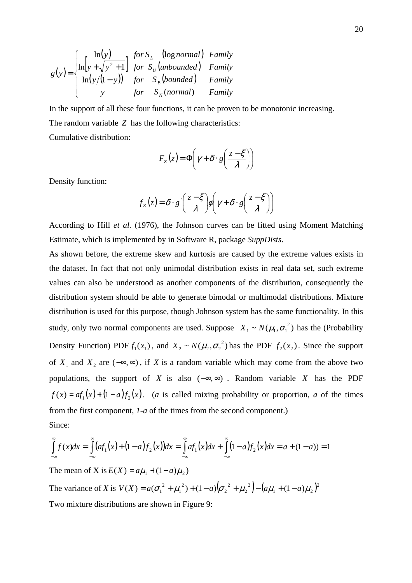$$
g(y) = \begin{cases} \ln(y) & \text{for } S_L \quad \text{(log normal)} \quad \text{Family} \\ \ln\left[y + \sqrt{y^2 + 1}\right] & \text{for } S_U \text{(unbounded)} \quad \text{Family} \\ \ln(y/(1-y)) & \text{for } S_B \text{(bounded)} \quad \text{Family} \\ y & \text{for } S_N \text{(normal)} \quad \text{Family} \end{cases}
$$

In the support of all these four functions, it can be proven to be monotonic increasing.

The random variable *Z* has the following characteristics:

Cumulative distribution:

$$
F_z(z) = \Phi\left(\gamma + \delta \cdot g\left(\frac{z - \xi}{\lambda}\right)\right)
$$

Density function:

$$
f_Z(z) = \delta \cdot g' \left( \frac{z - \xi}{\lambda} \right) \phi \left( \gamma + \delta \cdot g \left( \frac{z - \xi}{\lambda} \right) \right)
$$

According to Hill *et al.* (1976), the Johnson curves can be fitted using Moment Matching Estimate, which is implemented by in Software R, package *SuppDists*.

As shown before, the extreme skew and kurtosis are caused by the extreme values exists in the dataset. In fact that not only unimodal distribution exists in real data set, such extreme values can also be understood as another components of the distribution, consequently the distribution system should be able to generate bimodal or multimodal distributions. Mixture distribution is used for this purpose, though Johnson system has the same functionality. In this study, only two normal components are used. Suppose  $X_1 \sim N(\mu_1, \sigma_1^2)$  has the (Probability Density Function) PDF  $f_1(x_1)$ , and  $X_2 \sim N(\mu_2, \sigma_2^2)$  has the PDF  $f_2(x_2)$ . Since the support of  $X_1$  and  $X_2$  are  $(-\infty, \infty)$ , if *X* is a random variable which may come from the above two populations, the support of *X* is also ( $-\infty$ , $\infty$ ). Random variable *X* has the PDF  $f(x) = af_1(x) + (1 - a)f_2(x)$ . (*a* is called mixing probability or proportion, *a* of the times from the first component, *1-a* of the times from the second component.) Since:

$$
\int_{-\infty}^{\infty} f(x)dx = \int_{-\infty}^{\infty} (af_1(x) + (1-a)f_2(x))dx = \int_{-\infty}^{\infty} af_1(x)dx + \int_{-\infty}^{\infty} (1-a)f_2(x)dx = a + (1-a) = 1
$$

The mean of X is  $E(X) = a\mu_1 + (1 - a)\mu_2$ 

The variance of *X* is  $V(X) = a(\sigma_1^2 + \mu_1^2) + (1 - a)(\sigma_2^2 + \mu_2^2) - (a\mu_1 + (1 - a)\mu_2)^2$  $1 + (1 - u)\mu_2$ 2 2 2 2 2 1  $V(X) = a(\sigma_1^2 + \mu_1^2) + (1 - a)(\sigma_2^2 + \mu_2^2) - (a\mu_1 + (1 - a)\mu_1^2)$ Two mixture distributions are shown in Figure 9: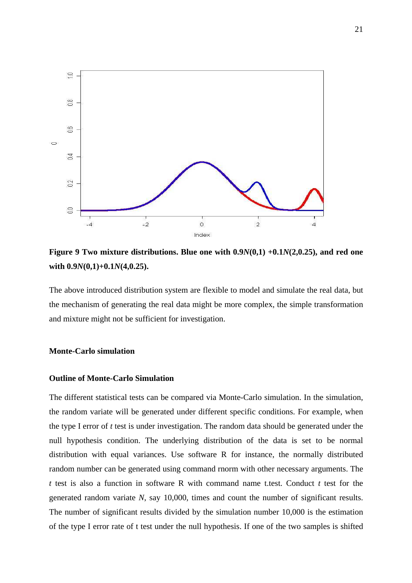

**Figure 9 Two mixture distributions. Blue one with 0.9***N***(0,1) +0.1***N***(2,0.25), and red one with 0.9***N***(0,1)+0.1***N***(4,0.25).** 

The above introduced distribution system are flexible to model and simulate the real data, but the mechanism of generating the real data might be more complex, the simple transformation and mixture might not be sufficient for investigation.

### **Monte-Carlo simulation**

## **Outline of Monte-Carlo Simulation**

The different statistical tests can be compared via Monte-Carlo simulation. In the simulation, the random variate will be generated under different specific conditions. For example, when the type I error of *t* test is under investigation. The random data should be generated under the null hypothesis condition. The underlying distribution of the data is set to be normal distribution with equal variances. Use software R for instance, the normally distributed random number can be generated using command rnorm with other necessary arguments. The *t* test is also a function in software R with command name t.test. Conduct *t* test for the generated random variate *N*, say 10,000, times and count the number of significant results. The number of significant results divided by the simulation number 10,000 is the estimation of the type I error rate of t test under the null hypothesis. If one of the two samples is shifted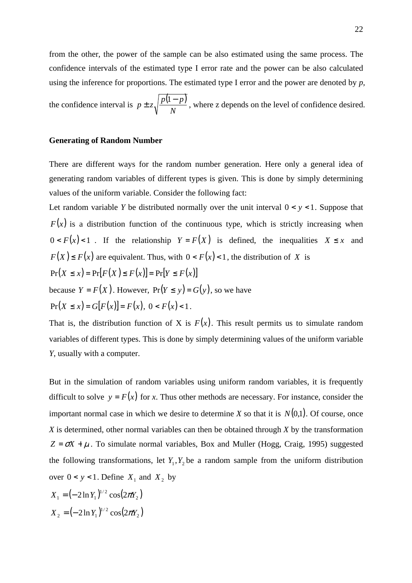from the other, the power of the sample can be also estimated using the same process. The confidence intervals of the estimated type I error rate and the power can be also calculated using the inference for proportions. The estimated type I error and the power are denoted by *p,* 

the confidence interval is  $p \pm z \sqrt{\frac{p(1-p)}{n}}$ *N*  $p \pm z \sqrt{\frac{p(1-p)}{n}}$ , where z depends on the level of confidence desired.

## **Generating of Random Number**

There are different ways for the random number generation. Here only a general idea of generating random variables of different types is given. This is done by simply determining values of the uniform variable. Consider the following fact:

Let random variable *Y* be distributed normally over the unit interval  $0 < y < 1$ . Suppose that  $F(x)$  is a distribution function of the continuous type, which is strictly increasing when  $0 < F(x) < 1$ . If the relationship  $Y = F(X)$  is defined, the inequalities  $X \leq x$  and  $F(X) \leq F(x)$  are equivalent. Thus, with  $0 \leq F(x) \leq 1$ , the distribution of *X* is  $Pr(X \le x) = Pr[F(X) \le F(x)] = Pr[Y \le F(x)]$ because  $Y = F(X)$ . However,  $Pr(Y \le y) = G(y)$ , so we have

 $Pr(X \leq x) = G[F(x)] = F(x), \ 0 < F(x) < 1.$ 

That is, the distribution function of X is  $F(x)$ . This result permits us to simulate random variables of different types. This is done by simply determining values of the uniform variable *Y*, usually with a computer.

But in the simulation of random variables using uniform random variables, it is frequently difficult to solve  $y = F(x)$  for *x*. Thus other methods are necessary. For instance, consider the important normal case in which we desire to determine *X* so that it is  $N(0,1)$ . Of course, once *X* is determined, other normal variables can then be obtained through *X* by the transformation  $Z = \sigma X + \mu$ . To simulate normal variables, Box and Muller (Hogg, Craig, 1995) suggested the following transformations, let  $Y_1, Y_2$  be a random sample from the uniform distribution over  $0 < y < 1$ . Define  $X_1$  and  $X_2$  by

$$
X_1 = (-2\ln Y_1)^{1/2} \cos(2\pi Y_2)
$$
  

$$
X_2 = (-2\ln Y_1)^{1/2} \cos(2\pi Y_2)
$$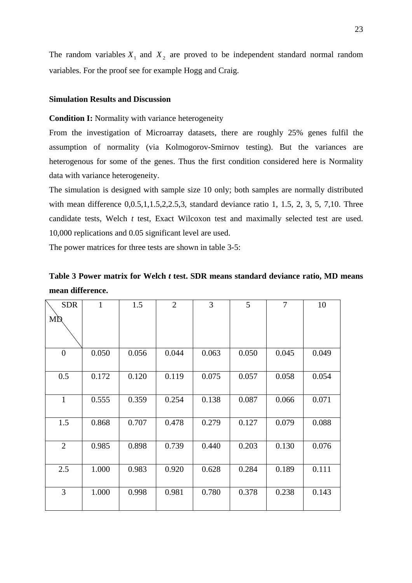The random variables  $X_1$  and  $X_2$  are proved to be independent standard normal random variables. For the proof see for example Hogg and Craig.

## **Simulation Results and Discussion**

#### **Condition I:** Normality with variance heterogeneity

From the investigation of Microarray datasets, there are roughly 25% genes fulfil the assumption of normality (via Kolmogorov-Smirnov testing). But the variances are heterogenous for some of the genes. Thus the first condition considered here is Normality data with variance heterogeneity.

The simulation is designed with sample size 10 only; both samples are normally distributed with mean difference 0,0.5,1,1.5,2,2.5,3, standard deviance ratio 1, 1.5, 2, 3, 5, 7,10. Three candidate tests, Welch *t* test, Exact Wilcoxon test and maximally selected test are used. 10,000 replications and 0.05 significant level are used.

The power matrices for three tests are shown in table 3-5:

## **Table 3 Power matrix for Welch** *t* **test. SDR means standard deviance ratio, MD means mean difference.**

| <b>SDR</b>     | $\mathbf{1}$ | 1.5   | $\overline{2}$ | 3     | 5     | 7     | 10    |
|----------------|--------------|-------|----------------|-------|-------|-------|-------|
| MĎ             |              |       |                |       |       |       |       |
| $\overline{0}$ | 0.050        | 0.056 | 0.044          | 0.063 | 0.050 | 0.045 | 0.049 |
| 0.5            | 0.172        | 0.120 | 0.119          | 0.075 | 0.057 | 0.058 | 0.054 |
| $\mathbf{1}$   | 0.555        | 0.359 | 0.254          | 0.138 | 0.087 | 0.066 | 0.071 |
| 1.5            | 0.868        | 0.707 | 0.478          | 0.279 | 0.127 | 0.079 | 0.088 |
| $\overline{2}$ | 0.985        | 0.898 | 0.739          | 0.440 | 0.203 | 0.130 | 0.076 |
| 2.5            | 1.000        | 0.983 | 0.920          | 0.628 | 0.284 | 0.189 | 0.111 |
| 3              | 1.000        | 0.998 | 0.981          | 0.780 | 0.378 | 0.238 | 0.143 |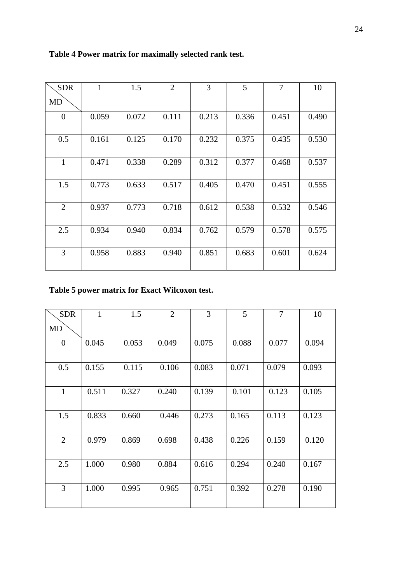## **Table 4 Power matrix for maximally selected rank test.**

| <b>SDR</b>   | $\mathbf{1}$ | 1.5   | $\overline{2}$ | 3     | 5     | $\overline{7}$ | 10    |
|--------------|--------------|-------|----------------|-------|-------|----------------|-------|
| <b>MD</b>    |              |       |                |       |       |                |       |
| $\theta$     | 0.059        | 0.072 | 0.111          | 0.213 | 0.336 | 0.451          | 0.490 |
| 0.5          | 0.161        | 0.125 | 0.170          | 0.232 | 0.375 | 0.435          | 0.530 |
| $\mathbf{1}$ | 0.471        | 0.338 | 0.289          | 0.312 | 0.377 | 0.468          | 0.537 |
| 1.5          | 0.773        | 0.633 | 0.517          | 0.405 | 0.470 | 0.451          | 0.555 |
| 2            | 0.937        | 0.773 | 0.718          | 0.612 | 0.538 | 0.532          | 0.546 |
| 2.5          | 0.934        | 0.940 | 0.834          | 0.762 | 0.579 | 0.578          | 0.575 |
| 3            | 0.958        | 0.883 | 0.940          | 0.851 | 0.683 | 0.601          | 0.624 |

## **Table 5 power matrix for Exact Wilcoxon test.**

| <b>SDR</b>     | 1     | 1.5   | $\overline{2}$ | 3     | 5     | $\overline{7}$ | 10    |
|----------------|-------|-------|----------------|-------|-------|----------------|-------|
| MD             |       |       |                |       |       |                |       |
| $\overline{0}$ | 0.045 | 0.053 | 0.049          | 0.075 | 0.088 | 0.077          | 0.094 |
| 0.5            | 0.155 | 0.115 | 0.106          | 0.083 | 0.071 | 0.079          | 0.093 |
| $\mathbf{1}$   | 0.511 | 0.327 | 0.240          | 0.139 | 0.101 | 0.123          | 0.105 |
| 1.5            | 0.833 | 0.660 | 0.446          | 0.273 | 0.165 | 0.113          | 0.123 |
| $\overline{2}$ | 0.979 | 0.869 | 0.698          | 0.438 | 0.226 | 0.159          | 0.120 |
| 2.5            | 1.000 | 0.980 | 0.884          | 0.616 | 0.294 | 0.240          | 0.167 |
| 3              | 1.000 | 0.995 | 0.965          | 0.751 | 0.392 | 0.278          | 0.190 |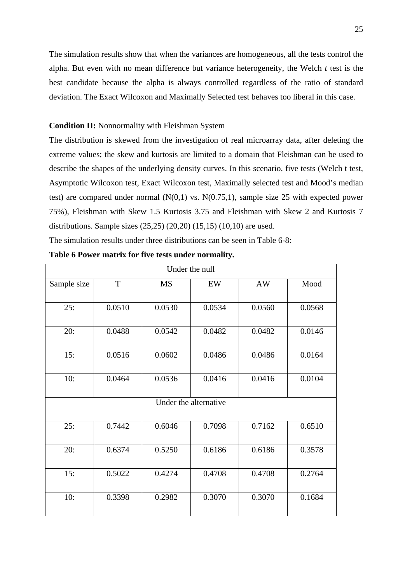The simulation results show that when the variances are homogeneous, all the tests control the alpha. But even with no mean difference but variance heterogeneity, the Welch *t* test is the best candidate because the alpha is always controlled regardless of the ratio of standard deviation. The Exact Wilcoxon and Maximally Selected test behaves too liberal in this case.

## **Condition II:** Nonnormality with Fleishman System

The distribution is skewed from the investigation of real microarray data, after deleting the extreme values; the skew and kurtosis are limited to a domain that Fleishman can be used to describe the shapes of the underlying density curves. In this scenario, five tests (Welch t test, Asymptotic Wilcoxon test, Exact Wilcoxon test, Maximally selected test and Mood's median test) are compared under normal  $(N(0,1)$  vs.  $N(0.75,1)$ , sample size 25 with expected power 75%), Fleishman with Skew 1.5 Kurtosis 3.75 and Fleishman with Skew 2 and Kurtosis 7 distributions. Sample sizes (25,25) (20,20) (15,15) (10,10) are used.

The simulation results under three distributions can be seen in Table 6-8:

| Under the null |        |           |                       |           |        |  |  |  |
|----------------|--------|-----------|-----------------------|-----------|--------|--|--|--|
| Sample size    | T      | <b>MS</b> | EW                    | <b>AW</b> | Mood   |  |  |  |
| 25:            | 0.0510 | 0.0530    | 0.0534                | 0.0560    | 0.0568 |  |  |  |
| 20:            | 0.0488 | 0.0542    | 0.0482                | 0.0482    | 0.0146 |  |  |  |
| 15:            | 0.0516 | 0.0602    | 0.0486                | 0.0486    | 0.0164 |  |  |  |
| 10:            | 0.0464 | 0.0536    | 0.0416                | 0.0416    | 0.0104 |  |  |  |
|                |        |           | Under the alternative |           |        |  |  |  |
| 25:            | 0.7442 | 0.6046    | 0.7098                | 0.7162    | 0.6510 |  |  |  |
| 20:            | 0.6374 | 0.5250    | 0.6186                | 0.6186    | 0.3578 |  |  |  |
| 15:            | 0.5022 | 0.4274    | 0.4708                | 0.4708    | 0.2764 |  |  |  |
| 10:            | 0.3398 | 0.2982    | 0.3070                | 0.3070    | 0.1684 |  |  |  |

|  |  |  | Table 6 Power matrix for five tests under normality. |
|--|--|--|------------------------------------------------------|
|  |  |  |                                                      |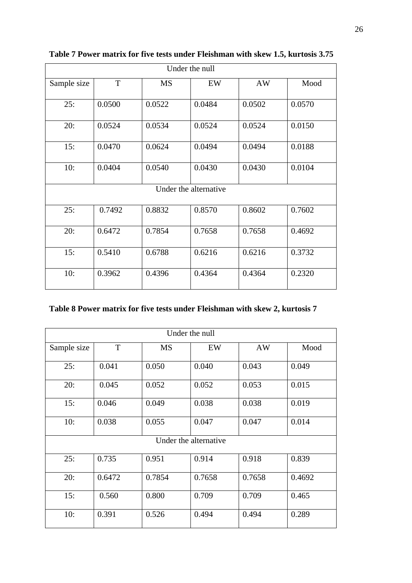| Under the null |        |           |                       |           |        |  |  |
|----------------|--------|-----------|-----------------------|-----------|--------|--|--|
| Sample size    | T      | <b>MS</b> | EW                    | <b>AW</b> | Mood   |  |  |
| 25:            | 0.0500 | 0.0522    | 0.0484                | 0.0502    | 0.0570 |  |  |
| 20:            | 0.0524 | 0.0534    | 0.0524                | 0.0524    | 0.0150 |  |  |
| 15:            | 0.0470 | 0.0624    | 0.0494                | 0.0494    | 0.0188 |  |  |
| 10:            | 0.0404 | 0.0540    | 0.0430                | 0.0430    | 0.0104 |  |  |
|                |        |           | Under the alternative |           |        |  |  |
| 25:            | 0.7492 | 0.8832    | 0.8570                | 0.8602    | 0.7602 |  |  |
| 20:            | 0.6472 | 0.7854    | 0.7658                | 0.7658    | 0.4692 |  |  |
| 15:            | 0.5410 | 0.6788    | 0.6216                | 0.6216    | 0.3732 |  |  |
| 10:            | 0.3962 | 0.4396    | 0.4364                | 0.4364    | 0.2320 |  |  |

## **Table 7 Power matrix for five tests under Fleishman with skew 1.5, kurtosis 3.75**

## **Table 8 Power matrix for five tests under Fleishman with skew 2, kurtosis 7**

| Under the null |        |           |                       |        |        |  |  |
|----------------|--------|-----------|-----------------------|--------|--------|--|--|
| Sample size    | T      | <b>MS</b> | EW                    | AW     | Mood   |  |  |
| 25:            | 0.041  | 0.050     | 0.040                 | 0.043  | 0.049  |  |  |
| 20:            | 0.045  | 0.052     | 0.052                 | 0.053  | 0.015  |  |  |
| 15:            | 0.046  | 0.049     | 0.038                 | 0.038  | 0.019  |  |  |
| 10:            | 0.038  | 0.055     | 0.047                 | 0.047  | 0.014  |  |  |
|                |        |           | Under the alternative |        |        |  |  |
| 25:            | 0.735  | 0.951     | 0.914                 | 0.918  | 0.839  |  |  |
| 20:            | 0.6472 | 0.7854    | 0.7658                | 0.7658 | 0.4692 |  |  |
| 15:            | 0.560  | 0.800     | 0.709                 | 0.709  | 0.465  |  |  |
| 10:            | 0.391  | 0.526     | 0.494                 | 0.494  | 0.289  |  |  |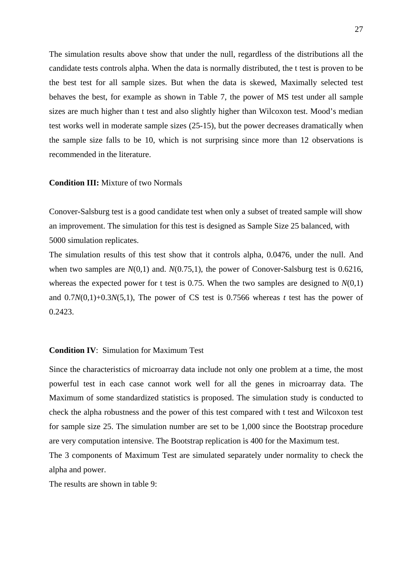The simulation results above show that under the null, regardless of the distributions all the candidate tests controls alpha. When the data is normally distributed, the t test is proven to be the best test for all sample sizes. But when the data is skewed, Maximally selected test behaves the best, for example as shown in Table 7, the power of MS test under all sample sizes are much higher than t test and also slightly higher than Wilcoxon test. Mood's median test works well in moderate sample sizes (25-15), but the power decreases dramatically when the sample size falls to be 10, which is not surprising since more than 12 observations is recommended in the literature.

#### **Condition III:** Mixture of two Normals

Conover-Salsburg test is a good candidate test when only a subset of treated sample will show an improvement. The simulation for this test is designed as Sample Size 25 balanced, with 5000 simulation replicates.

The simulation results of this test show that it controls alpha, 0.0476, under the null. And when two samples are  $N(0,1)$  and.  $N(0.75,1)$ , the power of Conover-Salsburg test is 0.6216, whereas the expected power for t test is 0.75. When the two samples are designed to *N*(0,1) and  $0.7N(0,1)+0.3N(5,1)$ , The power of CS test is 0.7566 whereas *t* test has the power of 0.2423.

### **Condition IV**: Simulation for Maximum Test

Since the characteristics of microarray data include not only one problem at a time, the most powerful test in each case cannot work well for all the genes in microarray data. The Maximum of some standardized statistics is proposed. The simulation study is conducted to check the alpha robustness and the power of this test compared with t test and Wilcoxon test for sample size 25. The simulation number are set to be 1,000 since the Bootstrap procedure are very computation intensive. The Bootstrap replication is 400 for the Maximum test.

The 3 components of Maximum Test are simulated separately under normality to check the alpha and power.

The results are shown in table 9: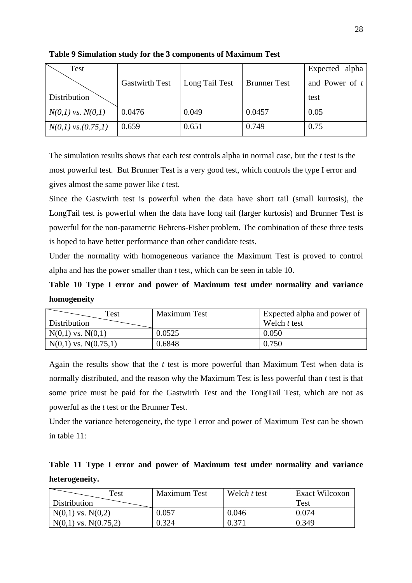| Test                  |                       |                |                     | Expected alpha   |
|-----------------------|-----------------------|----------------|---------------------|------------------|
|                       | <b>Gastwirth Test</b> | Long Tail Test | <b>Brunner</b> Test | and Power of $t$ |
| Distribution          |                       |                |                     | test             |
| $N(0,1)$ vs. $N(0,1)$ | 0.0476                | 0.049          | 0.0457              | 0.05             |
| $N(0,1)$ vs.(0.75,1)  | 0.659                 | 0.651          | 0.749               | 0.75             |

**Table 9 Simulation study for the 3 components of Maximum Test** 

The simulation results shows that each test controls alpha in normal case, but the *t* test is the most powerful test. But Brunner Test is a very good test, which controls the type I error and gives almost the same power like *t* test.

Since the Gastwirth test is powerful when the data have short tail (small kurtosis), the LongTail test is powerful when the data have long tail (larger kurtosis) and Brunner Test is powerful for the non-parametric Behrens-Fisher problem. The combination of these three tests is hoped to have better performance than other candidate tests.

Under the normality with homogeneous variance the Maximum Test is proved to control alpha and has the power smaller than *t* test, which can be seen in table 10.

**Table 10 Type I error and power of Maximum test under normality and variance homogeneity** 

| Test                     | <b>Maximum Test</b> | Expected alpha and power of |
|--------------------------|---------------------|-----------------------------|
| Distribution             |                     | Welch t test                |
| $N(0,1)$ vs. $N(0,1)$    | 0.0525              | 0.050                       |
| $N(0,1)$ vs. $N(0.75,1)$ | 0.6848              | 0.750                       |

Again the results show that the *t* test is more powerful than Maximum Test when data is normally distributed, and the reason why the Maximum Test is less powerful than *t* test is that some price must be paid for the Gastwirth Test and the TongTail Test, which are not as powerful as the *t* test or the Brunner Test.

Under the variance heterogeneity, the type I error and power of Maximum Test can be shown in table 11:

**Table 11 Type I error and power of Maximum test under normality and variance heterogeneity.** 

| Test                     | <b>Maximum Test</b> | Welch t test   | Exact Wilcoxon |
|--------------------------|---------------------|----------------|----------------|
| Distribution             |                     |                | <b>Test</b>    |
| $N(0,1)$ vs. $N(0,2)$    | 0.57.د              | 0.046          | 0.074          |
| $N(0,1)$ vs. $N(0.75,2)$ | ).324               | $0.37^{\circ}$ | 0.349          |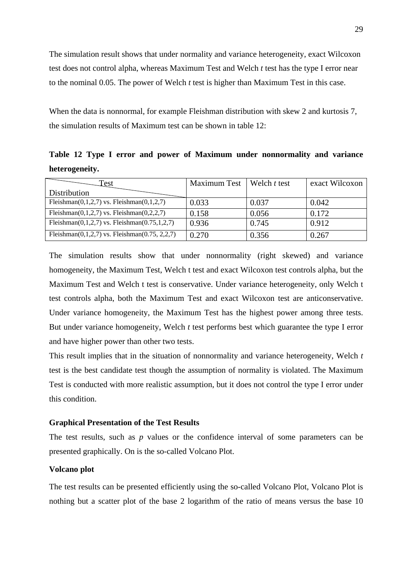The simulation result shows that under normality and variance heterogeneity, exact Wilcoxon test does not control alpha, whereas Maximum Test and Welch *t* test has the type I error near to the nominal 0.05. The power of Welch *t* test is higher than Maximum Test in this case.

When the data is nonnormal, for example Fleishman distribution with skew 2 and kurtosis 7, the simulation results of Maximum test can be shown in table 12:

**Table 12 Type I error and power of Maximum under nonnormality and variance heterogeneity.** 

| Test                                                | <b>Maximum Test</b> | Welch t test | exact Wilcoxon |
|-----------------------------------------------------|---------------------|--------------|----------------|
| Distribution                                        |                     |              |                |
| Fleishman $(0,1,2,7)$ vs. Fleishman $(0,1,2,7)$     | 0.033               | 0.037        | 0.042          |
| Fleishman $(0,1,2,7)$ vs. Fleishman $(0,2,2,7)$     | 0.158               | 0.056        | 0.172          |
| Fleishman $(0,1,2,7)$ vs. Fleishman $(0.75,1,2,7)$  | 0.936               | 0.745        | 0.912          |
| Fleishman $(0,1,2,7)$ vs. Fleishman $(0.75, 2,2,7)$ | 0.270               | 0.356        | 0.267          |

The simulation results show that under nonnormality (right skewed) and variance homogeneity, the Maximum Test, Welch t test and exact Wilcoxon test controls alpha, but the Maximum Test and Welch t test is conservative. Under variance heterogeneity, only Welch t test controls alpha, both the Maximum Test and exact Wilcoxon test are anticonservative. Under variance homogeneity, the Maximum Test has the highest power among three tests. But under variance homogeneity, Welch *t* test performs best which guarantee the type I error and have higher power than other two tests.

This result implies that in the situation of nonnormality and variance heterogeneity, Welch *t* test is the best candidate test though the assumption of normality is violated. The Maximum Test is conducted with more realistic assumption, but it does not control the type I error under this condition.

### **Graphical Presentation of the Test Results**

The test results, such as *p* values or the confidence interval of some parameters can be presented graphically. On is the so-called Volcano Plot.

### **Volcano plot**

The test results can be presented efficiently using the so-called Volcano Plot, Volcano Plot is nothing but a scatter plot of the base 2 logarithm of the ratio of means versus the base 10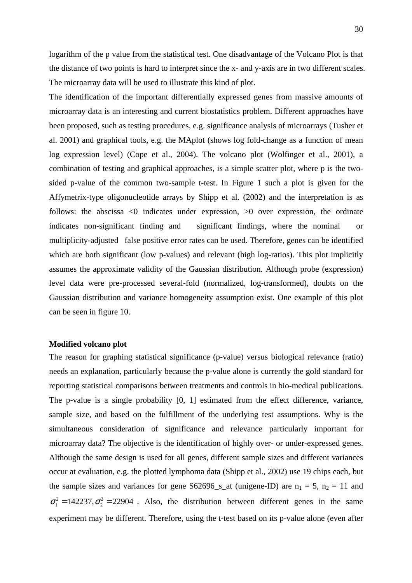logarithm of the p value from the statistical test. One disadvantage of the Volcano Plot is that the distance of two points is hard to interpret since the x- and y-axis are in two different scales. The microarray data will be used to illustrate this kind of plot.

The identification of the important differentially expressed genes from massive amounts of microarray data is an interesting and current biostatistics problem. Different approaches have been proposed, such as testing procedures, e.g. significance analysis of microarrays (Tusher et al. 2001) and graphical tools, e.g. the MAplot (shows log fold-change as a function of mean log expression level) (Cope et al., 2004). The volcano plot (Wolfinger et al., 2001), a combination of testing and graphical approaches, is a simple scatter plot, where p is the twosided p-value of the common two-sample t-test. In Figure 1 such a plot is given for the Affymetrix-type oligonucleotide arrays by Shipp et al. (2002) and the interpretation is as follows: the abscissa  $\leq 0$  indicates under expression,  $\geq 0$  over expression, the ordinate indicates non-significant finding and significant findings, where the nominal or multiplicity-adjusted false positive error rates can be used. Therefore, genes can be identified which are both significant (low p-values) and relevant (high log-ratios). This plot implicitly assumes the approximate validity of the Gaussian distribution. Although probe (expression) level data were pre-processed several-fold (normalized, log-transformed), doubts on the Gaussian distribution and variance homogeneity assumption exist. One example of this plot can be seen in figure 10.

### **Modified volcano plot**

The reason for graphing statistical significance (p-value) versus biological relevance (ratio) needs an explanation, particularly because the p-value alone is currently the gold standard for reporting statistical comparisons between treatments and controls in bio-medical publications. The p-value is a single probability [0, 1] estimated from the effect difference, variance, sample size, and based on the fulfillment of the underlying test assumptions. Why is the simultaneous consideration of significance and relevance particularly important for microarray data? The objective is the identification of highly over- or under-expressed genes. Although the same design is used for all genes, different sample sizes and different variances occur at evaluation, e.g. the plotted lymphoma data (Shipp et al., 2002) use 19 chips each, but the sample sizes and variances for gene S62696\_s\_at (unigene-ID) are  $n_1 = 5$ ,  $n_2 = 11$  and  $\sigma_1^2 = 142237$ ,  $\sigma_2^2 = 22904$ . Also, the distribution between different genes in the same experiment may be different. Therefore, using the t-test based on its p-value alone (even after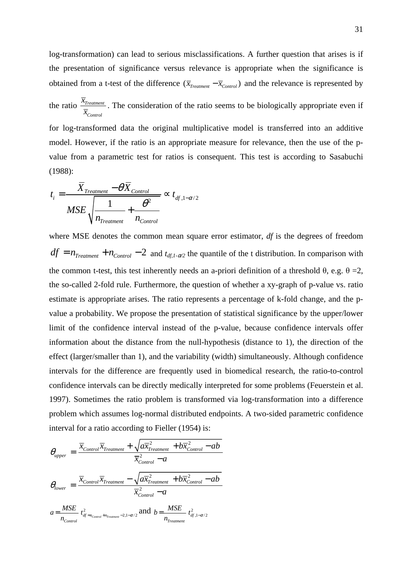log-transformation) can lead to serious misclassifications. A further question that arises is if the presentation of significance versus relevance is appropriate when the significance is obtained from a t-test of the difference  $(\overline{x}_{t_{\text{rearment}}} - \overline{x}_{\text{Control}})$  and the relevance is represented by

the ratio  $\frac{A_{Treatment}}{A_{T}}$ *Control x x* . The consideration of the ratio seems to be biologically appropriate even if

for log-transformed data the original multiplicative model is transferred into an additive model. However, if the ratio is an appropriate measure for relevance, then the use of the pvalue from a parametric test for ratios is consequent. This test is according to Sasabuchi (1988):

$$
t_i = \frac{\overline{X}_{Treatment} - \theta \overline{X}_{Control}}{MSE \sqrt{\frac{1}{n_{Treatment}} + \frac{\theta^2}{n_{Control}}}} \propto t_{df, 1-\alpha/2}
$$

where MSE denotes the common mean square error estimator, *df* is the degrees of freedom  $df = n_{\text{Treatment}} + n_{\text{Control}} - 2$  and  $t_{\text{df},1-\alpha/2}$  the quantile of the t distribution. In comparison with the common t-test, this test inherently needs an a-priori definition of a threshold  $\theta$ , e.g.  $\theta = 2$ , the so-called 2-fold rule. Furthermore, the question of whether a xy-graph of p-value vs. ratio estimate is appropriate arises. The ratio represents a percentage of k-fold change, and the pvalue a probability. We propose the presentation of statistical significance by the upper/lower limit of the confidence interval instead of the p-value, because confidence intervals offer information about the distance from the null-hypothesis (distance to 1), the direction of the effect (larger/smaller than 1), and the variability (width) simultaneously. Although confidence intervals for the difference are frequently used in biomedical research, the ratio-to-control confidence intervals can be directly medically interpreted for some problems (Feuerstein et al. 1997). Sometimes the ratio problem is transformed via log-transformation into a difference problem which assumes log-normal distributed endpoints. A two-sided parametric confidence interval for a ratio according to Fieller (1954) is:

$$
\theta_{upper} = \frac{\overline{x}_{Control}\overline{x}_{Treatment} + \sqrt{a\overline{x}_{Treatment}^{2} + b\overline{x}_{Control}^{2} - ab}}{\overline{x}_{Control}^{2} - a}
$$
\n
$$
\theta_{lower} = \frac{\overline{x}_{Control}\overline{x}_{Treatment} - \sqrt{a\overline{x}_{Treatment}^{2} + b\overline{x}_{Control}^{2} - ab}}{\overline{x}_{Control}^{2} - a}
$$
\n
$$
a = \frac{MSE}{n_{Control}} t_{df=n_{Control}+n_{Treatment} - 2,1-\alpha/2}^{2} \text{ and } b = \frac{MSE}{n_{Treatment}} t_{df,1-\alpha/2}^{2}
$$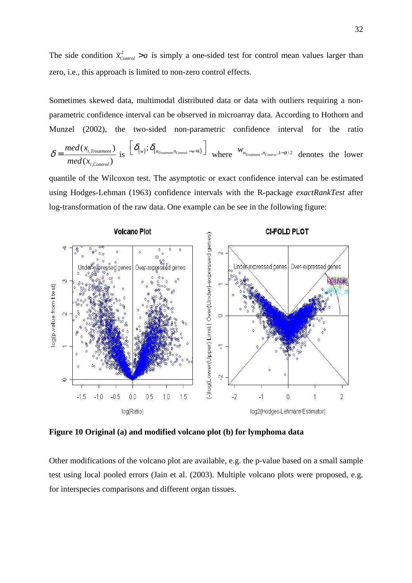The side condition  $\overline{x}_{Control}^2 > a$  is simply a one-sided test for control mean values larger than zero, i.e., this approach is limited to non-zero control effects.

Sometimes skewed data, multimodal distributed data or data with outliers requiring a nonparametric confidence interval can be observed in microarray data. According to Hothorn and Munzel (2002), the two-sided non-parametric confidence interval for the ratio , ,  $(x_{i \text{ Treatment}})$  $(x_{i,Control})$ *i Treatment i Control med x*  $med(x$  $\delta = \frac{med(x_{i, Treatment})}{l}$  is  $\left[\delta_{(w)}; \delta_{(n_{Treatment}n_{Control}-w+1)}\right]$  where  $w_{n_{Treatment},n_{Control},1-\alpha/2}$  denotes the lower

quantile of the Wilcoxon test. The asymptotic or exact confidence interval can be estimated using Hodges-Lehman (1963) confidence intervals with the R-package *exactRankTest* after log-transformation of the raw data. One example can be see in the following figure:



**Figure 10 Original (a) and modified volcano plot (b) for lymphoma data** 

Other modifications of the volcano plot are available, e.g. the p-value based on a small sample test using local pooled errors (Jain et al. (2003). Multiple volcano plots were proposed, e.g. for interspecies comparisons and different organ tissues.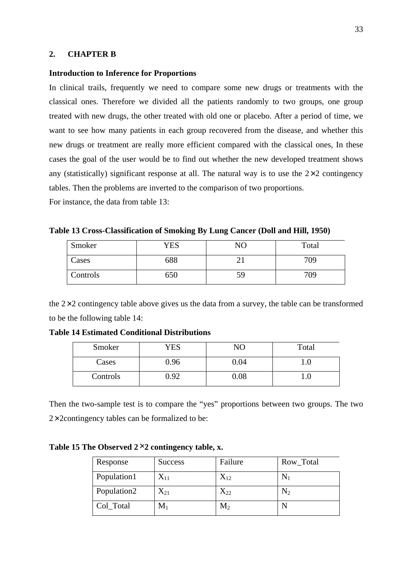# **2. CHAPTER B**

#### **Introduction to Inference for Proportions**

In clinical trails, frequently we need to compare some new drugs or treatments with the classical ones. Therefore we divided all the patients randomly to two groups, one group treated with new drugs, the other treated with old one or placebo. After a period of time, we want to see how many patients in each group recovered from the disease, and whether this new drugs or treatment are really more efficient compared with the classical ones, In these cases the goal of the user would be to find out whether the new developed treatment shows any (statistically) significant response at all. The natural way is to use the  $2\times 2$  contingency tables. Then the problems are inverted to the comparison of two proportions.

For instance, the data from table 13:

|  | Table 13 Cross-Classification of Smoking By Lung Cancer (Doll and Hill, 1950) |  |  |  |  |
|--|-------------------------------------------------------------------------------|--|--|--|--|
|  |                                                                               |  |  |  |  |

| Smoker   | YES | NO | Total |
|----------|-----|----|-------|
| Cases    | 688 |    | 709   |
| Controls | 650 | 59 | 709   |

the  $2\times 2$  contingency table above gives us the data from a survey, the table can be transformed to be the following table 14:

| Smoker   | YES  | NO       | Total |
|----------|------|----------|-------|
| Cases    | 0.96 | 0.04     | 1.0   |
| Controls | 9.2  | $0.08\,$ | I.U   |

**Table 14 Estimated Conditional Distributions** 

Then the two-sample test is to compare the "yes" proportions between two groups. The two  $2\times 2$ contingency tables can be formalized to be:

## **Table 15 The Observed 2**×**2 contingency table, x.**

| Response    | <b>Success</b> | Failure  | Row_Total |
|-------------|----------------|----------|-----------|
| Population1 | $X_{11}$       | $X_{12}$ |           |
| Population2 | $X_{21}$       | $X_{22}$ | $\rm N_2$ |
| Col_Total   | $\mathbf{M}_1$ | $M_2$    |           |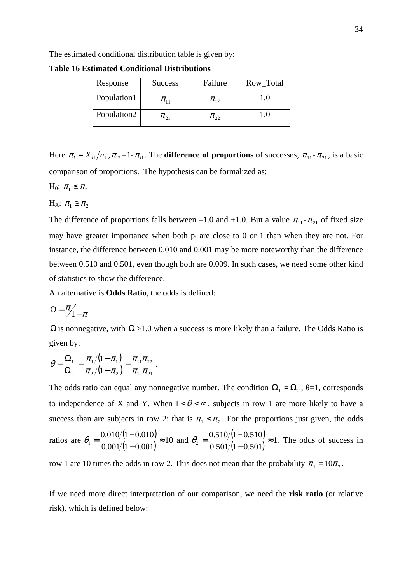The estimated conditional distribution table is given by:

**Table 16 Estimated Conditional Distributions** 

| Response    | <b>Success</b>                        | Failure    | Row_Total |
|-------------|---------------------------------------|------------|-----------|
| Population1 | $\pi_{\scriptscriptstyle{\text{11}}}$ | $\pi_{12}$ |           |
| Population2 | $\pi_{21}$                            | $\pi_{22}$ | LU.       |

Here  $\pi_i = X_{i1}/n_1$ ,  $\pi_{i2} = 1 - \pi_{i1}$ . The **difference of proportions** of successes,  $\pi_{11} - \pi_{21}$ , is a basic comparison of proportions. The hypothesis can be formalized as:

H<sub>0</sub>:  $\pi_1 \leq \pi_2$ 

H<sub>A</sub>:  $\pi_1 \geq \pi_2$ 

The difference of proportions falls between –1.0 and +1.0. But a value  $\pi_{11}$ - $\pi_{21}$  of fixed size may have greater importance when both  $p_i$  are close to 0 or 1 than when they are not. For instance, the difference between 0.010 and 0.001 may be more noteworthy than the difference between 0.510 and 0.501, even though both are 0.009. In such cases, we need some other kind of statistics to show the difference.

An alternative is **Odds Ratio**, the odds is defined:

$$
\Omega = \frac{\pi}{1 - \pi}
$$

 $Ω$  is nonnegative, with  $Ω > 1.0$  when a success is more likely than a failure. The Odds Ratio is given by:

$$
\theta = \frac{\Omega_1}{\Omega_2} = \frac{\pi_1/(1-\pi_1)}{\pi_2/(1-\pi_2)} = \frac{\pi_{11}\pi_{22}}{\pi_{12}\pi_{21}}.
$$

The odds ratio can equal any nonnegative number. The condition  $\Omega_1 = \Omega_2$ ,  $\theta = 1$ , corresponds to independence of X and Y. When  $1 < \theta < \infty$ , subjects in row 1 are more likely to have a success than are subjects in row 2; that is  $\pi_1 < \pi_2$ . For the proportions just given, the odds

ratios are 
$$
\theta_1 = \frac{0.010/(1 - 0.010)}{0.001/(1 - 0.001)} \approx 10
$$
 and  $\theta_2 = \frac{0.510/(1 - 0.510)}{0.501/(1 - 0.501)} \approx 1$ . The odds of success in

row 1 are 10 times the odds in row 2. This does not mean that the probability  $\pi_1 = 10\pi_2$ .

If we need more direct interpretation of our comparison, we need the **risk ratio** (or relative risk), which is defined below: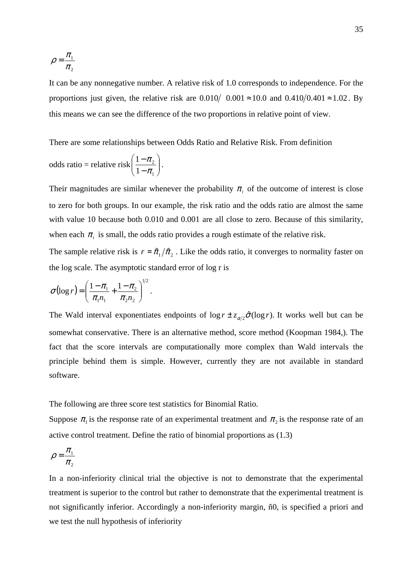$$
\rho = \frac{\pi_1}{\pi_2}
$$

It can be any nonnegative number. A relative risk of 1.0 corresponds to independence. For the proportions just given, the relative risk are  $0.010/0.001 \approx 10.0$  and  $0.410/0.401 \approx 1.02$ . By this means we can see the difference of the two proportions in relative point of view.

There are some relationships between Odds Ratio and Relative Risk. From definition

odds ratio = relative risk 
$$
\left(\frac{1-\pi_2}{1-\pi_1}\right)
$$
.

Their magnitudes are similar whenever the probability  $\pi$ <sub>i</sub> of the outcome of interest is close to zero for both groups. In our example, the risk ratio and the odds ratio are almost the same with value 10 because both 0.010 and 0.001 are all close to zero. Because of this similarity, when each  $\pi$ <sub>*i*</sub> is small, the odds ratio provides a rough estimate of the relative risk.

The sample relative risk is  $r = \hat{\pi}_1 / \hat{\pi}_2$ . Like the odds ratio, it converges to normality faster on the log scale. The asymptotic standard error of log r is

$$
\sigma(\log r) = \left(\frac{1-\pi_1}{\pi_1 n_1} + \frac{1-\pi_2}{\pi_2 n_2}\right)^{1/2}.
$$

The Wald interval exponentiates endpoints of  $\log r \pm z_{\alpha/2} \hat{\sigma}(\log r)$ . It works well but can be somewhat conservative. There is an alternative method, score method (Koopman 1984,). The fact that the score intervals are computationally more complex than Wald intervals the principle behind them is simple. However, currently they are not available in standard software.

The following are three score test statistics for Binomial Ratio.

Suppose  $\pi_1$  is the response rate of an experimental treatment and  $\pi_2$  is the response rate of an active control treatment. Define the ratio of binomial proportions as (1.3)

$$
\rho = \frac{\pi_1}{\pi_2}
$$

In a non-inferiority clinical trial the objective is not to demonstrate that the experimental treatment is superior to the control but rather to demonstrate that the experimental treatment is not significantly inferior. Accordingly a non-inferiority margin, ñ0, is specified a priori and we test the null hypothesis of inferiority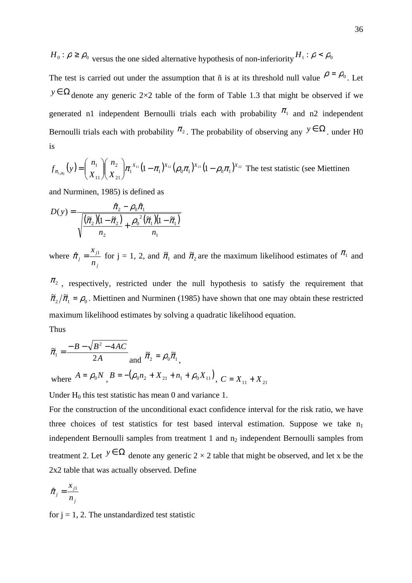$H_0$ :  $\rho \ge \rho_0$  versus the one sided alternative hypothesis of non-inferiority  $H_1$ :  $\rho < \rho_0$ 

The test is carried out under the assumption that ñ is at its threshold null value  $\rho = \rho_0$ . Let *y* ∈  $\Omega$  denote any generic 2×2 table of the form of Table 1.3 that might be observed if we generated n1 independent Bernoulli trials each with probability  $\pi_1$  and n2 independent Bernoulli trials each with probability  $\pi_2$ . The probability of observing any  $y \in \Omega$ . under H0 is

$$
f_{\pi_{1,\rho_0}}(y) = {n_1 \choose X_{11}} {n_2 \choose X_{21}} \pi_1^{X_{11}} (1 - \pi_1)^{X_{12}} (\rho_0 \pi_1)^{X_{21}} (1 - \rho_0 \pi_1)^{X_{22}}
$$
 The test statistic (see Miettinen

and Nurminen, 1985) is defined as

$$
D(y) = \frac{\hat{\pi}_2 - \rho_0 \hat{\pi}_1}{\sqrt{\frac{(\tilde{\pi}_2)(1 - \tilde{\pi}_2)}{n_2} + \frac{\rho_0^2(\tilde{\pi}_1)(1 - \tilde{\pi}_1)}{n_1}}}
$$

where *j j j n*  $x_{j1}$  $\hat{\pi}_j = \frac{x_{j1}}{n}$  for j = 1, 2, and  $\tilde{\pi}_1$  and  $\tilde{\pi}_2$  are the maximum likelihood estimates of  $\pi_1$  and

 $\pi$ <sup>2</sup>, respectively, restricted under the null hypothesis to satisfy the requirement that  $\tilde{\pi}_2/\tilde{\pi}_1 = \rho_0$ . Miettinen and Nurminen (1985) have shown that one may obtain these restricted maximum likelihood estimates by solving a quadratic likelihood equation. Thus

$$
\tilde{\pi}_1 = \frac{-B - \sqrt{B^2 - 4AC}}{2A} \text{ and } \tilde{\pi}_2 = \rho_0 \tilde{\pi}_1,
$$
  
where  $A = \rho_0 N$ ,  $B = -(\rho_0 n_2 + X_{21} + n_1 + \rho_0 X_{11})$ ,  $C = X_{11} + X_{21}$ 

Under  $H_0$  this test statistic has mean 0 and variance 1.

For the construction of the unconditional exact confidence interval for the risk ratio, we have three choices of test statistics for test based interval estimation. Suppose we take  $n_1$ independent Bernoulli samples from treatment  $1$  and  $n_2$  independent Bernoulli samples from treatment 2. Let  $y \in \Omega$  denote any generic 2 × 2 table that might be observed, and let x be the 2x2 table that was actually observed. Define

$$
\hat{\pi}_j = \frac{x_{j1}}{n_j}
$$

for  $i = 1, 2$ . The unstandardized test statistic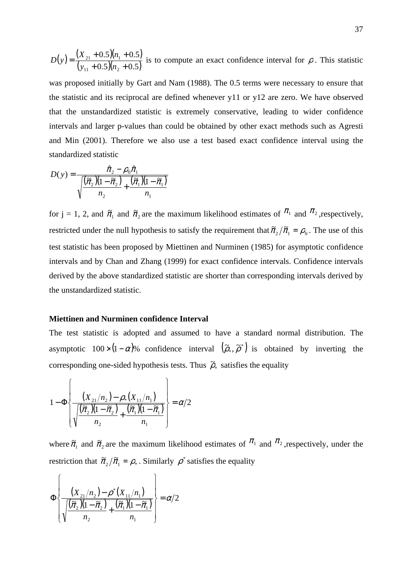$$
D(y) = \frac{(X_{21} + 0.5)(n_1 + 0.5)}{(y_{11} + 0.5)(n_2 + 0.5)}
$$
 is to compute an exact confidence interval for  $\rho$ . This statistic

was proposed initially by Gart and Nam (1988). The 0.5 terms were necessary to ensure that the statistic and its reciprocal are defined whenever y11 or y12 are zero. We have observed that the unstandardized statistic is extremely conservative, leading to wider confidence intervals and larger p-values than could be obtained by other exact methods such as Agresti and Min (2001). Therefore we also use a test based exact confidence interval using the standardized statistic

$$
D(y) = \frac{\hat{\pi}_2 - \rho_0 \hat{\pi}_1}{\sqrt{\frac{(\tilde{\pi}_2)(1 - \tilde{\pi}_2)}{n_2} + \frac{(\tilde{\pi}_1)(1 - \tilde{\pi}_1)}{n_1}}}
$$

for  $j = 1, 2$ , and  $\tilde{\pi}_1$  and  $\tilde{\pi}_2$  are the maximum likelihood estimates of  $\pi_1$  and  $\pi_2$ , respectively, restricted under the null hypothesis to satisfy the requirement that  $\tilde{\pi}_2/\tilde{\pi}_1 = \rho_0$ . The use of this test statistic has been proposed by Miettinen and Nurminen (1985) for asymptotic confidence intervals and by Chan and Zhang (1999) for exact confidence intervals. Confidence intervals derived by the above standardized statistic are shorter than corresponding intervals derived by the unstandardized statistic.

#### **Miettinen and Nurminen confidence Interval**

The test statistic is adopted and assumed to have a standard normal distribution. The asymptotic 100× $(1-\alpha)$ % confidence interval  $(\tilde{\rho}_*, \tilde{\rho}^*)$  $(\tilde{\rho}_*, \tilde{\rho}^*)$  is obtained by inverting the corresponding one-sided hypothesis tests. Thus  $\tilde{\rho}_*$  satisfies the equality

$$
1 - \Phi \left\{ \frac{(X_{21}/n_2) - \rho_*(X_{11}/n_1)}{\sqrt{\frac{(\tilde{\pi}_2)(1 - \tilde{\pi}_2)}{n_2} + \frac{(\tilde{\pi}_1)(1 - \tilde{\pi}_1)}{n_1}}} \right\} = \alpha/2
$$

where  $\tilde{\pi}_1$  and  $\tilde{\pi}_2$  are the maximum likelihood estimates of  $\pi_1$  and  $\pi_2$ , respectively, under the restriction that  $\tilde{\pi}_2 / \tilde{\pi}_1 = \rho_*$ . Similarly  $\rho^*$  satisfies the equality

$$
\Phi\left\{\frac{(X_{21}/n_2)-\rho^*(X_{11}/n_1)}{\sqrt{\frac{(\tilde{\pi}_2)(1-\tilde{\pi}_2)}{n_2}+\frac{(\tilde{\pi}_1)(1-\tilde{\pi}_1)}{n_1}}\right\}=\alpha/2
$$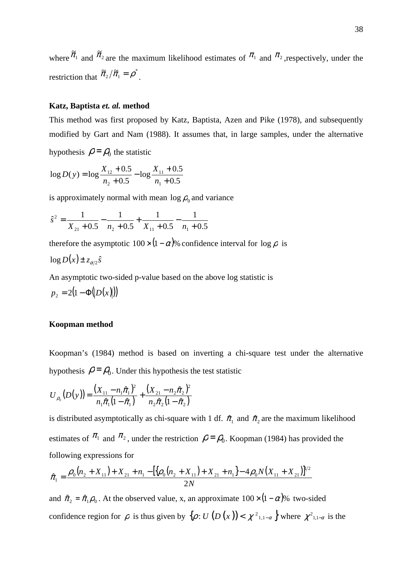where  $\tilde{\pi}_1$  and  $\tilde{\pi}_2$  are the maximum likelihood estimates of  $\pi_1$  and  $\pi_2$ , respectively, under the restriction that  $\tilde{\pi}_2/\tilde{\pi}_1 = \rho^*$  $\tilde{\pi}_2/\tilde{\pi}_1 = \rho^*$ .

### **Katz, Baptista** *et. al.* **method**

This method was first proposed by Katz, Baptista, Azen and Pike (1978), and subsequently modified by Gart and Nam (1988). It assumes that, in large samples, under the alternative hypothesis  $\rho = \rho_0$  the statistic

$$
\log D(y) = \log \frac{X_{12} + 0.5}{n_2 + 0.5} - \log \frac{X_{11} + 0.5}{n_1 + 0.5}
$$

is approximately normal with mean  $\log \rho_0$  and variance

$$
\hat{s}^2 = \frac{1}{X_{21} + 0.5} - \frac{1}{n_2 + 0.5} + \frac{1}{X_{11} + 0.5} - \frac{1}{n_1 + 0.5}
$$

therefore the asymptotic  $100 \times (1-\alpha)$ % confidence interval for  $\log \rho$  is

$$
\log D(x) \pm z_{\alpha/2} \hat{s}
$$

An asymptotic two-sided p-value based on the above log statistic is

$$
p_2 = 2(1 - \Phi(|D(x)|))
$$

### **Koopman method**

Koopman's (1984) method is based on inverting a chi-square test under the alternative hypothesis  $\rho = \rho_0$ . Under this hypothesis the test statistic

$$
U_{\rho_0}(D(y)) = \frac{(X_{11} - n_1\hat{\pi}_1)^2}{n_1\hat{\pi}_1(1-\hat{\pi}_1)} + \frac{(X_{21} - n_2\hat{\pi}_2)^2}{n_2\hat{\pi}_2(1-\hat{\pi}_2)}
$$

is distributed asymptotically as chi-square with 1 df.  $\hat{\pi}_1$  and  $\hat{\pi}_2$  are the maximum likelihood estimates of  $\pi_1$  and  $\pi_2$ , under the restriction  $\rho = \rho_0$ . Koopman (1984) has provided the following expressions for

$$
\hat{\pi}_1 = \frac{\rho_0(n_2 + X_{11}) + X_{21} + n_1 - \left[\left(\rho_0(n_2 + X_{11}) + X_{21} + n_1\right) - 4\rho_0 N(X_{11} + X_{21})\right]^{1/2}}{2N}
$$

and  $\hat{\pi}_2 = \hat{\pi}_1 \rho_0$ . At the observed value, x, an approximate  $100 \times (1 - \alpha)$ % two-sided confidence region for  $\rho$  is thus given by  $\{\rho: U(D(x)) < \chi^2_{1,1-\alpha}\}$  where  $\chi^2_{1,1-\alpha}$  is the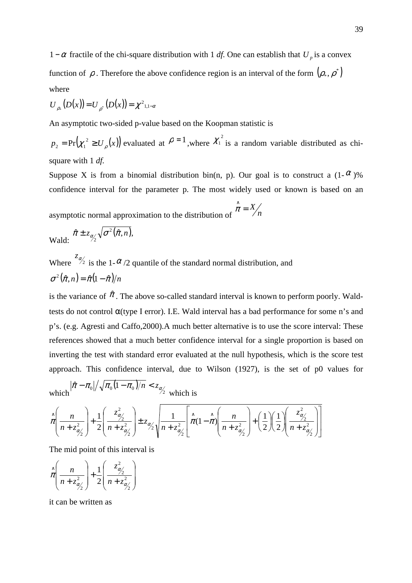1−α fractile of the chi-square distribution with 1 *df*. One can establish that  $U_p$  is a convex function of  $\rho$ . Therefore the above confidence region is an interval of the form  $(\rho_*, \rho^*)$ where

$$
U_{\rho_*}(D(x)) = U_{\rho^*}(D(x)) = \chi^2_{1,1-\alpha}
$$

An asymptotic two-sided p-value based on the Koopman statistic is

 $p_2 = Pr(\chi_1^2 \ge U_\rho(x))$  evaluated at  $\rho = 1$ , where  $\chi_1^2$  is a random variable distributed as chisquare with 1 *df.*

Suppose X is from a binomial distribution bin(n, p). Our goal is to construct a  $(1-\alpha)$ % confidence interval for the parameter p. The most widely used or known is based on an

asymptotic normal approximation to the distribution of  $\binom{n-1}{n}$  $\hat{\pi} = X$ π

$$
\text{Wald:} \quad \hat{\pi} \pm z_{\alpha/2} \sqrt{\sigma^2(\hat{\pi}, n)},
$$

Where  $z_{\alpha/2}$ is the 1- $\alpha$ /2 quantile of the standard normal distribution, and  $\sigma^2(\hat{\pi}, n) = \hat{\pi}(1-\hat{\pi})/n$ 

is the variance of  $\hat{\pi}$ . The above so-called standard interval is known to perform poorly. Waldtests do not control  $\alpha$ (type I error). I.E. Wald interval has a bad performance for some n's and p's. (e.g. Agresti and Caffo,2000).A much better alternative is to use the score interval: These references showed that a much better confidence interval for a single proportion is based on inverting the test with standard error evaluated at the null hypothesis, which is the score test approach. This confidence interval, due to Wilson (1927), is the set of p0 values for

which  $\hat{\pi} - \pi_0 / \sqrt{\pi_0 (1 - \pi_0) / n} < z_{\alpha/2}$ which is

$$
\hat{\pi}\left(\frac{n}{n+z_{\alpha'_{2}}^{2}}\right)+\frac{1}{2}\left(\frac{z_{\alpha'_{2}}^{2}}{n+z_{\alpha'_{2}}^{2}}\right)\pm z_{\alpha'_{2}}\sqrt{\frac{1}{n+z_{\alpha'_{2}}^{2}}}\left[\hat{\pi}(1-\hat{\pi})\left(\frac{n}{n+z_{\alpha'_{2}}^{2}}\right)+\left(\frac{1}{2}\right)\left(\frac{1}{2}\right)\left(\frac{z_{\alpha'_{2}}^{2}}{n+z_{\alpha'_{2}}^{2}}\right)\right]
$$

The mid point of this interval is

$$
\hat{\pi}\left(\frac{n}{n+z_{\alpha/2}^2}\right) + \frac{1}{2}\left(\frac{z_{\alpha/2}^2}{n+z_{\alpha/2}^2}\right)
$$

it can be written as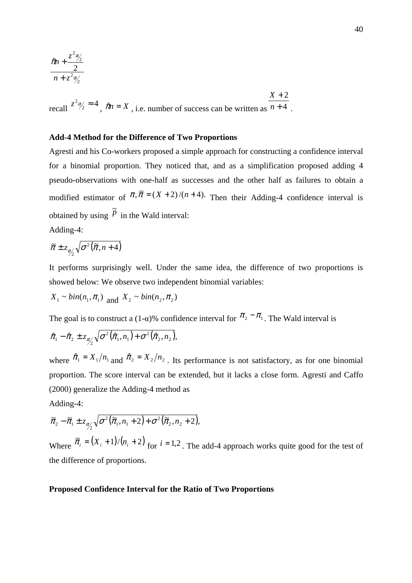$$
\frac{\hat{\pi}n + \frac{z^2\alpha_2'}{2}}{n + z^2\alpha_2'}
$$

recall  $z^2 \alpha_2' \approx 4$ ,  $\hat{\pi}n = X$ , i.e. number of success can be written as  $\overline{n+4}$ .  $X + 2$ 

## **Add-4 Method for the Difference of Two Proportions**

Agresti and his Co-workers proposed a simple approach for constructing a confidence interval for a binomial proportion. They noticed that, and as a simplification proposed adding 4 pseudo-observations with one-half as successes and the other half as failures to obtain a modified estimator of  $\pi$ ,  $\tilde{\pi} = (X + 2)/(n + 4)$ . Then their Adding-4 confidence interval is obtained by using  $\tilde{p}$ in the Wald interval:

Adding-4:

$$
\widetilde{\pi} \pm z_{\alpha/2} \sqrt{\sigma^2(\widetilde{\pi}, n+4)}
$$

It performs surprisingly well. Under the same idea, the difference of two proportions is showed below: We observe two independent binomial variables:

$$
X_1 \sim bin(n_1, \pi_1) \text{ and } X_2 \sim bin(n_2, \pi_2)
$$

The goal is to construct a (1-α)% confidence interval for  $\pi_2 - \pi_1$ . The Wald interval is

$$
\hat{\pi}_1 - \hat{\pi}_2 \pm z_{\alpha_2'} \sqrt{\sigma^2(\hat{\pi}_1, n_1) + \sigma^2(\hat{\pi}_2, n_2)},
$$

where  $\hat{\pi}_1 = X_1/n_1$  and  $\hat{\pi}_2 = X_2/n_2$ . Its performance is not satisfactory, as for one binomial proportion. The score interval can be extended, but it lacks a close form. Agresti and Caffo (2000) generalize the Adding-4 method as

Adding-4:

$$
\widetilde{\pi}_2 - \widetilde{\pi}_1 \pm z_{\alpha/2} \sqrt{\sigma^2(\widetilde{\pi}_1, n_1 + 2) + \sigma^2(\widetilde{\pi}_2, n_2 + 2)},
$$

Where  $\tilde{\pi}_i = (X_i + 1)/(n_i + 2)$  for  $i = 1, 2$ . The add-4 approach works quite good for the test of the difference of proportions.

# **Proposed Confidence Interval for the Ratio of Two Proportions**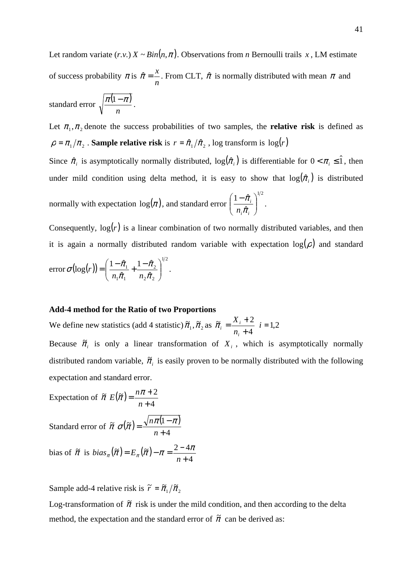Let random variate  $(r.v.) X \sim Bin(n, \pi)$ . Observations from *n* Bernoulli trails *x*, LM estimate of success probability  $\pi$  is *n*  $\hat{\pi} = \frac{x}{n}$ . From CLT,  $\hat{\pi}$  is normally distributed with mean  $\pi$  and standard error  $\sqrt{\frac{\pi(1-\pi)}{n}}$ *n*  $\frac{\pi(1-\pi)}{n}$ .

Let  $\pi_1, \pi_2$  denote the success probabilities of two samples, the **relative risk** is defined as  $\rho = \pi_1 / \pi_2$ . **Sample relative risk** is  $r = \hat{\pi}_1 / \hat{\pi}_2$ , log transform is  $log(r)$ 

Since  $\hat{\pi}_i$  is asymptotically normally distributed,  $log(\hat{\pi}_i)$  is differentiable for  $0 < \pi_i \leq \hat{1}$ , then under mild condition using delta method, it is easy to show that  $log(\hat{\pi}_i)$  is distributed normally with expectation  $log(\pi)$ , and standard error  $1/2$  $\hat{\tau}$  $1 - \hat{\pi}$  $\overline{\phantom{a}}$ J  $\backslash$  $\overline{\phantom{a}}$ L  $(1$ *i i i*  $n_{_i}\hat{\pi}$  $\frac{\pi_i}{\sqrt{2}}$ .

Consequently,  $log(r)$  is a linear combination of two normally distributed variables, and then it is again a normally distributed random variable with expectation  $log(\rho)$  and standard

error 
$$
\sigma(\log(r)) = \left(\frac{1-\hat{\pi}_1}{n_1\hat{\pi}_1} + \frac{1-\hat{\pi}_2}{n_2\hat{\pi}_2}\right)^{1/2}
$$
.

#### **Add-4 method for the Ratio of two Proportions**

We define new statistics (add 4 statistic)  $\tilde{\pi}_1$ ,  $\tilde{\pi}_2$  as 4  $\widetilde{\pi} = \frac{X_i + 2}{\pi}$ +  $=\frac{X_i +$ *i*  $i = \frac{\Delta_i}{n_i}$  $\tilde{\pi}_i = \frac{X_i + 2}{i}$   $i = 1,2$ 

Because  $\tilde{\pi}$  is only a linear transformation of  $X$ <sup>*i*</sup>, which is asymptotically normally distributed random variable,  $\tilde{\pi}_i$  is easily proven to be normally distributed with the following expectation and standard error.

Expectation of  $\tilde{\pi} E(\tilde{\pi})$ 4  $(\widetilde{\pi}) = \frac{n\pi + 2}{n}$ +  $=\frac{n\pi +}{}$ *n*  $E(\tilde{\pi}) = \frac{n\pi}{n}$ 

Standard error of  $\tilde{\pi} \sigma(\tilde{\pi}) = \frac{\sqrt{n\pi(1-\pi)}}{n}$ 4  $\widetilde{\pi}) = \frac{\sqrt{n \pi (1)}}{n}$ + − = *n*  $\sigma(\tilde{\pi}) = \frac{\sqrt{n\pi(1-\pi)}}{n}$ 

bias of 
$$
\tilde{\pi}
$$
 is  $bias_{\pi}(\tilde{\pi}) = E_{\pi}(\tilde{\pi}) - \pi = \frac{2 - 4\pi}{n + 4}$ 

Sample add-4 relative risk is  $\tilde{r} = \tilde{\pi}_1 / \tilde{\pi}_2$ 

Log-transformation of  $\tilde{\pi}$  risk is under the mild condition, and then according to the delta method, the expectation and the standard error of  $\tilde{\pi}$  can be derived as: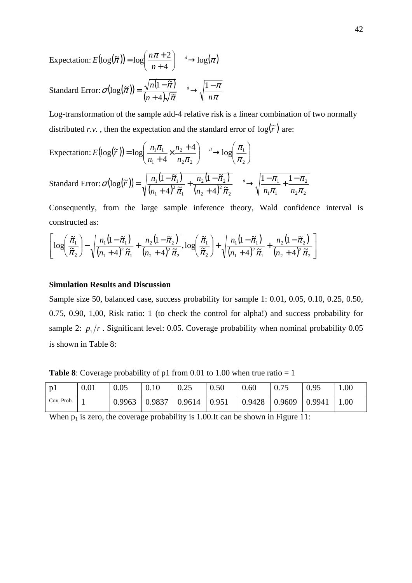Expectation:  $E(\log(\tilde{\pi})) = \log \left( \frac{n\pi + 2}{n} \right) \xrightarrow{d} \log(\pi)$ 4  $\log(\pi) = \log\left(\frac{n\pi + 2}{n+4}\right) \longrightarrow$ J ſ +  $=\log\left(\frac{n\pi+2}{4}\right)-\frac{d}{2}$ *n*  $E(\log(\tilde{\pi})) = \log\left(\frac{n}{\tilde{\pi}}\right)$ 

Standard Error:  $\sigma(\log(\tilde{\pi})) = \frac{\sqrt{n(1-\tilde{\pi})}}{\sqrt{n(1-\tilde{\pi})}}$  $(n+4)\sqrt{\tilde{\pi}}$   $\sqrt{\pi}$ π π π  $\sigma(\log(\pi)) = \frac{\pi}{(n+4)\sqrt{\pi}} \longrightarrow \sqrt{\frac{n}{n}}$  $\frac{n(1-\tilde{\pi})}{\Delta}$   $\longrightarrow$   $\sqrt{\frac{1-\tilde{\pi}}{n}}$ + −  $=\frac{\sqrt{n(1-\tilde{\pi})}}{\sqrt{n(1-\tilde{\pi})}}$   $\longrightarrow$   $\sqrt{\frac{1}{n}}$  $4)\sqrt{\tilde{\pi}}$  $\log(\tilde{\pi}) = \frac{\sqrt{n(1-\tilde{\pi})}}{\sqrt{n(1-\tilde{\pi})}} \longrightarrow \sqrt{\frac{1-\pi}{n}}$ 

Log-transformation of the sample add-4 relative risk is a linear combination of two normally distributed *r.v.*, then the expectation and the standard error of  $log(\tilde{r})$  are:

$$
\begin{aligned} \text{Expectation: } E\left(\log(\widetilde{r})\right) &= \log\left(\frac{n_1 \pi_1}{n_1 + 4} \times \frac{n_2 + 4}{n_2 \pi_2}\right) \xrightarrow{d} \log\left(\frac{\pi_1}{\pi_2}\right) \\ \text{Standard Error: } \sigma\left(\log(\widetilde{r})\right) &= \sqrt{\frac{n_1 \left(1 - \widetilde{\pi}_1\right)}{\left(n_1 + 4\right)^2 \widetilde{\pi}_1} + \frac{n_2 \left(1 - \widetilde{\pi}_2\right)}{\left(n_2 + 4\right)^2 \widetilde{\pi}_2}} \xrightarrow{d} \sqrt{\frac{1 - \pi_1}{n_1 \pi_1} + \frac{1 - \pi_2}{n_2 \pi_2}} \end{aligned}
$$

1

π

1

Consequently, from the large sample inference theory, Wald confidence interval is constructed as:

2

2

π

 $1^{\prime\prime}1$ 

π

π

$$
\left[\log\left(\frac{\tilde{\pi}_1}{\tilde{\pi}_2}\right) - \sqrt{\frac{n_1(1-\tilde{\pi}_1)}{(n_1+4)^2\tilde{\pi}_1} + \frac{n_2(1-\tilde{\pi}_2)}{(n_2+4)^2\tilde{\pi}_2}}, \log\left(\frac{\tilde{\pi}_1}{\tilde{\pi}_2}\right) + \sqrt{\frac{n_1(1-\tilde{\pi}_1)}{(n_1+4)^2\tilde{\pi}_1} + \frac{n_2(1-\tilde{\pi}_2)}{(n_2+4)^2\tilde{\pi}_2}}\right]
$$

## **Simulation Results and Discussion**

Sample size 50, balanced case, success probability for sample 1: 0.01, 0.05, 0.10, 0.25, 0.50, 0.75, 0.90, 1,00, Risk ratio: 1 (to check the control for alpha!) and success probability for sample 2:  $p_1/r$ . Significant level: 0.05. Coverage probability when nominal probability 0.05 is shown in Table 8:

**Table 8**: Coverage probability of p1 from 0.01 to 1.00 when true ratio  $= 1$ 

| p1         | 0.01 | 0.05 | 0.10                               | 0.25 | $\mid$ 0.50 | 0.60            | 0.75 | 0.95                      | 1.00 |
|------------|------|------|------------------------------------|------|-------------|-----------------|------|---------------------------|------|
| Cov. Prob. |      |      | $0.9963$   0.9837   0.9614   0.951 |      |             | $0.9428$ 0.9609 |      | $\vert 0.9941 \vert 1.00$ |      |

When  $p_1$  is zero, the coverage probability is 1.00.It can be shown in Figure 11: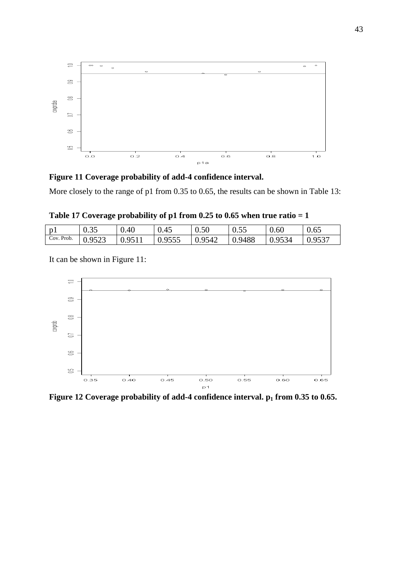

**Figure 11 Coverage probability of add-4 confidence interval.** 

More closely to the range of p1 from 0.35 to 0.65, the results can be shown in Table 13:

**Table 17 Coverage probability of p1 from 0.25 to 0.65 when true ratio = 1** 

| $\mathbf{n}$ | 0.35   | 0.40   | 0.45          | 0.50   | 0.55   | 0.60   | 0.65   |
|--------------|--------|--------|---------------|--------|--------|--------|--------|
| Cov. Prob.   | 0.9523 | 0.9511 | $\mid 0.9555$ | 0.9542 | 0.9488 | 0.9534 | 0.9537 |

It can be shown in Figure 11:



**Figure 12 Coverage probability of add-4 confidence interval. p1 from 0.35 to 0.65.**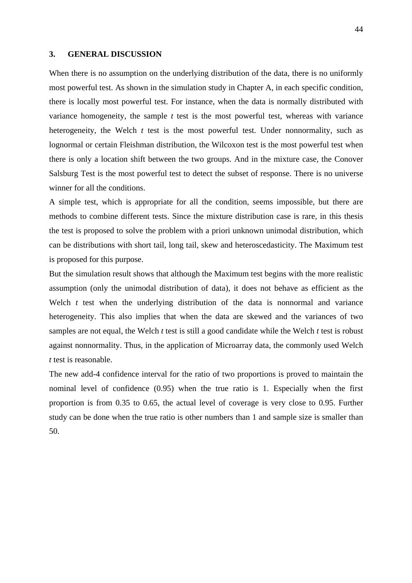## **3. GENERAL DISCUSSION**

When there is no assumption on the underlying distribution of the data, there is no uniformly most powerful test. As shown in the simulation study in Chapter A, in each specific condition, there is locally most powerful test. For instance, when the data is normally distributed with variance homogeneity, the sample *t* test is the most powerful test, whereas with variance heterogeneity, the Welch *t* test is the most powerful test. Under nonnormality, such as lognormal or certain Fleishman distribution, the Wilcoxon test is the most powerful test when there is only a location shift between the two groups. And in the mixture case, the Conover Salsburg Test is the most powerful test to detect the subset of response. There is no universe winner for all the conditions.

A simple test, which is appropriate for all the condition, seems impossible, but there are methods to combine different tests. Since the mixture distribution case is rare, in this thesis the test is proposed to solve the problem with a priori unknown unimodal distribution, which can be distributions with short tail, long tail, skew and heteroscedasticity. The Maximum test is proposed for this purpose.

But the simulation result shows that although the Maximum test begins with the more realistic assumption (only the unimodal distribution of data), it does not behave as efficient as the Welch *t* test when the underlying distribution of the data is nonnormal and variance heterogeneity. This also implies that when the data are skewed and the variances of two samples are not equal, the Welch *t* test is still a good candidate while the Welch *t* test is robust against nonnormality. Thus, in the application of Microarray data, the commonly used Welch *t* test is reasonable.

The new add-4 confidence interval for the ratio of two proportions is proved to maintain the nominal level of confidence (0.95) when the true ratio is 1. Especially when the first proportion is from 0.35 to 0.65, the actual level of coverage is very close to 0.95. Further study can be done when the true ratio is other numbers than 1 and sample size is smaller than 50.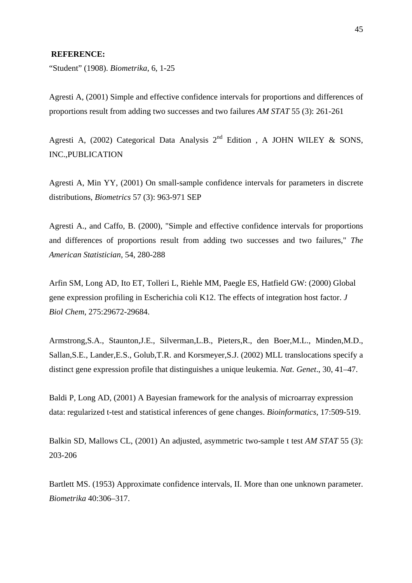## **REFERENCE:**

"Student" (1908). *Biometrika*, 6, 1-25

Agresti A, (2001) Simple and effective confidence intervals for proportions and differences of proportions result from adding two successes and two failures *AM STAT* 55 (3): 261-261

Agresti A, (2002) Categorical Data Analysis  $2<sup>nd</sup>$  Edition, A JOHN WILEY & SONS, INC.,PUBLICATION

Agresti A, Min YY, (2001) On small-sample confidence intervals for parameters in discrete distributions, *Biometrics* 57 (3): 963-971 SEP

Agresti A., and Caffo, B. (2000), "Simple and effective confidence intervals for proportions and differences of proportions result from adding two successes and two failures," *The American Statistician*, 54, 280-288

Arfin SM, Long AD, Ito ET, Tolleri L, Riehle MM, Paegle ES, Hatfield GW: (2000) Global gene expression profiling in Escherichia coli K12. The effects of integration host factor. *J Biol Chem*, 275:29672-29684.

Armstrong,S.A., Staunton,J.E., Silverman,L.B., Pieters,R., den Boer,M.L., Minden,M.D., Sallan,S.E., Lander,E.S., Golub,T.R. and Korsmeyer,S.J. (2002) MLL translocations specify a distinct gene expression profile that distinguishes a unique leukemia. *Nat. Genet*., 30, 41–47.

Baldi P, Long AD, (2001) A Bayesian framework for the analysis of microarray expression data: regularized t-test and statistical inferences of gene changes. *Bioinformatics*, 17:509-519.

Balkin SD, Mallows CL, (2001) An adjusted, asymmetric two-sample t test *AM STAT* 55 (3): 203-206

Bartlett MS. (1953) Approximate confidence intervals, II. More than one unknown parameter. *Biometrika* 40:306–317.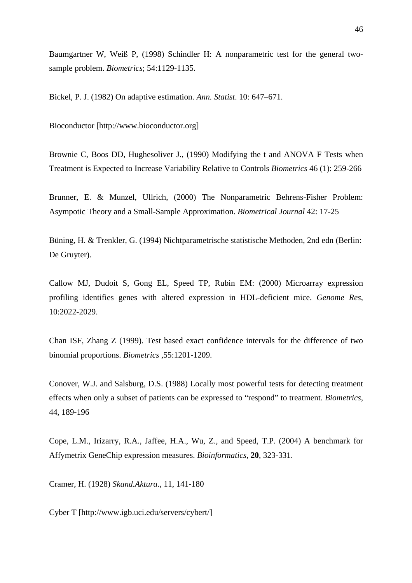Baumgartner W, Weiß P, (1998) Schindler H: A nonparametric test for the general twosample problem. *Biometrics*; 54:1129-1135.

Bickel, P. J. (1982) On adaptive estimation. *Ann. Statist*. 10: 647–671.

Bioconductor [http://www.bioconductor.org]

Brownie C, Boos DD, Hughesoliver J., (1990) Modifying the t and ANOVA F Tests when Treatment is Expected to Increase Variability Relative to Controls *Biometrics* 46 (1): 259-266

Brunner, E. & Munzel, Ullrich, (2000) The Nonparametric Behrens-Fisher Problem: Asympotic Theory and a Small-Sample Approximation. *Biometrical Journal* 42: 17-25

Büning, H. & Trenkler, G. (1994) Nichtparametrische statistische Methoden, 2nd edn (Berlin: De Gruyter).

Callow MJ, Dudoit S, Gong EL, Speed TP, Rubin EM: (2000) Microarray expression profiling identifies genes with altered expression in HDL-deficient mice. *Genome Res*, 10:2022-2029.

Chan ISF, Zhang Z (1999). Test based exact confidence intervals for the difference of two binomial proportions. *Biometrics* ,55:1201-1209.

Conover, W.J. and Salsburg, D.S. (1988) Locally most powerful tests for detecting treatment effects when only a subset of patients can be expressed to "respond" to treatment. *Biometrics*, 44, 189-196

Cope, L.M., Irizarry, R.A., Jaffee, H.A., Wu, Z., and Speed, T.P. (2004) A benchmark for Affymetrix GeneChip expression measures. *Bioinformatics*, **20**, 323-331.

Cramer, H. (1928) *Skand.Aktura*., 11, 141-180

Cyber T [http://www.igb.uci.edu/servers/cybert/]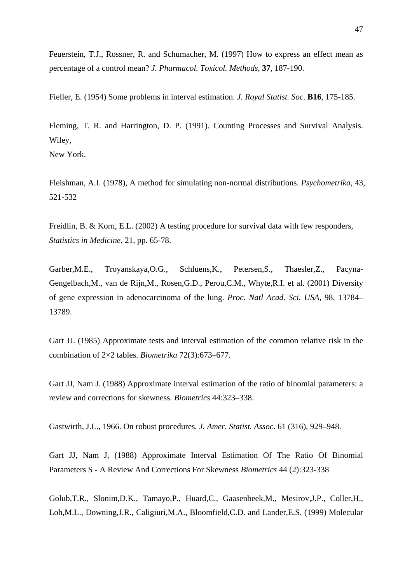Feuerstein, T.J., Rossner, R. and Schumacher, M. (1997) How to express an effect mean as percentage of a control mean? *J. Pharmacol. Toxicol. Methods*, **37**, 187-190.

Fieller, E. (1954) Some problems in interval estimation. *J. Royal Statist. Soc*. **B16**, 175-185.

Fleming, T. R. and Harrington, D. P. (1991). Counting Processes and Survival Analysis. Wiley,

New York.

Fleishman, A.I. (1978), A method for simulating non-normal distributions. *Psychometrika,* 43, 521-532

Freidlin, B. & Korn, E.L. (2002) A testing procedure for survival data with few responders, *Statistics in Medicine*, 21, pp. 65-78.

Garber,M.E., Troyanskaya,O.G., Schluens,K., Petersen,S., Thaesler,Z., Pacyna-Gengelbach,M., van de Rijn,M., Rosen,G.D., Perou,C.M., Whyte,R.I. et al. (2001) Diversity of gene expression in adenocarcinoma of the lung. *Proc. Natl Acad. Sci. USA,* 98, 13784– 13789.

Gart JJ. (1985) Approximate tests and interval estimation of the common relative risk in the combination of 2×2 tables. *Biometrika* 72(3):673–677.

Gart JJ, Nam J. (1988) Approximate interval estimation of the ratio of binomial parameters: a review and corrections for skewness. *Biometrics* 44:323–338.

Gastwirth, J.L., 1966. On robust procedures*. J. Amer. Statist. Assoc*. 61 (316), 929–948.

Gart JJ, Nam J, (1988) Approximate Interval Estimation Of The Ratio Of Binomial Parameters S - A Review And Corrections For Skewness *Biometrics* 44 (2):323-338

Golub,T.R., Slonim,D.K., Tamayo,P., Huard,C., Gaasenbeek,M., Mesirov,J.P., Coller,H., Loh,M.L., Downing,J.R., Caligiuri,M.A., Bloomfield,C.D. and Lander,E.S. (1999) Molecular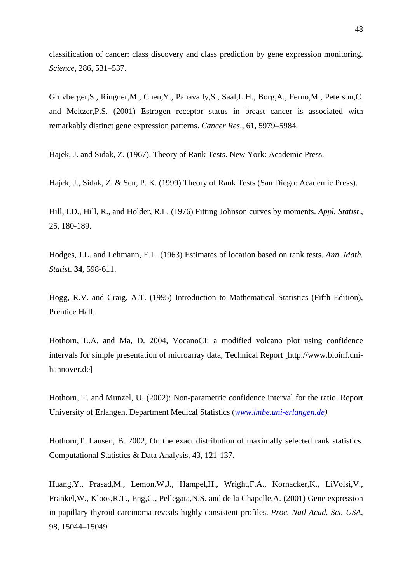classification of cancer: class discovery and class prediction by gene expression monitoring. *Science*, 286, 531–537.

Gruvberger,S., Ringner,M., Chen,Y., Panavally,S., Saal,L.H., Borg,A., Ferno,M., Peterson,C. and Meltzer,P.S. (2001) Estrogen receptor status in breast cancer is associated with remarkably distinct gene expression patterns. *Cancer Res*., 61, 5979–5984.

Hajek, J. and Sidak, Z. (1967). Theory of Rank Tests. New York: Academic Press.

Hajek, J., Sidak, Z. & Sen, P. K. (1999) Theory of Rank Tests (San Diego: Academic Press).

Hill, I.D., Hill, R., and Holder, R.L. (1976) Fitting Johnson curves by moments. *Appl. Statist*., 25, 180-189.

Hodges, J.L. and Lehmann, E.L. (1963) Estimates of location based on rank tests. *Ann. Math. Statist*. **34**, 598-611.

Hogg, R.V. and Craig, A.T. (1995) Introduction to Mathematical Statistics (Fifth Edition), Prentice Hall.

Hothorn, L.A. and Ma, D. 2004, VocanoCI: a modified volcano plot using confidence intervals for simple presentation of microarray data, Technical Report [http://www.bioinf.unihannover.de]

Hothorn, T. and Munzel, U. (2002): Non-parametric confidence interval for the ratio. Report University of Erlangen, Department Medical Statistics (*www.imbe.uni-erlangen.de)* 

Hothorn,T. Lausen, B. 2002, On the exact distribution of maximally selected rank statistics. Computational Statistics & Data Analysis, 43, 121-137.

Huang,Y., Prasad,M., Lemon,W.J., Hampel,H., Wright,F.A., Kornacker,K., LiVolsi,V., Frankel,W., Kloos,R.T., Eng,C., Pellegata,N.S. and de la Chapelle,A. (2001) Gene expression in papillary thyroid carcinoma reveals highly consistent profiles. *Proc. Natl Acad. Sci. USA*, 98, 15044–15049.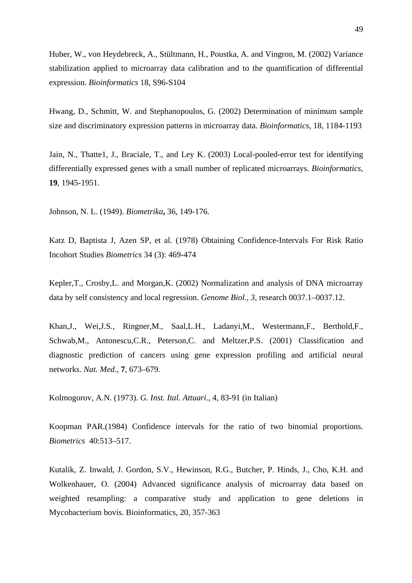Huber, W., von Heydebreck, A., Stültmann, H., Poustka, A. and Vingron, M. (2002) Variance stabilization applied to microarray data calibration and to the quantification of differential expression. *Bioinformatics* 18, S96-S104

Hwang, D., Schmitt, W. and Stephanopoulos, G. (2002) Determination of minimum sample size and discriminatory expression patterns in microarray data. *Bioinformatics,* 18, 1184-1193

Jain, N., Thatte1, J., Braciale, T., and Ley K. (2003) Local-pooled-error test for identifying differentially expressed genes with a small number of replicated microarrays. *Bioinformatics*, **19**, 1945-1951.

Johnson, N. L. (1949). *Biometrika***,** 36, 149-176.

Katz D, Baptista J, Azen SP, et al. (1978) Obtaining Confidence-Intervals For Risk Ratio Incohort Studies *Biometrics* 34 (3): 469-474

Kepler,T., Crosby,L. and Morgan,K. (2002) Normalization and analysis of DNA microarray data by self consistency and local regression. *Genome Biol., 3*, research 0037.1–0037.12.

Khan,J., Wei,J.S., Ringner,M., Saal,L.H., Ladanyi,M., Westermann,F., Berthold,F., Schwab,M., Antonescu,C.R., Peterson,C. and Meltzer,P.S. (2001) Classification and diagnostic prediction of cancers using gene expression profiling and artificial neural networks. *Nat. Med.*, **7**, 673–679.

Kolmogorov, A.N. (1973). *G. Inst. Ital. Attuari*., 4, 83-91 (in Italian)

Koopman PAR.(1984) Confidence intervals for the ratio of two binomial proportions. *Biometrics* 40:513–517.

Kutalik, Z. Inwald, J. Gordon, S.V., Hewinson, R.G., Butcher, P. Hinds, J., Cho, K.H. and Wolkenhauer, O. (2004) Advanced significance analysis of microarray data based on weighted resampling: a comparative study and application to gene deletions in Mycobacterium bovis. Bioinformatics, 20, 357-363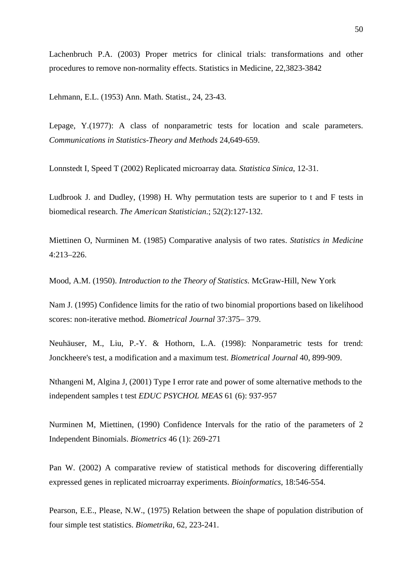Lachenbruch P.A. (2003) Proper metrics for clinical trials: transformations and other procedures to remove non-normality effects. Statistics in Medicine, 22,3823-3842

Lehmann, E.L. (1953) Ann. Math. Statist., 24, 23-43.

Lepage, Y.(1977): A class of nonparametric tests for location and scale parameters. *Communications in Statistics-Theory and Methods* 24,649-659.

Lonnstedt I, Speed T (2002) Replicated microarray data*. Statistica Sinica*, 12-31.

Ludbrook J. and Dudley, (1998) H. Why permutation tests are superior to t and F tests in biomedical research. *The American Statistician*.; 52(2):127-132.

Miettinen O, Nurminen M. (1985) Comparative analysis of two rates. *Statistics in Medicine* 4:213–226.

Mood, A.M. (1950). *Introduction to the Theory of Statistics.* McGraw-Hill, New York

Nam J. (1995) Confidence limits for the ratio of two binomial proportions based on likelihood scores: non-iterative method. *Biometrical Journal* 37:375– 379.

Neuhäuser, M., Liu, P.-Y. & Hothorn, L.A. (1998): Nonparametric tests for trend: Jonckheere's test, a modification and a maximum test. *Biometrical Journal* 40, 899-909.

Nthangeni M, Algina J, (2001) Type I error rate and power of some alternative methods to the independent samples t test *EDUC PSYCHOL MEAS* 61 (6): 937-957

Nurminen M, Miettinen, (1990) Confidence Intervals for the ratio of the parameters of 2 Independent Binomials. *Biometrics* 46 (1): 269-271

Pan W. (2002) A comparative review of statistical methods for discovering differentially expressed genes in replicated microarray experiments. *Bioinformatics*, 18:546-554.

Pearson, E.E., Please, N.W., (1975) Relation between the shape of population distribution of four simple test statistics. *Biometrika*, 62, 223-241.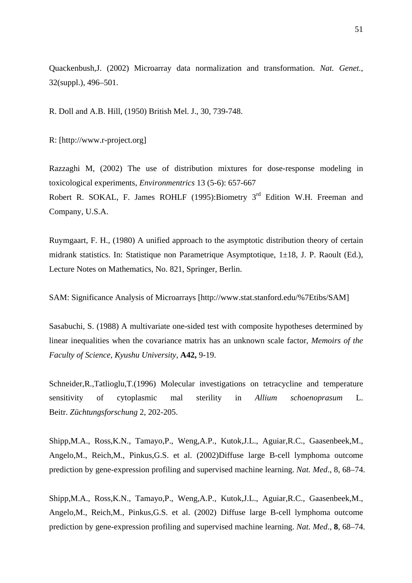Quackenbush,J. (2002) Microarray data normalization and transformation. *Nat. Genet.*, 32(suppl.), 496–501.

R. Doll and A.B. Hill, (1950) British Mel. J., 30, 739-748.

R: [http://www.r-project.org]

Razzaghi M, (2002) The use of distribution mixtures for dose-response modeling in toxicological experiments, *Environmentrics* 13 (5-6): 657-667 Robert R. SOKAL, F. James ROHLF (1995): Biometry  $3<sup>rd</sup>$  Edition W.H. Freeman and Company, U.S.A.

Ruymgaart, F. H., (1980) A unified approach to the asymptotic distribution theory of certain midrank statistics. In: Statistique non Parametrique Asymptotique, 1±18, J. P. Raoult (Ed.), Lecture Notes on Mathematics, No. 821, Springer, Berlin.

SAM: Significance Analysis of Microarrays [http://www.stat.stanford.edu/%7Etibs/SAM]

Sasabuchi, S. (1988) A multivariate one-sided test with composite hypotheses determined by linear inequalities when the covariance matrix has an unknown scale factor, *Memoirs of the Faculty of Science, Kyushu University,* **A42,** 9-19.

Schneider,R.,Tatlioglu,T.(1996) Molecular investigations on tetracycline and temperature sensitivity of cytoplasmic mal sterility in *Allium schoenoprasum* L. Beitr. *Züchtungsforschung* 2, 202-205.

Shipp,M.A., Ross,K.N., Tamayo,P., Weng,A.P., Kutok,J.L., Aguiar,R.C., Gaasenbeek,M., Angelo,M., Reich,M., Pinkus,G.S. et al. (2002)Diffuse large B-cell lymphoma outcome prediction by gene-expression profiling and supervised machine learning. *Nat. Med*., 8, 68–74.

Shipp,M.A., Ross,K.N., Tamayo,P., Weng,A.P., Kutok,J.L., Aguiar,R.C., Gaasenbeek,M., Angelo,M., Reich,M., Pinkus,G.S. et al. (2002) Diffuse large B-cell lymphoma outcome prediction by gene-expression profiling and supervised machine learning. *Nat. Med*., **8**, 68–74.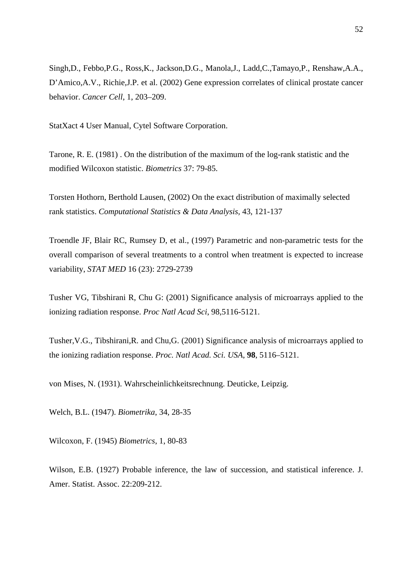Singh,D., Febbo,P.G., Ross,K., Jackson,D.G., Manola,J., Ladd,C.,Tamayo,P., Renshaw,A.A., D'Amico,A.V., Richie,J.P. et al. (2002) Gene expression correlates of clinical prostate cancer behavior. *Cancer Cell*, 1, 203–209.

StatXact 4 User Manual, Cytel Software Corporation.

Tarone, R. E. (1981) . On the distribution of the maximum of the log-rank statistic and the modified Wilcoxon statistic. *Biometrics* 37: 79-85.

Torsten Hothorn, Berthold Lausen, (2002) On the exact distribution of maximally selected rank statistics. *Computational Statistics & Data Analysis,* 43, 121-137

Troendle JF, Blair RC, Rumsey D, et al., (1997) Parametric and non-parametric tests for the overall comparison of several treatments to a control when treatment is expected to increase variability, *STAT MED* 16 (23): 2729-2739

Tusher VG, Tibshirani R, Chu G: (2001) Significance analysis of microarrays applied to the ionizing radiation response. *Proc Natl Acad Sci*, 98,5116-5121.

Tusher,V.G., Tibshirani,R. and Chu,G. (2001) Significance analysis of microarrays applied to the ionizing radiation response. *Proc. Natl Acad. Sci. USA*, **98**, 5116–5121.

von Mises, N. (1931). Wahrscheinlichkeitsrechnung. Deuticke, Leipzig.

Welch, B.L. (1947). *Biometrika*, 34, 28-35

Wilcoxon, F. (1945) *Biometrics*, 1, 80-83

Wilson, E.B. (1927) Probable inference, the law of succession, and statistical inference. J. Amer. Statist. Assoc. 22:209-212.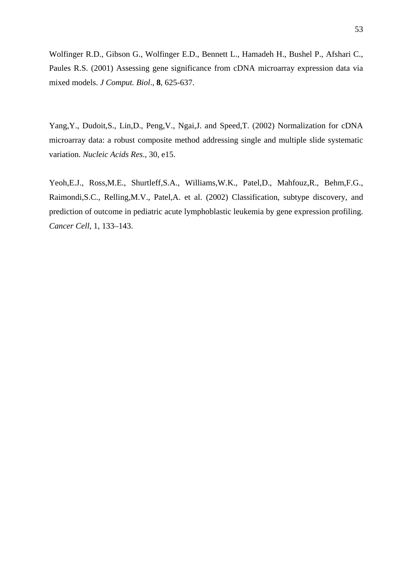Wolfinger R.D., Gibson G., Wolfinger E.D., Bennett L., Hamadeh H., Bushel P., Afshari C., Paules R.S. (2001) Assessing gene significance from cDNA microarray expression data via mixed models. *J Comput. Biol*., **8**, 625-637.

Yang,Y., Dudoit,S., Lin,D., Peng,V., Ngai,J. and Speed,T. (2002) Normalization for cDNA microarray data: a robust composite method addressing single and multiple slide systematic variation. *Nucleic Acids Res*., 30, e15.

Yeoh,E.J., Ross,M.E., Shurtleff,S.A., Williams,W.K., Patel,D., Mahfouz,R., Behm,F.G., Raimondi,S.C., Relling,M.V., Patel,A. et al. (2002) Classification, subtype discovery, and prediction of outcome in pediatric acute lymphoblastic leukemia by gene expression profiling. *Cancer Cell*, 1, 133–143.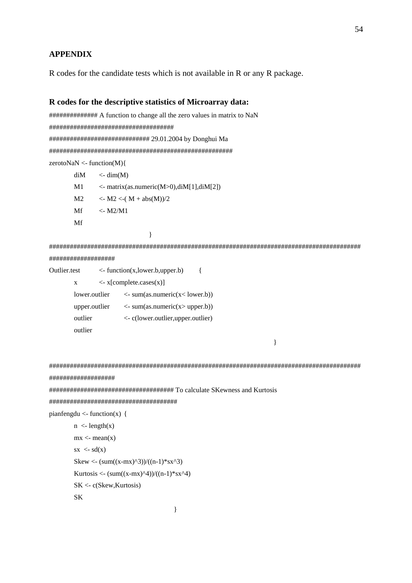# **APPENDIX**

R codes for the candidate tests which is not available in R or any R package.

### **R codes for the descriptive statistics of Microarray data:**

############## A function to change all the zero values in matrix to NaN #################################### ############################# 29.01.2004 by Donghui Ma ##################################################### zerotoNaN <- function(M){  $diM \leq - \dim(M)$ 

 $M1 \leq$ - matrix(as.numeric(M>0),diM[1],diM[2]) M2  $\langle$  - M2  $\langle$  -( M + abs(M))/2 Mf  $\leq$ -M2/M1 Mf }

########################################################################################## ###################

Outlier.test <- function(x,lower.b,upper.b) {  $x \leq x$ [complete.cases(x)] lower.outlier <- sum(as.numeric(x< lower.b)) upper.outlier  $\langle$ - sum(as.numeric(x> upper.b)) outlier <- c(lower.outlier,upper.outlier) outlier

}

##########################################################################################

```
###################
```
#################################### To calculate SKewness and Kurtosis

```
#####################################
```
pianfengdu  $\le$ - function(x) {

```
n \leq length(x)mx < - mean(x)sx \leq sd(x)Skew <- (sum((x-mx)^{3})/((n-1)*sx^{3})Kurtosis <- (sum((x-mx)^4)/(n-1)*sx^4) SK <- c(Skew,Kurtosis) 
 SK
```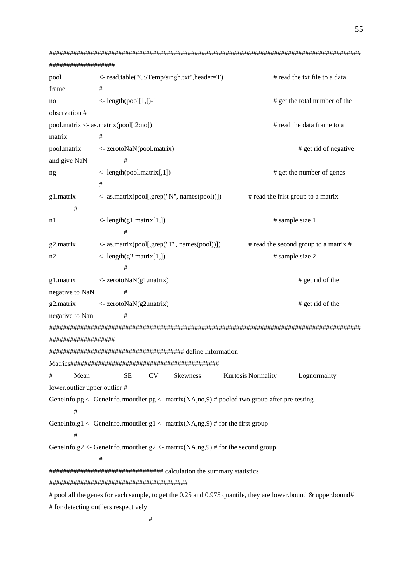```
##########################################################################################
################### 
pool \le- read.table("C:/Temp/singh.txt",header=T) # read the txt file to a data
frame #
no \leq- length(pool[1,])-1 \qquad # get the total number of the
observation # 
pool.matrix <- as.matrix(pool[,2:no]) # read the data frame to a
\frac{1}{2} matrix \frac{1}{2}pool.matrix <- zerotoNaN(pool.matrix) # get rid of negative
and give NaN #
ng \leq- length(pool.matrix[,1]) \neq get the number of genes
 # 
g1.matrix \langle as.matrix(pool[,grep("N", names(pool))]) # read the frist group to a matrix
       # 
n1 <- length(g1.matrix[1,]) # sample size 1 
 # 
g2.matrix \langle -8.001, \text{grep}(\text{mT}, \text{names}(\text{pool})) \rangle # read the second group to a matrix #
n2 \leq- length(g2.matrix[1,]) # sample size 2
 # 
g1.matrix \langle zerotoNaN(g1.matrix) # get rid of the
negative to NaN #
g2.matrix \langle zerotoNaN(g2.matrix) \qquad # get rid of the
negative to Nan #
##########################################################################################
################### 
####################################### define Information 
Matrics########################################### 
# Mean SE CV Skewness Kurtosis Normality Lognormality 
lower.outlier upper.outlier # 
GeneInfo.pg <- GeneInfo.rmoutlier.pg <- matrix(NA,no,9) # pooled two group after pre-testing
 # 
GeneInfo.g1 <- GeneInfo.rmoutlier.g1 <- matrix(NA,ng,9) # for the first group
       # 
GeneInfo.g2 <- GeneInfo.rmoutlier.g2 <- matrix(NA,ng,9) # for the second group
 # 
################################# calculation the summary statistics 
######################################## 
# pool all the genes for each sample, to get the 0.25 and 0.975 quantile, they are lower.bound & upper.bound#
# for detecting outliers respectively
```
55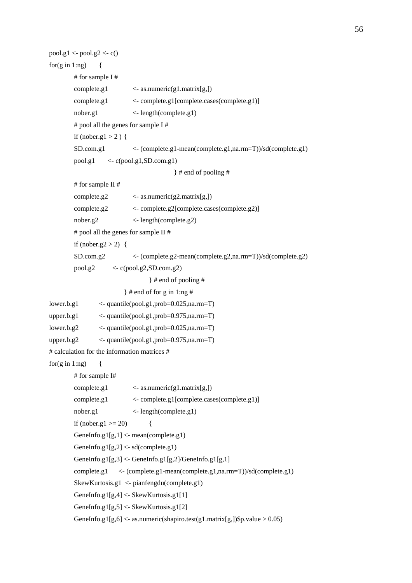```
56
```

```
pool.g1 < pool.g2 < c()for(g in 1:ng) \{ # for sample I # 
        complete.g1 \leq -\text{as.numeric}(g1.\text{matrix}[g,]) complete.g1 <- complete.g1[complete.cases(complete.g1)] 
         nober.g1 <- length(complete.g1) 
         # pool all the genes for sample I # 
        if (nober.g1 > 2) {
         SD.com.g1 <- (complete.g1-mean(complete.g1,na.rm=T))/sd(complete.g1) 
        pool.g1 \leq c(pool.g1, SD.com.g1) } # end of pooling # 
         # for sample II # 
        complete.g2 \langle- as.numeric(g2.matrix[g,])
         complete.g2 <- complete.g2[complete.cases(complete.g2)] 
         nober.g2 <- length(complete.g2) 
         # pool all the genes for sample II # 
        if (nober.g2 > 2) {
         SD.com.g2 <- (complete.g2-mean(complete.g2,na.rm=T))/sd(complete.g2) 
        pool.g2 \langle \text{e}(\text{pool.g2}, SD.com, g2) \rangle } # end of pooling # 
                          } # end of for g in 1:ng # 
lower.b.g1 <- quantile(pool.g1,prob=0.025,na.rm=T) 
upper.b.g1 <- quantile(pool.g1,prob=0.975,na.rm=T) 
lower.b.g2 <- quantile(pool.g1,prob=0.025,na.rm=T) 
upper.b.g2 \leq quantile(pool.g1,prob=0.975,na.rm=T)
# calculation for the information matrices # 
for(g in 1:ng) \{ # for sample I# 
         complete.g1 <- as.numeric(g1.matrix[g,]) 
         complete.g1 <- complete.g1[complete.cases(complete.g1)] 
         nober.g1 <- length(complete.g1) 
        if (nober.g1 >= 20) {
        GeneInfo.g1[g,1] <- mean(complete.g1)
        GeneInfo.g1[g,2] <- sd(complete.g1)
        GeneInfo.g1[g,3] <- GeneInfo.g1[g,2]/GeneInfo.g1[g,1]
         complete.g1 <- (complete.g1-mean(complete.g1,na.rm=T))/sd(complete.g1) 
         SkewKurtosis.g1 <- pianfengdu(complete.g1) 
         GeneInfo.g1[g,4] <- SkewKurtosis.g1[1] 
         GeneInfo.g1[g,5] <- SkewKurtosis.g1[2] 
        GeneInfo.g1[g,6] <- as.numeric(shapiro.test(g1.matrix[g,])$p.value > 0.05)
```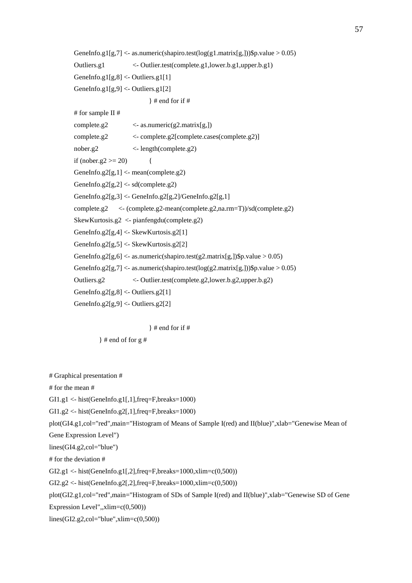GeneInfo.g1[g,7] <- as.numeric(shapiro.test( $log(g1.matrix[g]))$ \$p.value > 0.05) Outliers.g1 <- Outlier.test(complete.g1,lower.b.g1,upper.b.g1) GeneInfo.g1[g,8] <- Outliers.g1[1] GeneInfo.g1[g,9] <- Outliers.g1[2]  $\}$  # end for if # # for sample II # complete.g2  $\langle$ - as.numeric(g2.matrix[g,]) complete.g2 <- complete.g2[complete.cases(complete.g2)] nober.g2 <- length(complete.g2) if (nober.g2 >= 20)  $\{$ GeneInfo.g2[g,1]  $\le$ - mean(complete.g2) GeneInfo.g2[g,2] <- sd(complete.g2) GeneInfo.g2[g,3] <- GeneInfo.g2[g,2]/GeneInfo.g2[g,1] complete.g2 <- (complete.g2-mean(complete.g2,na.rm=T))/sd(complete.g2) SkewKurtosis.g2 <- pianfengdu(complete.g2) GeneInfo.g2[g,4] <- SkewKurtosis.g2[1] GeneInfo.g2[g,5] <- SkewKurtosis.g2[2] GeneInfo.g2[g,6] <- as.numeric(shapiro.test(g2.matrix[g,])\$p.value > 0.05) GeneInfo.g2[g,7] <- as.numeric(shapiro.test( $log(g2.matrix[g]))$ \$p.value > 0.05) Outliers.g2 <- Outlier.test(complete.g2,lower.b.g2,upper.b.g2) GeneInfo.g2[g,8] <- Outliers.g2[1] GeneInfo.g2[g,9] <- Outliers.g2[2]

 $\}$  # end for if #

 $\}$  # end of for g #

# Graphical presentation #

# for the mean #

GI1.g1 <- hist(GeneInfo.g1[,1],freq=F,breaks=1000)

 $G11.g2 \leftarrow \text{hist}(\text{GeneInfo}.g2[,1], \text{freq} = F, \text{breaks} = 1000)$ 

plot(GI4.g1,col="red",main="Histogram of Means of Sample I(red) and II(blue)",xlab="Genewise Mean of

Gene Expression Level")

lines(GI4.g2,col="blue")

# for the deviation #

GI2.g1 <- hist(GeneInfo.g1[,2],freq=F,breaks=1000,xlim=c(0,500))

 $GI2.g2 \leftarrow \text{hist}(\text{GeneInfo}.g2[,2], \text{freq} = F, \text{breaks} = 1000, \text{xlim} = c(0,500))$ 

plot(GI2.g1,col="red",main="Histogram of SDs of Sample I(red) and II(blue)",xlab="Genewise SD of Gene

Expression Level",,xlim=c(0,500))

 $lines(GI2.g2,col='blue", xlim=c(0,500))$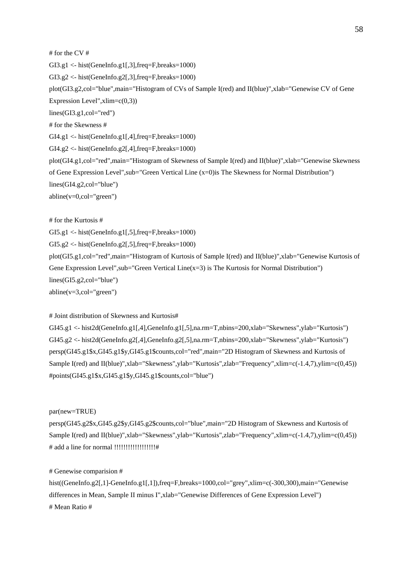# for the CV # GI3.g1 <- hist(GeneInfo.g1[,3],freq=F,breaks=1000) GI3.g2 <- hist(GeneInfo.g2[,3],freq=F,breaks=1000) plot(GI3.g2,col="blue",main="Histogram of CVs of Sample I(red) and II(blue)",xlab="Genewise CV of Gene Expression Level", $xlim=c(0,3)$ ) lines(GI3.g1,col="red") # for the Skewness #  $GI4.g1 \leftarrow \text{hist}(\text{GeneInfo}.g1[,4], \text{freq} = F, \text{breaks} = 1000)$ GI4.g2 <- hist(GeneInfo.g2[,4],freq=F,breaks=1000) plot(GI4.g1,col="red",main="Histogram of Skewness of Sample I(red) and II(blue)",xlab="Genewise Skewness of Gene Expression Level",sub="Green Vertical Line (x=0)is The Skewness for Normal Distribution") lines(GI4.g2,col="blue")  $abline(v=0, col='green")$ 

# for the Kurtosis #

 $GI5.g1 \leftarrow hist(GeneInfo.g1[,5], freq=F,breaks=1000)$ 

 $GI5.g2 \leftarrow hist(GeneInfo.g2[,5], freq=F,breaks=1000)$ 

plot(GI5.g1,col="red",main="Histogram of Kurtosis of Sample I(red) and II(blue)",xlab="Genewise Kurtosis of Gene Expression Level", sub="Green Vertical Line( $x=3$ ) is The Kurtosis for Normal Distribution") lines(GI5.g2,col="blue")  $abline(v=3,col="green")$ 

#### # Joint distribution of Skewness and Kurtosis#

GI45.g1 <- hist2d(GeneInfo.g1[,4],GeneInfo.g1[,5],na.rm=T,nbins=200,xlab="Skewness",ylab="Kurtosis") GI45.g2 <- hist2d(GeneInfo.g2[,4],GeneInfo.g2[,5],na.rm=T,nbins=200,xlab="Skewness",ylab="Kurtosis") persp(GI45.g1\$x,GI45.g1\$y,GI45.g1\$counts,col="red",main="2D Histogram of Skewness and Kurtosis of Sample I(red) and II(blue)",xlab="Skewness",ylab="Kurtosis",zlab="Frequency",xlim=c(-1.4,7),ylim=c(0,45)) #points(GI45.g1\$x,GI45.g1\$y,GI45.g1\$counts,col="blue")

#### par(new=TRUE)

persp(GI45.g2\$x,GI45.g2\$y,GI45.g2\$counts,col="blue",main="2D Histogram of Skewness and Kurtosis of Sample I(red) and II(blue)",xlab="Skewness",ylab="Kurtosis",zlab="Frequency",xlim=c(-1.4,7),ylim=c(0,45)) # add a line for normal !!!!!!!!!!!!!!!!!!#

#### # Genewise comparision #

hist((GeneInfo.g2[,1]-GeneInfo.g1[,1]),freq=F,breaks=1000,col="grey",xlim=c(-300,300),main="Genewise differences in Mean, Sample II minus I", xlab="Genewise Differences of Gene Expression Level") # Mean Ratio #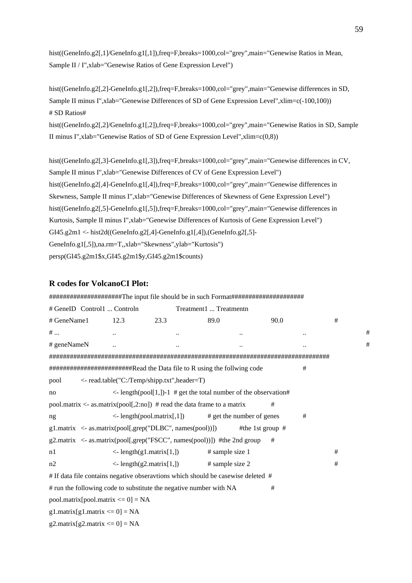hist((GeneInfo.g2[,1]/GeneInfo.g1[,1]),freq=F,breaks=1000,col="grey",main="Genewise Ratios in Mean, Sample II / I",xlab="Genewise Ratios of Gene Expression Level")

hist((GeneInfo.g2[,2]-GeneInfo.g1[,2]),freq=F,breaks=1000,col="grey",main="Genewise differences in SD, Sample II minus I",xlab="Genewise Differences of SD of Gene Expression Level",xlim=c(-100,100)) # SD Ratios# hist((GeneInfo.g2[,2]/GeneInfo.g1[,2]),freq=F,breaks=1000,col="grey",main="Genewise Ratios in SD, Sample II minus I",xlab="Genewise Ratios of SD of Gene Expression Level",xlim= $c(0,8)$ )

hist((GeneInfo.g2[,3]-GeneInfo.g1[,3]),freq=F,breaks=1000,col="grey",main="Genewise differences in CV, Sample II minus I",xlab="Genewise Differences of CV of Gene Expression Level") hist((GeneInfo.g2[,4]-GeneInfo.g1[,4]),freq=F,breaks=1000,col="grey",main="Genewise differences in Skewness, Sample II minus I",xlab="Genewise Differences of Skewness of Gene Expression Level") hist((GeneInfo.g2[,5]-GeneInfo.g1[,5]),freq=F,breaks=1000,col="grey",main="Genewise differences in Kurtosis, Sample II minus I", xlab="Genewise Differences of Kurtosis of Gene Expression Level") GI45.g2m1 <- hist2d((GeneInfo.g2[,4]-GeneInfo.g1[,4]),(GeneInfo.g2[,5]- GeneInfo.g1[,5]),na.rm=T,,xlab="Skewness",ylab="Kurtosis") persp(GI45.g2m1\$x,GI45.g2m1\$y,GI45.g2m1\$counts)

## **R codes for VolcanoCI Plot:**

|             | # GeneID Control1  Controln                |                                                                                  | Treatment1  Treatmentn |                                                                                  |      |   |   |   |
|-------------|--------------------------------------------|----------------------------------------------------------------------------------|------------------------|----------------------------------------------------------------------------------|------|---|---|---|
| # GeneName1 | 12.3                                       | 23.3                                                                             |                        | 89.0                                                                             | 90.0 |   | # |   |
| #           |                                            |                                                                                  |                        |                                                                                  |      |   |   | # |
| # geneNameN |                                            |                                                                                  |                        |                                                                                  |      |   |   | # |
|             |                                            |                                                                                  |                        |                                                                                  |      |   |   |   |
|             |                                            | ########################Read the Data file to R using the follwing code          |                        |                                                                                  |      | # |   |   |
| pool        |                                            | <- read.table("C:/Temp/shipp.txt",header=T)                                      |                        |                                                                                  |      |   |   |   |
| no          |                                            |                                                                                  |                        | $\langle$ length(pool[1,])-1 # get the total number of the observation#          |      |   |   |   |
|             |                                            | pool.matrix $\langle$ - as.matrix(pool[,2:no]) # read the data frame to a matrix |                        |                                                                                  | #    |   |   |   |
| ng          |                                            | $\le$ - length(pool.matrix[,1])                                                  |                        | # get the number of genes                                                        |      | # |   |   |
|             |                                            | g1.matrix <- as.matrix(pool[,grep("DLBC", names(pool))])                         |                        | #the 1st group $#$                                                               |      |   |   |   |
|             |                                            | g2.matrix <- as.matrix(pool[,grep("FSCC", names(pool))]) #the 2nd group          |                        |                                                                                  | #    |   |   |   |
| n1          |                                            | $\le$ - length(g1.matrix[1,])                                                    |                        | # sample size 1                                                                  |      |   | # |   |
| n2          |                                            | $\langle$ - length(g2.matrix[1,]) # sample size 2                                |                        |                                                                                  |      |   | # |   |
|             |                                            |                                                                                  |                        | # If data file contains negative obseravtions which should be casewise deleted # |      |   |   |   |
|             |                                            | # run the following code to substitute the negative number with NA               |                        |                                                                                  | #    |   |   |   |
|             | $pool_matrix[pool_matrix \le 0] = NA$      |                                                                                  |                        |                                                                                  |      |   |   |   |
|             | $g1$ .matrix $[g1$ .matrix $\leq 0$ ] = NA |                                                                                  |                        |                                                                                  |      |   |   |   |
|             | $g2$ .matrix $[g2$ .matrix $\leq 0$ ] = NA |                                                                                  |                        |                                                                                  |      |   |   |   |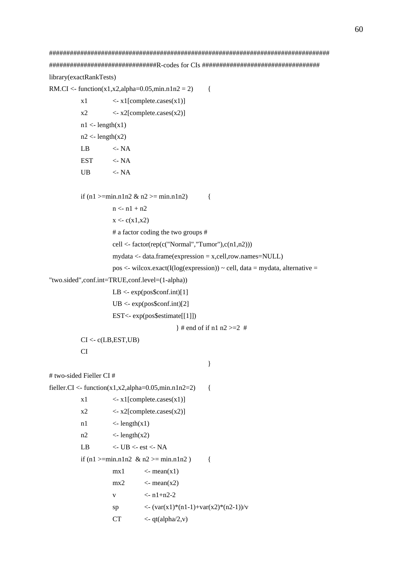# ################################################################################# ###############################R-codes for CIs ################################## library(exactRankTests)

RM.CI <- function(x1,x2,alpha=0.05,min.n1n2 = 2) {

 $x1 \leq x1$ [complete.cases(x1)]  $x2 \le x2$ [complete.cases(x2)]  $n1$  <- length(x1)  $n2 <$ - length(x2) LB  $\leq$ -NA  $EST \leq NA$ UB  $\langle$ - NA

if (n1 >=min.n1n2 & n2 >= min.n1n2) {

```
n < n1 + n2
```

```
x < -c(x1,x2)
```
# a factor coding the two groups #

cell  $\le$ - factor(rep(c("Normal","Tumor"),c(n1,n2)))

mydata <- data.frame(expression = x,cell,row.names=NULL)

```
pos \leq- wilcox.exact(I(log(expression)) \sim cell, data = mydata, alternative =
```

```
"two.sided",conf.int=TRUE,conf.level=(1-alpha))
```
 $LB \leq exp(pos\$ sconf.int [1]

```
UB < -exp(pos\; conf.int [2]
```

```
 EST<- exp(pos$estimate[[1]])
```
} # end of if n1 n2 >=2  $\#$ 

```
CI < c(LB, EST, UB)
```
#### CI

# two-sided Fieller CI #

```
fieller.CI <- function(x1,x2,alpha=0.05,min.n1n2=2) {
```
}

```
x1 \leq x1[complete.cases(x1)]
```

```
x2 \leq x2[complete.cases(x2)]
```

```
n1 \langle- length(x1)
```

```
n2 \langle- length(x2)
```

```
LB \langle - UB \langle - est \langle - NA
```

```
if (n1 >=min.n1n2 & n2 >= min.n1n2 ) {
```

```
mx1 <- mean(x1)
mx2 \leq -mean(x2)v \leq -n1+n2-2sp \langle -(\text{var}(x1)^*(n1-1)+\text{var}(x2)^*(n2-1))/v \rangleCT \langle -qt(alpha/2,v) \rangle
```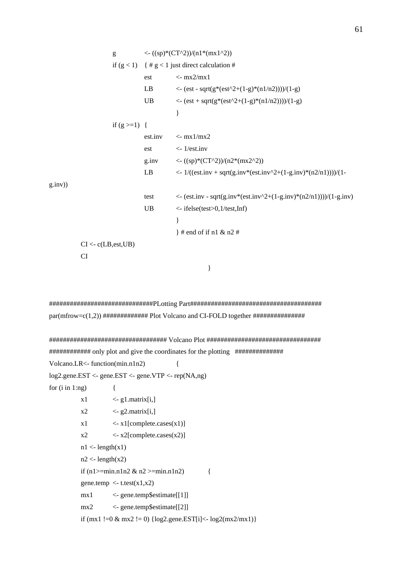g  $\langle -(sp)^*(CT^2)/(n1*(mx1^2)) \rangle$ if  $(g < 1)$  { #  $g < 1$  just direct calculation # est  $\langle -mx2/mx1 \rangle$ LB  $\langle - (\text{est - sqrt}(g^*(\text{est}^2+(1-g)^*(n1/n2))))/(1-g)) \rangle$ UB  $\langle -(\text{est} + \text{sqrt}(g^*(\text{est}^2 + (1-g)^*(n1/n2))))/(1-g))$  } if  $(g > = 1)$  { est.inv  $\langle - \text{mx} 1/\text{mx} 2 \rangle$ est  $\lt$ - 1/est.inv g.inv  $\langle -(sp)^*(CT^2)/(n2^*(mx2^2)) \rangle$ LB  $\langle -1/((est.inv + sqrt(g.inv*(est.inv^2+(1-g.inv)*(n2/n1))))/(1$ g.inv)) test  $\langle$  - (est.inv - sqrt(g.inv\*(est.inv^2+(1-g.inv)\*(n2/n1))))/(1-g.inv) UB <- ifelse(test>0,1/test,Inf) } } # end of if n1 & n2 #  $CI < c(LB, est, UB)$  CI }

##############################PLotting Part###################################### par(mfrow=c(1,2)) ############# Plot Volcano and CI-FOLD together ###############

```
################################## Volcano Plot ################################# 
############ only plot and give the coordinates for the plotting ############## 
Volcano.LR<- function(min.n1n2) { 
log2.gene.EST <- gene.EST <- gene.VTP <- rep(NA,ng) 
for (i \text{ in } 1:\text{ng}) {
          x1 \leq g1. matrix[i,]
          x2 \leq 92. matrix[i,]
          x1 \leq x1[complete.cases(x1)]
          x2 \le x2[complete.cases(x2)]
          n1 <- length(x1)
          n2 <- length(x2)if (n1>=min.n1n2 & n2 >=min.n1n2) {
          gene.temp \langle -t. \text{test}(x1, x2) \rangle mx1 <- gene.temp$estimate[[1]] 
           mx2 <- gene.temp$estimate[[2]] 
          if (mx1 !=0 & mx2 != 0) {log2.gene.EST[i]<- log2(max2/max1)}
```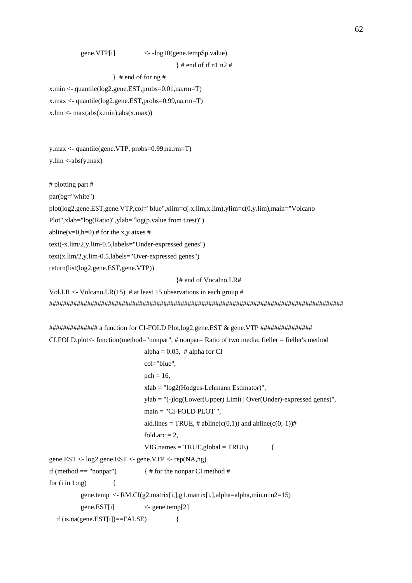```
 gene.VTP[i] <- -log10(gene.temp$p.value)
```
} # end of if n1 n2 #

} # end of for ng #

x.min <- quantile(log2.gene.EST,probs=0.01,na.rm=T)

x.max <- quantile(log2.gene.EST,probs=0.99,na.rm=T)

 $x$ .lim <- max $(abs(x.min), abs(x.max))$ 

y.max <- quantile(gene.VTP, probs=0.99,na.rm=T)  $y.lim < -abs(y.max)$ 

# plotting part #

par(bg="white")

plot(log2.gene.EST,gene.VTP,col="blue",xlim=c(-x.lim,x.lim),ylim=c(0,y.lim),main="Volcano

Plot",xlab="log(Ratio)",ylab="log(p.value from t.test)")

abline(v=0,h=0) # for the x,y aixes #

text(-x.lim/2,y.lim-0.5,labels="Under-expressed genes")

text(x.lim/2,y.lim-0.5,labels="Over-expressed genes")

return(list(log2.gene.EST,gene.VTP))

}# end of Vocalno.LR#

Vol.LR <- Volcano.LR(15)  $\#$  at least 15 observations in each group  $\#$ #####################################################################################

```
############## a function for CI-FOLD Plot,log2.gene.EST & gene.VTP ###############
```
 $CI.FOLD.plot-function (method="nonpar", # nonpar = Ratio of two media; fielder = fielder's method)$ 

alpha =  $0.05$ , # alpha for CI col="blue",  $pch = 16$ , xlab = "log2(Hodges-Lehmann Estimator)", ylab = "(-)log(Lower(Upper) Limit | Over(Under)-expressed genes)", main = "CI-FOLD PLOT ", aid.lines = TRUE, # abline( $c(0,1)$ ) and abline( $c(0,-1)$ )# fold.arc  $= 2$ ,  $VIG.name = TRUE$ , global = TRUE) { gene.EST <- log2.gene.EST <- gene.VTP <- rep(NA,ng) if (method  $==$  "nonpar")  $\{ \#$  for the nonpar CI method  $\#$ for  $(i \text{ in } 1:\text{ng})$  { gene.temp <- RM.CI(g2.matrix[i,],g1.matrix[i,],alpha=alpha,min.n1n2=15) gene.EST[i] <- gene.temp[2] if  $(is.na(gene.EST[i])==FALSE)$  {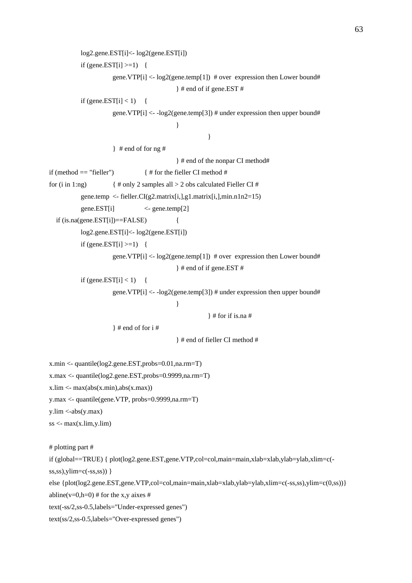```
 log2.gene.EST[i]<- log2(gene.EST[i]) 
          if (gene.EST[i] >=1) {
                     gene. VTP[i] \langle- log2(gene.temp[1]) # over expression then Lower bound#
                                           } # end of if gene.EST # 
          if (gene.EST[i] < 1) {
                     gene.VTP[i] \langle -\log 2(\text{gene}.\text{temp}[3]) # under expression then upper bound#
 } 
 } 
                     \frac{1}{2} # end of for ng #
                                           } # end of the nonpar CI method# 
if (method == "fieller") \{ \# for the fieller CI method \#for (i in 1:ng) \{ \# only 2 samples all > 2 obs calculated Fielder CI#gene.temp <- fieller.CI(g2.matrix[i], g1.matrix[i], minn.n1n2=15)gene.EST[i] \leq gene.temp[2]
  if (is.na(gene.EST[i])==FALSE) {
           log2.gene.EST[i]<- log2(gene.EST[i]) 
          if (gene.EST[i] >=1) {
                     gene.VTP[i] \langle- log2(gene.temp[1]) # over expression then Lower bound#
                                           } # end of if gene.EST # 
          if (gene.EST[i] < 1) {
                     gene.VTP[i] \langle -\log 2(\text{gene}.\text{temp}[3]) # under expression then upper bound#
 } 
                                                     } # for if is.na # 
                     \} # end of for i #
                                           } # end of fieller CI method # 
x.min <- quantile(log2.gene.EST,probs=0.01,na.rm=T) 
x.max <- quantile(log2.gene.EST,probs=0.9999,na.rm=T)
x.lim <- max(abs(x.min), abs(x.max))y.max <- quantile(gene.VTP, probs=0.9999,na.rm=T) 
y.lim < -abs(y.max)ss < -\max(x.\lim y.\lim)# plotting part # 
if (global==TRUE) { plot(log2.gene.EST,gene.VTP,col=col,main=main,xlab=xlab,ylab=ylab,xlim=c(-
ss,ss), ylim=c(-ss,ss)) }
else {plot(log2.gene.EST,gene.VTP,col=col,main=main,xlab=xlab,ylab=ylab,xlim=c(-ss,ss),ylim=c(0,ss))} 
abline(v=0,h=0) # for the x,y aixes #
text(-ss/2,ss-0.5,labels="Under-expressed genes") 
text(ss/2,ss-0.5,labels="Over-expressed genes")
```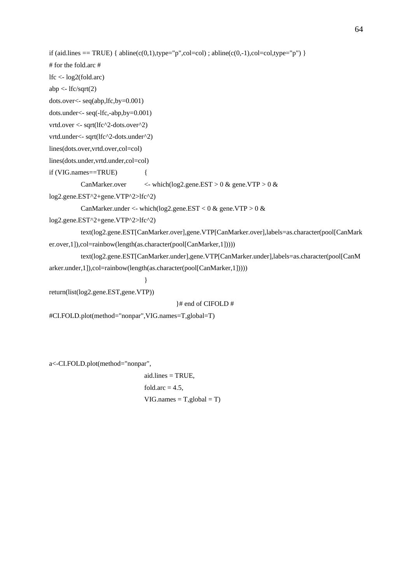```
if (aid.lines == TRUE) { abline(c(0,1),type="p",col=col) ; abline(c(0,-1),col=col,type="p") }
# for the fold.arc # 
lfc <- log2(fold.arc) 
abp \langle- lfc/sqrt(2)dots.over<- seq(abp,lfc,by=0.001) 
dots.under<- seq(-lfc,-abp,by=0.001) 
vrtd.over <- sqrt(lfc^2-dots.over^2)
vrtd.under<- sqrt(lfc^2-dots.under^2) 
lines(dots.over,vrtd.over,col=col) 
lines(dots.under,vrtd.under,col=col) 
if (VIG.names==TRUE) { 
           CanMarker.over <- which(log2.gene.EST > 0 & gene.VTP > 0 & 
log2.gene.EST^2+gene.VTP^2>lfc^2) 
          CanMarker.under <- which(log2.gene.EST < 0 \& gene.VTP > 0 \&log2.gene.EST^2+gene.VTP^2>lfc^2) 
           text(log2.gene.EST[CanMarker.over],gene.VTP[CanMarker.over],labels=as.character(pool[CanMark
er.over,1]),col=rainbow(length(as.character(pool[CanMarker,1])))) 
           text(log2.gene.EST[CanMarker.under],gene.VTP[CanMarker.under],labels=as.character(pool[CanM
arker.under,1]),col=rainbow(length(as.character(pool[CanMarker,1])))) 
 }
```
return(list(log2.gene.EST,gene.VTP))

}# end of CIFOLD #

```
#CI.FOLD.plot(method="nonpar",VIG.names=T,global=T)
```
a<-CI.FOLD.plot(method="nonpar",

 aid.lines = TRUE, fold.arc  $= 4.5$ ,  $VIG.name = T, global = T)$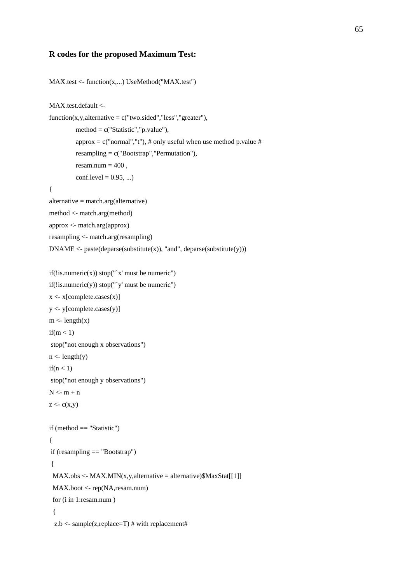#### **R codes for the proposed Maximum Test:**

```
MAX.test <- function(x,...) UseMethod("MAX.test") 
MAX.test.default <- 
function(x,y,alternative = c("two-sided", "less", "greater"),method = c("Statistic","p.value"),
         approx = c("normal", "t"), # only useful when use method p.value #resampling = c("Boostrap", "Permutation"),resam.num = 400,
         conf. level = 0.95, ...{ 
alternative = match.arg(alternative) 
method <- match.arg(method) 
approx <- match.arg(approx) 
resampling <- match.arg(resampling) 
DNAME < -</math> paste(deparse(substitute(x)), "and", deparse(substitute(y)))if(!is.numeric(x)) stop("`x' must be numeric")
if(!is.numeric(y)) stop("'y' must be numeric")
x <- x[complete.cases(x)] 
y <- y[complete.cases(y)] 
m <- length(x)if(m < 1) stop("not enough x observations") 
n <- length(y)
if(n < 1) stop("not enough y observations") 
N \le m + nz < c(x,y)if (method == "Statistic") 
{ 
 if (resampling == "Bootstrap") 
  { 
 MAX.obs < -MAX.MIN(x,y, alternative = alternative)$MaxStat[[1]]
  MAX.boot <- rep(NA,resam.num) 
  for (i in 1:resam.num )
```

```
 {
```
 $z.b \leq sample(z, replace=T)$ # with replacement#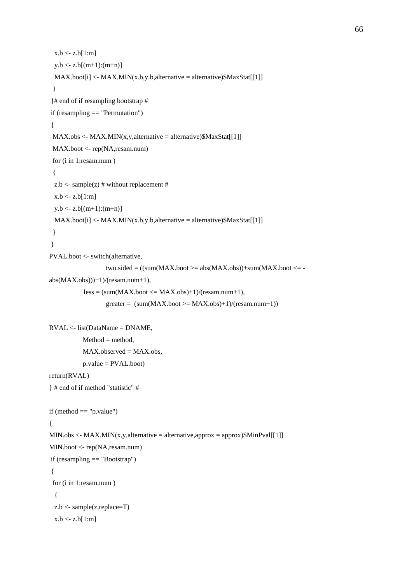```
MAXset[i] < MAX.MIN(x.b,y.b, alternative = alternative)$MaxStat[[1]]
```

```
 } 
 }# end of if resampling bootstrap #
```

```
 if (resampling == "Permutation")
```

```
 {
```

```
MAX.obs < -MAX.MIN(x,y, alternative = alternative)$MaxStat[[1]]
```

```
 MAX.boot <- rep(NA,resam.num) 
 for (i in 1:resam.num )
```
 $x.b < z.b[1:m]$ 

 $y.b < z.b[(m+1):(m+n)]$ 

```
 {
```

```
z.b \leq- sample(z) # without replacement #
```

```
x.b < z.b[1:m]
```

```
y.b \le z.b[(m+1):(m+n)]
```

```
 MAX.boot[i] <- MAX.MIN(x.b,y.b,alternative = alternative)$MaxStat[[1]]
```

```
 }
```

```
 }
```
PVAL.boot <- switch(alternative,

```
two.sided = ((sum(MAXset>=abs(MAX.obs))+sum(MAX.boot<=
```

```
abs(MAX.obs)))+1)/(resam.num+1),
```

```
less = (sum(MAXset \le MAX.obs)+1)/(resam.num+1),
```

```
greater = (sum(MAXset) = MAX.obs) + 1)/(resam.num+1))
```

```
RVAL <- list(DataName = DNAME,
```

```
Method = method,MAX. observed = MAX.obs,
 p.value = PVAL.boot)
```

```
return(RVAL)
```

```
} # end of if method "statistic" #
```

```
if (method == "p.value")
{ 
MIN.obs \leq MAX.MIN(x,y,alternative = alternative,approx = approx)$MinPval[[1]]
MIN.boot <- rep(NA,resam.num) 
 if (resampling == "Bootstrap") 
  { 
  for (i in 1:resam.num ) 
   { 
   z.b <- sample(z,replace=T) 
  x.b < z.b[1:m]
```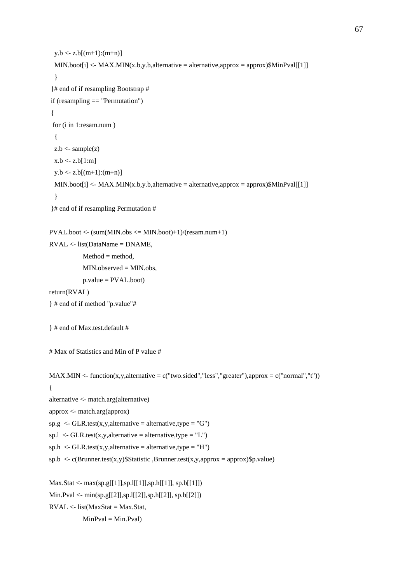```
y.b < z.b[(m+1):(m+n)]MIN.boot[i] <- MAX.MIN(x.b,y.b,alternative = alternative,approx = approx)$MinPval[[1]]
   } 
  }# end of if resampling Bootstrap # 
  if (resampling == "Permutation") 
  { 
  for (i in 1:resam.num ) 
   { 
  z.b \leq- sample(z)x.b < z.b[1:m]y.b \le z.b[(m+1):(m+n)] MIN.boot[i] <- MAX.MIN(x.b,y.b,alternative = alternative,approx = approx)$MinPval[[1]] 
   } 
  }# end of if resampling Permutation # 
PVAL.boot <- (sum(MIN.obs <= MIN.boot)+1)/(resam.num+1) 
RVAL <- list(DataName = DNAME, 
            Method = method, MIN.observed = MIN.obs, 
             p.value = PVAL.boot) 
return(RVAL) 
} # end of if method "p.value"# 
} # end of Max.test.default # 
# Max of Statistics and Min of P value # 
MAX.MIN <- function(x,y,alternative = c("two.sided","less","greater"),approx = c("normal","t"))
{ 
alternative <- match.arg(alternative) 
approx <- match.arg(approx) 
sp.g < GLR.test(x,y, alternative = alternative, type = "G")sp.l \langle - GLR.test(x,y,alternative = alternative,type = "L")
sph <- GLR.test(x,y,alternative = alternative,type = "H")
sph < c(Brunner.test(x,y)$Statistic ,Brunner.test(x,y,approx = approx)$p.value)
Max.Stat <- max(sp.g[[1]],sp.l[[1]],sp.h[[1]], sp.b[[1]]) 
Min.Pval <- min(sp.g[[2]],sp.l[[2]],sp.h[[2]], sp.b[[2]]) 
RVAL \leq list(MaxStat = MaxStat,
```
 $MinPval = Min.Pval)$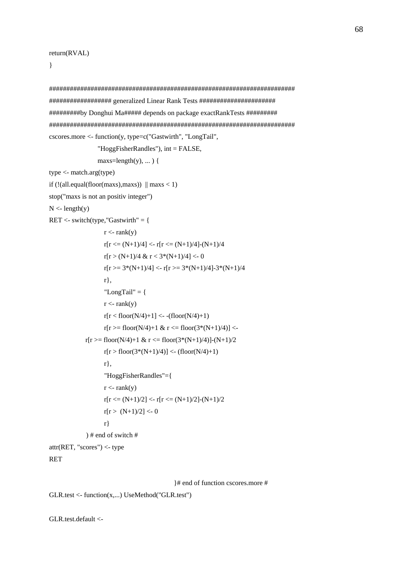}

```
####################################################################### 
################## generalized Linear Rank Tests ###################### 
#########by Donghui Ma##### depends on package exactRankTests ######### 
####################################################################### 
cscores.more <- function(y, type=c("Gastwirth", "LongTail", 
                  "HoggFisherRandles"), int = FALSE, 
                 maxs=length(y), \ldots {
type <- match.arg(type) 
if (!(all.equal(floor(maxs),maxs)) \parallel maxs < 1)
stop("maxs is not an positiv integer") 
N <- length(y)RET \le- switch(type,"Gastwirth" = {
                   r < -rank(v)r[r \leq (N+1)/4] \leq r[r \leq (N+1)/4]-(N+1)/4r[r > (N+1)/4 \& r < 3*(N+1)/4] < 0r[r \geq 3*(N+1)/4] \leq r[r \geq 3*(N+1)/4] - 3*(N+1)/4 r}, 
                   "LongTail" = {
                   r < -rank(y)r[r < floor(N/4)+1] <- -(floor(N/4)+1)
                   r[r \geq floor(N/4) + 1 \& r \leq floor(3*(N+1)/4)] <-
             r[r \geq floor(N/4) + 1 \& r \leq floor(3*(N+1)/4)[-N+1]/2r[r > floor(3*(N+1)/4)] < (floor(N/4)+1) r}, 
                    "HoggFisherRandles"={ 
                   r < -rank(y)r[r \leq (N+1)/2] \leq r[r \leq (N+1)/2]-(N+1)/2r[r > (N+1)/2] < 0 r} 
              ) # end of switch # 
attr(RET, "scores") <- type
```

```
RET
```
}# end of function cscores.more #

```
GLR.test <- function(x,...) UseMethod("GLR.test")
```
GLR.test.default <-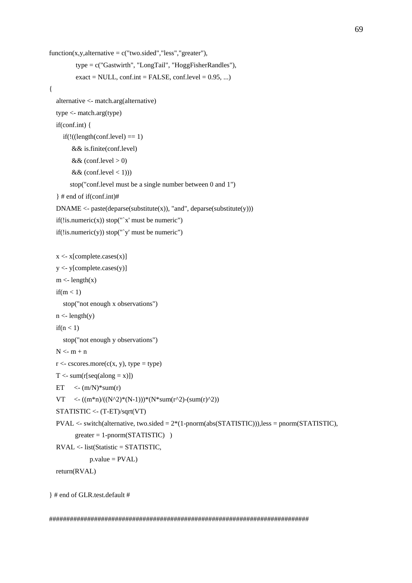```
function(x,y,alternative = c("two-sided", "less", "greater"), type = c("Gastwirth", "LongTail", "HoggFisherRandles"), 
          \text{exact} = \text{NULL}, \text{conf.int} = \text{FALSE}, \text{conf-level} = 0.95, \ldots{ 
   alternative <- match.arg(alternative) 
   type <- match.arg(type) 
   if(conf.int) { 
     if(!((length(conf. level) == 1)) && is.finite(conf.level) 
        && (conf.level > 0)
        && (conf.level < 1)))
         stop("conf.level must be a single number between 0 and 1") 
    } # end of if(conf.int)# 
  DNAME < - paste(deparse(substitute(x)), "and", deparse(substitute(y)))
  if(!is.numeric(x)) stop("x' must be numeric")
  if(!is.numeric(y)) stop("y' must be numeric")
  x \leq x[complete.cases(x)]
  y \le y[complete.cases(y)]
  m <- length(x)if(m < 1) stop("not enough x observations") 
  n <- length(y)
  if(n < 1) stop("not enough y observations") 
  N \le m + nr < -cscores.more(c(x, y), type = type)T < -sum(r[seq(along = x)])ET \langle -(m/N)^* \text{sum}(r) \rangleVT \leq ((m*n)/((N^2)*(N-1)))*(N*sum(r^2)-(sum(r)^2)) STATISTIC <- (T-ET)/sqrt(VT) 
   PVAL <- switch(alternative, two.sided = 2*(1-pnorm(abs(STATISTIC))),less = pnorm(STATISTIC), 
         greater = 1-pnorm(STATISTIC))
   RVAL <- list(Statistic = STATISTIC, 
               p.value = PVAL return(RVAL)
```

```
} # end of GLR.test.default #
```
###########################################################################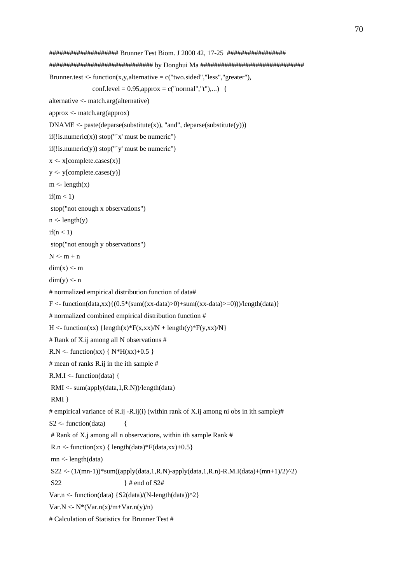```
#################### Brunner Test Biom. J 2000 42, 17-25 ################# 
############################## by Donghui Ma ############################## 
Brunner.test <- function(x,y,alternative = c("two-sided", "less", "greater"),conf. level = 0.95, approx = c("normal", "t"),...alternative <- match.arg(alternative) 
approx <- match.arg(approx) 
DNAME <- paste(deparse(substitute(x)), "and", deparse(substitute(y)))
if(!is.numeric(x)) stop("x' must be numeric")
if(!is.numeric(y)) stop("y' must be numeric")
x \leq x[complete.cases(x)]
y <- y[complete.cases(y)] 
m < -\text{length}(x)if(m < 1) stop("not enough x observations") 
n <- length(y)if(n < 1) stop("not enough y observations") 
N < m + ndim(x) < mdim(y) < n# normalized empirical distribution function of data# 
F <- function(data,xx){(0.5*(sum((xx-data)>0)+sum((xx-data)>=0)))/length(data)}
# normalized combined empirical distribution function # 
H <- function(xx) {length(x)*F(x,xx)/N + length(y)*F(y,xx)/N }
# Rank of X.ij among all N observations # 
R.N \leq function(xx) \{ N*H(xx)+0.5 \}# mean of ranks R.ij in the ith sample # 
R.M.I \leq function(data) RMI <- sum(apply(data,1,R.N))/length(data) 
 RMI } 
# empirical variance of R.ij -R.ij(i) (within rank of X.ij among ni obs in ith sample)#
S2 \leq- function(data) {
 # Rank of X.j among all n observations, within ith sample Rank # 
R.n <- function(xx) { length(data)*F(data, xx) + 0.5}
 mn <- length(data) 
 S22 <- (1/(mn-1))*sum((apply(data,1,R.N)-apply(data,1,R.n)-R.M.I(data)+(mn+1)/2)^2) 
S22 \# end of S2#Var.n <- function(data) \{S2(data)/(N-length(data))^2\}Var.N < N*(Var.n(x)/m+Var.n(y)/n)# Calculation of Statistics for Brunner Test #
```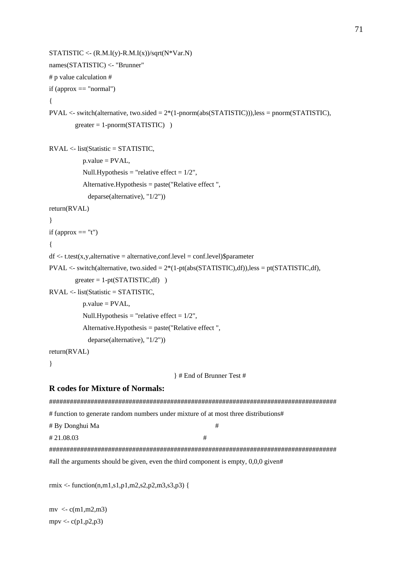```
STATISTIC < (R.M.I(y)-R.M.I(x))/sqrt(N*Var.N)names(STATISTIC) <- "Brunner" 
# p value calculation # 
if (approx == "normal")
{ 
PVAL <- switch(alternative, two.sided = 2*(1-pnorm(abs(STATISTIC))),less = pnorm(STATISTIC), 
        greater = 1-pnorm(STATISTIC))
RVAL <- list(Statistic = STATISTIC, 
           p.value = PVAL,
           Null.Hypothesis = "relative effect = 1/2",
            Alternative.Hypothesis = paste("Relative effect ", 
             deparse(alternative), "1/2")) 
return(RVAL) 
} 
if (approx == "t"){ 
df \leq t.test(x,y, alternative = alternative, conf.level = conf.level)$parameter
PVAL \lt- switch(alternative, two.sided = 2*(1-pt(abs(STATISTIC),df)),less = pt(STATISTIC,df),
        greater = 1-pt(STATISTIC,df))
RVAL <- list(Statistic = STATISTIC, 
          p.value = PVAL,
           Null.Hypothesis = "relative effect = 1/2",
            Alternative.Hypothesis = paste("Relative effect ", 
             deparse(alternative), "1/2")) 
return(RVAL) 
} 
                                         } # End of Brunner Test #
R codes for Mixture of Normals: 
################################################################################### 
# function to generate random numbers under mixture of at most three distributions# 
# By Donghui Ma # 
\#21.08.03 \#################################################################################### 
#all the arguments should be given, even the third component is empty, 0,0,0 given#
```
rmix <- function(n,m1,s1,p1,m2,s2,p2,m3,s3,p3) {

 $mv < c(m1, m2, m3)$ mpv  $\langle -c(p1,p2,p3) \rangle$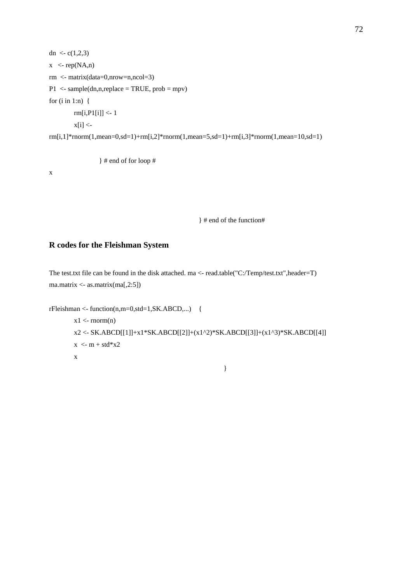```
dn \langle c(1,2,3) \ranglex \le rep(NA,n)rm <- matrix(data=0,nrow=n,ncol=3) 
P1 \leq- sample(dn,n,replace = TRUE, prob = mpv)
for (i in 1:n) {
          rm[i,P1[i]] <- 1 
        x[i] < -rm[i,1]*rnorm(1,mean=0,sd=1)+rm[i,2]*rnorm(1,mean=5,sd=1)+rm[i,3]*rnorm(1,mean=10,sd=1)
```
} # end of for loop #

x

} # end of the function#

## **R codes for the Fleishman System**

The test.txt file can be found in the disk attached. ma <- read.table("C:/Temp/test.txt",header=T) ma.matrix <- as.matrix(ma[,2:5])

```
rFleishman < - function(n,m=0,std=1,SK.ABCD,...) {
```

```
x1 \leq rnorm(n) x2 <- SK.ABCD[[1]]+x1*SK.ABCD[[2]]+(x1^2)*SK.ABCD[[3]]+(x1^3)*SK.ABCD[[4]] 
x < m + std*x2 x
```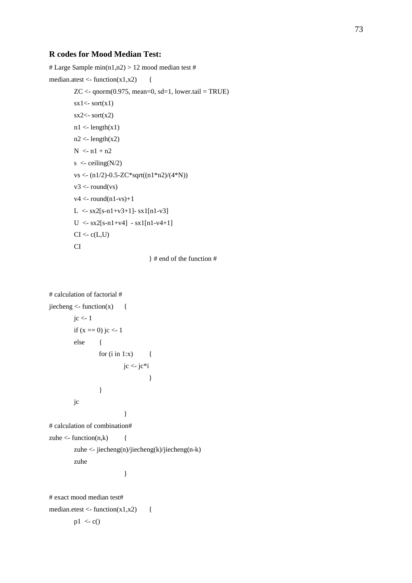## **R codes for Mood Median Test:**

```
# Large Sample min(n1,n2) > 12 mood median test #
median.atest <- function(x1,x2) {
         ZC \leq qnorm(0.975, mean=0, sd=1, lower.tail = TRUE)
         sx1 \leftarrow sort(x1)sx2 \leftarrow sort(x2)n1 <- length(x1)
         n2 <- length(x2)N < n1 + n2s \langle- ceiling(N/2)
          vs <- (n1/2)-0.5-ZC*sqrt((n1*n2)/(4*N)) 
         v3 <- round(vs)
         v4 <- round(n1-vs)+1
         L \langle- sx2[s-n1+v3+1]- sx1[n1-v3]
         U < -sx2[s-n1+v4] - sx1[n1-v4+1]CI < -c(L,U) CI
```

```
 } # end of the function #
```

```
# calculation of factorial # 
jiecheng <- function(x) {
      jc <-1if (x == 0) jc <- 1
       else { 
             for (i in 1:x) \{ jc <- jc*i 
 } 
 } 
       jc 
 } 
# calculation of combination# 
zuhe \le- function(n,k) {
        zuhe <- jiecheng(n)/jiecheng(k)/jiecheng(n-k)
```

```
 zuhe
```
# exact mood median test#

}

median.etest <- function(x1,x2) {

$$
p1 < -c()
$$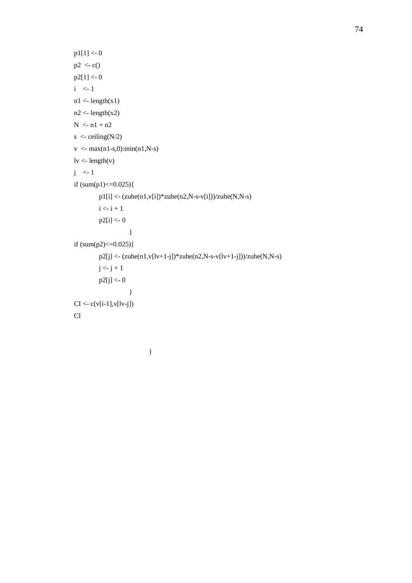```
 p1[1] <- 0 
       p2 < c() p2[1] <- 0 
       i \leq 1n1 <- length(x1)
       n2 <- length(x2)
       N < n1 + n2s \langle- ceiling(N/2)
        v < -\max(n1-s,0): min(n1, N-s)
       \text{lv} <- length(v)
       j \langle -1 \rangleif (sum(p1) < = 0.025){
                p1[i] < (zuhe(n1,v[i]) *zuhe(n2,N-s-v[i]))/zuhe(N,N-s)i \leftarrow i + 1 p2[i] <- 0 
 } 
        if (sum(p2) \leq 0.025){
                p2[j] \leftarrow (zuhe(n1, v[lv+1-j]) *zuhe(n2, N-s-v[lv+1-j]))/zuhe(N, N-s)j < -j + 1 p2[j] <- 0 
 } 
        CI < c(v[i-1], v[1v-j]) CI
```

```
 }
```